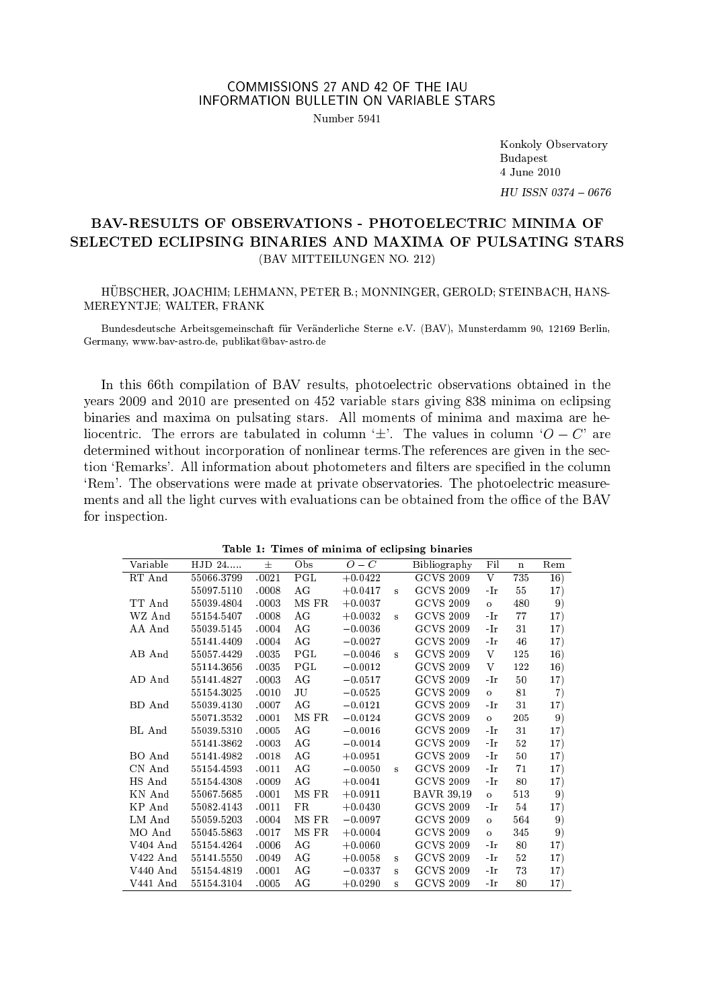# COMMISSIONS 27 AND 42 OF THE IAU INFORMATION BULLETIN ON VARIABLE STARS

Number 5041

Konkoly Observatory **Budapest** 4 June 2010

HU ISSN 0374 - 0676

## BAV-RESULTS OF OBSERVATIONS - PHOTOELECTRIC MINIMA OF SELECTED ECLIPSING BINARIES AND MAXIMA OF PULSATING STARS (BAV MITTEILUNGEN NO. 212)

HÜBSCHER, JOACHIM; LEHMANN, PETER B.; MONNINGER, GEROLD; STEINBACH, HANS-MEREYNTJE: WALTER, FRANK

Bundesdeutsche Arbeitsgemeinschaft für Veränderliche Sterne e.V. (BAV). Munsterdamm 90. 12169 Berlin. Germany, www.bay-astro.de, publikat@bay-astro.de

In this 66th compilation of BAV results, photoelectric observations obtained in the years 2009 and 2010 are presented on 452 variable stars giving 838 minima on eclipsing binaries and maxima on pulsating stars. All moments of minima and maxima are heliocentric. The errors are tabulated in column '+'. The values in column ' $O - C'$  are determined without incorporation of nonlinear terms. The references are given in the section 'Remarks'. All information about photometers and filters are specified in the column 'Rem'. The observations were made at private observatories. The photoelectric measurements and all the light curves with evaluations can be obtained from the office of the BAV for inspection.

|            |            |       |       |           |          | rapic r, rimes of minima of ecupsing phiarics |                    |             |     |
|------------|------------|-------|-------|-----------|----------|-----------------------------------------------|--------------------|-------------|-----|
| Variable   | $HJD 24$   | $\pm$ | Obs   | $O-C$     |          | <b>Bibliography</b>                           | Fil                | $\mathbf n$ | Rem |
| RT And     | 55066.3799 | .0021 | PGL   | $+0.0422$ |          | $\overline{GCVS}$ 2009                        | $\overline{\rm v}$ | 735         | 16) |
|            | 55097.5110 | .0008 | AG    | $+0.0417$ | s        | <b>GCVS 2009</b>                              | -Ir                | 55          | 17) |
| TT And     | 55039.4804 | .0003 | MS FR | $+0.0037$ |          | <b>GCVS 2009</b>                              | $\circ$            | 480         | 9)  |
| WZ And     | 55154.5407 | .0008 | AG    | $+0.0032$ | s        | <b>GCVS 2009</b>                              | -Ir                | 77          | 17) |
| AA And     | 55039.5145 | .0004 | AG    | $-0.0036$ |          | <b>GCVS 2009</b>                              | -Ir                | 31          | 17) |
|            | 55141.4409 | .0004 | AG    | $-0.0027$ |          | <b>GCVS 2009</b>                              | -Ir                | 46          | 17) |
| AB And     | 55057.4429 | .0035 | PGL   | $-0.0046$ | s        | <b>GCVS 2009</b>                              | V                  | 125         | 16) |
|            | 55114.3656 | .0035 | PGL   | $-0.0012$ |          | <b>GCVS 2009</b>                              | V                  | 122         | 16) |
| AD And     | 55141.4827 | .0003 | AG    | $-0.0517$ |          | <b>GCVS 2009</b>                              | -Ir                | 50          | 17) |
|            | 55154.3025 | .0010 | JU    | $-0.0525$ |          | <b>GCVS 2009</b>                              | $\circ$            | 81          | 7)  |
| BD And     | 55039.4130 | .0007 | AG    | $-0.0121$ |          | <b>GCVS 2009</b>                              | -Ir                | $31\,$      | 17) |
|            | 55071.3532 | .0001 | MS FR | $-0.0124$ |          | <b>GCVS 2009</b>                              | $\circ$            | 205         | 9)  |
| BL And     | 55039.5310 | .0005 | AG    | $-0.0016$ |          | <b>GCVS 2009</b>                              | -Ir                | $31\,$      | 17) |
|            | 55141.3862 | .0003 | AG    | $-0.0014$ |          | <b>GCVS 2009</b>                              | -Ir                | 52          | 17) |
| BO And     | 55141.4982 | .0018 | AG    | $+0.0951$ |          | <b>GCVS 2009</b>                              | -Ir                | 50          | 17) |
| CN And     | 55154.4593 | .0011 | AG    | $-0.0050$ | $\bf{s}$ | <b>GCVS 2009</b>                              | -Ir                | 71          | 17) |
| HS And     | 55154.4308 | .0009 | AG    | $+0.0041$ |          | <b>GCVS 2009</b>                              | -Ir                | 80          | 17) |
| KN And     | 55067.5685 | .0001 | MS FR | $+0.0911$ |          | <b>BAVR 39.19</b>                             | $\circ$            | 513         | 9)  |
| KP And     | 55082.4143 | .0011 | FR    | $+0.0430$ |          | <b>GCVS 2009</b>                              | -Ir                | 54          | 17) |
| LM And     | 55059.5203 | .0004 | MS FR | $-0.0097$ |          | <b>GCVS 2009</b>                              | $\circ$            | 564         | 9)  |
| MO And     | 55045.5863 | .0017 | MS FR | $+0.0004$ |          | <b>GCVS 2009</b>                              | $\circ$            | 345         | 9)  |
| $V404$ And | 55154.4264 | .0006 | AG    | $+0.0060$ |          | <b>GCVS 2009</b>                              | -Ir                | 80          | 17) |
| $V422$ And | 55141.5550 | .0049 | AG    | $+0.0058$ | s        | <b>GCVS 2009</b>                              | -Ir                | $52\,$      | 17) |
| $V440$ And | 55154.4819 | .0001 | AG    | $-0.0337$ | s        | <b>GCVS 2009</b>                              | -Ir                | 73          | 17) |
| V441 And   | 55154.3104 | .0005 | АG    | $+0.0290$ | s        | <b>GCVS 2009</b>                              | -Ir                | 80          | 17) |

Table 1: Times of minima of eclipsing binaries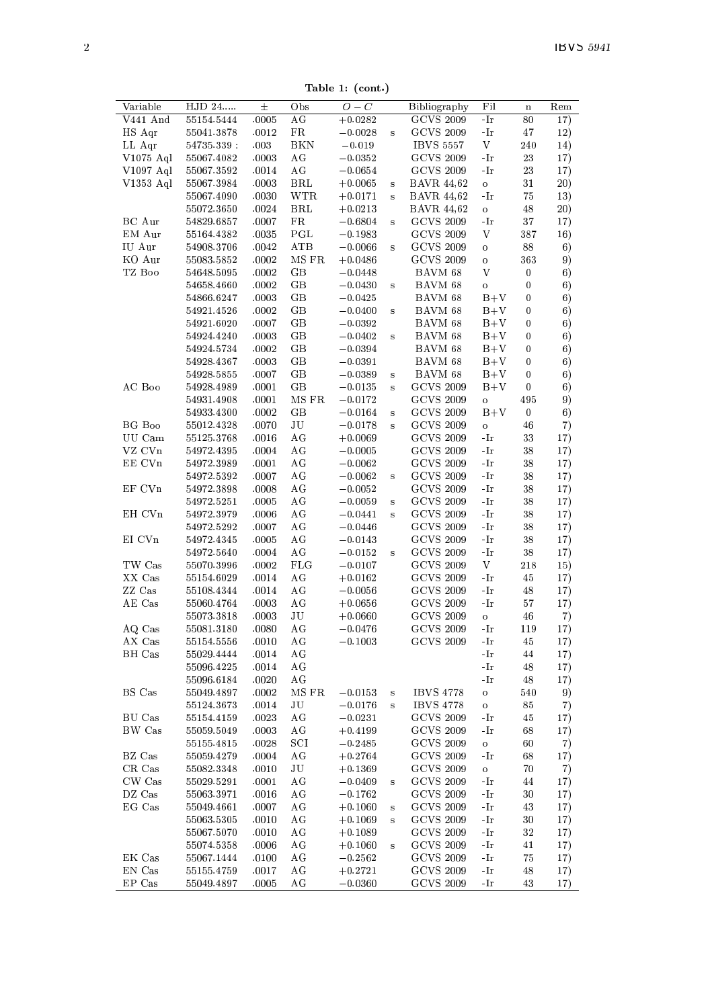Table 1: (cont.)

| Variable  | HJD 24      | 士     | Obs          | $O-C$     |                         | Bibliography      | Fil                                                                              | $\bf n$        | Rem  |
|-----------|-------------|-------|--------------|-----------|-------------------------|-------------------|----------------------------------------------------------------------------------|----------------|------|
| V441 And  | 55154.5444  | .0005 | AG           | $+0.0282$ |                         | <b>GCVS 2009</b>  | -Ir                                                                              | 80             | 17)  |
| $HS$ Aqr  | 55041.3878  | .0012 | $_{\rm FR}$  | $-0.0028$ | $\bf{s}$                | <b>GCVS 2009</b>  | -Ir                                                                              | 47             | 12)  |
| LL Aqr    | 54735.339   | .003  | <b>BKN</b>   | $-0.019$  |                         | <b>IBVS 5557</b>  | V                                                                                | 240            | 14)  |
| V1075 Aql | 55067.4082  | .0003 | AG           | $-0.0352$ |                         | <b>GCVS 2009</b>  | -Ir                                                                              | 23             | 17)  |
|           |             |       |              |           |                         | <b>GCVS 2009</b>  |                                                                                  |                |      |
| V1097 Aql | 55067.3592  | .0014 | AG           | $-0.0654$ |                         |                   | -Ir                                                                              | 23             | 17)  |
| V1353 Aql | 55067.3984  | .0003 | BRL          | $+0.0065$ | s                       | <b>BAVR 44,62</b> | $\circ$                                                                          | 31             | 20)  |
|           | 55067.4090  | .0030 | WTR          | $+0.0171$ | s                       | <b>BAVR 44,62</b> | -Ir                                                                              | 75             | 13)  |
|           | 55072.3650  | .0024 | BRL          | $+0.0213$ |                         | <b>BAVR 44,62</b> | $\circ$                                                                          | 48             | (20) |
| BC Aur    | 54829.6857  | .0007 | FR           | $-0.6804$ | $\bf{s}$                | <b>GCVS 2009</b>  | -Ir                                                                              | 37             | 17)  |
| EM Aur    | 55164.4382  | .0035 | PGL          | $-0.1983$ |                         | <b>GCVS 2009</b>  | V                                                                                | 387            | 16)  |
| IU Aur    | 54908.3706  | .0042 | ATB          | $-0.0066$ | s                       | <b>GCVS 2009</b>  | $\circ$                                                                          | 88             | 6)   |
| KO Aur    | 55083.5852  | .0002 | MS FR        | $+0.0486$ |                         | <b>GCVS 2009</b>  | $\circ$                                                                          | 363            | 9)   |
| TZ Boo    |             |       |              |           |                         |                   | V                                                                                |                |      |
|           | 54648.5095  | .0002 | $G$ $B$      | $-0.0448$ |                         | BAVM 68           |                                                                                  | 0              | 6)   |
|           | 54658.4660  | .0002 | GB           | $-0.0430$ | $\bf{s}$                | BAVM 68           | $\mathbf{o}$                                                                     | $\overline{0}$ | 6)   |
|           | 54 866 6247 | .0003 | GВ           | $-0.0425$ |                         | BAVM 68           | $B+V$                                                                            | 0              | 6)   |
|           | 54921.4526  | .0002 | GВ           | $-0.0400$ | s                       | BAVM 68           | $B + V$                                                                          | 0              | 6)   |
|           | 54921.6020  | .0007 | GB           | $-0.0392$ |                         | BAVM 68           | $B + V$                                                                          | 0              | 6)   |
|           | 54924.4240  | .0003 | GВ           | $-0.0402$ | s                       | BAVM 68           | $B + V$                                                                          | $\bf{0}$       | 6)   |
|           | 54924.5734  | .0002 | GВ           | $-0.0394$ |                         | BAVM 68           | $B + V$                                                                          | 0              | 6)   |
|           | 54928.4367  | .0003 | GВ           | $-0.0391$ |                         | BAVM 68           | $B + V$                                                                          | 0              | 6)   |
|           |             | .0007 | GВ           |           |                         |                   |                                                                                  |                |      |
|           | 54928.5855  |       |              | $-0.0389$ | s                       | BAVM 68           | $B + V$                                                                          | 0              | 6)   |
| AC Boo    | 54928.4989  | .0001 | GВ           | $-0.0135$ | $\mathbf{s}$            | <b>GCVS 2009</b>  | $B + V$                                                                          | $\bf{0}$       | 6)   |
|           | 54931.4908  | .0001 | MS FR        | $-0.0172$ |                         | <b>GCVS 2009</b>  | $\ddot{\mathbf{o}}$                                                              | 495            | 9)   |
|           | 54933.4300  | .0002 | GB           | $-0.0164$ | $\bf{s}$                | <b>GCVS 2009</b>  | $B+V$                                                                            | 0              | 6)   |
| BG Boo    | 55012.4328  | .0070 | JU           | $-0.0178$ | $\overline{\mathbf{s}}$ | <b>GCVS 2009</b>  | $\mathbf{o}$                                                                     | 46             | 7)   |
| UU Cam    | 55125.3768  | .0016 | AG           | $+0.0069$ |                         | <b>GCVS 2009</b>  | -Ir                                                                              | 33             | 17)  |
| VZ CVn    | 54972.4395  | .0004 | AG           | $-0.0005$ |                         | <b>GCVS 2009</b>  | -Ir                                                                              | 38             | 17)  |
| EE CVn    | 54972.3989  | .0001 | AG           | $-0.0062$ |                         | <b>GCVS 2009</b>  | -Ir                                                                              | 38             | 17)  |
|           |             |       |              |           |                         |                   |                                                                                  |                |      |
|           | 54972.5392  | .0007 | AG           | $-0.0062$ | s                       | <b>GCVS 2009</b>  | -Ir                                                                              | 38             | 17)  |
| EF CVn    | 54972.3898  | .0008 | AG           | $-0.0052$ |                         | <b>GCVS 2009</b>  | $\mathbin{{\mathbb L}}$                                                          | 38             | 17)  |
|           | 54972.5251  | .0005 | AG           | $-0.0059$ | s                       | <b>GCVS 2009</b>  | $\mathbin{\textup{--}\mathbf{I}}$                                                | 38             | 17)  |
| EH CVn    | 54972.3979  | .0006 | AG           | $-0.0441$ | s                       | <b>GCVS 2009</b>  | -Ir                                                                              | 38             | 17)  |
|           | 54972.5292  | .0007 | AG           | $-0.0446$ |                         | <b>GCVS 2009</b>  | -Ir                                                                              | 38             | 17)  |
| EI CVn    | 54972.4345  | .0005 | AG           | $-0.0143$ |                         | <b>GCVS 2009</b>  | -Ir                                                                              | 38             | 17)  |
|           | 54972.5640  | .0004 | AG           | $-0.0152$ | s                       | <b>GCVS 2009</b>  | $\mathbin{\text{-}\mathop{\text{-}\mathop{\text{-}}\mathop{\text{-}}\nolimits}}$ | 38             | 17)  |
| TW Cas    | 55070.3996  | .0002 | FLG          | $-0.0107$ |                         | <b>GCVS 2009</b>  | V                                                                                | 218            | 15)  |
| XX Cas    | 55154.6029  | .0014 | AG           | $+0.0162$ |                         | <b>GCVS 2009</b>  | -Ir                                                                              | 45             | 17)  |
|           |             |       |              |           |                         |                   |                                                                                  |                |      |
| ZZ Cas    | 55108.4344  | .0014 | AG           | $-0.0056$ |                         | <b>GCVS 2009</b>  | -Ir                                                                              | 48             | 17)  |
| AE Cas    | 55060.4764  | .0003 | AG           | $+0.0656$ |                         | <b>GCVS 2009</b>  | -Ir                                                                              | 57             | 17)  |
|           | 55073.3818  | .0003 | JU           | $+0.0660$ |                         | <b>GCVS 2009</b>  | $\circ$                                                                          | 46             | 7)   |
| AQ Cas    | 55081.3180  | .0080 | AG           | $-0.0476$ |                         | <b>GCVS 2009</b>  | -Ir                                                                              | 119            | 17)  |
| AX Cas    | 55154.5556  | .0010 | AG           | $-0.1003$ |                         | <b>GCVS 2009</b>  | -Ir                                                                              | 45             | 17)  |
| BH Cas    | 55029.4444  | .0014 | AG           |           |                         |                   | -Ir                                                                              | 44             | 17)  |
|           | 55096.4225  | .0014 | AG           |           |                         |                   | $-Ir$                                                                            | 48             | 17)  |
|           | 55096.6184  | .0020 | AG           |           |                         |                   | $\mathbin{\text{-}\mathop{\text{-}\mathop{\text{-}}\mathop{\text{-}}\nolimits}}$ | 48             | 17)  |
| BS Cas    | 55049.4897  | .0002 | MS FR        | $-0.0153$ | $\bf s$                 | <b>IBVS 4778</b>  | $\circ$                                                                          | 540            | 9)   |
|           |             |       |              |           |                         |                   |                                                                                  |                |      |
|           | 55124.3673  | .0014 | JU           | $-0.0176$ | s                       | <b>IBVS 4778</b>  | $\circ$                                                                          | 85             | 7)   |
| BU Cas    | 55154.4159  | .0023 | AG           | $-0.0231$ |                         | <b>GCVS 2009</b>  | -Ir                                                                              | 45             | 17)  |
| BW Cas    | 55059.5049  | .0003 | AG           | $+0.4199$ |                         | <b>GCVS 2009</b>  | -Ir                                                                              | 68             | 17)  |
|           | 55155.4815  | .0028 | $_{\rm SCI}$ | $-0.2485$ |                         | <b>GCVS 2009</b>  | $\circ$                                                                          | 60             | 7)   |
| BZ Cas    | 55059.4279  | .0004 | AG           | $+0.2764$ |                         | <b>GCVS 2009</b>  | -Ir                                                                              | 68             | 17)  |
| CR Cas    | 55082.3348  | .0010 | JU           | $+0.1369$ |                         | <b>GCVS 2009</b>  | $\circ$                                                                          | 70             | 7)   |
| CW Cas    | 55029.5291  | .0001 | AG           | $-0.0409$ | $\bf{s}$                | <b>GCVS 2009</b>  | -Ir                                                                              | 44             | 17)  |
| DZ Cas    | 55063.3971  | .0016 | AG           | $-0.1762$ |                         | <b>GCVS 2009</b>  | -Ir                                                                              | 30             | 17)  |
|           |             |       |              |           |                         |                   |                                                                                  |                |      |
| EG Cas    | 55049.4661  | .0007 | AG           | $+0.1060$ | s                       | <b>GCVS 2009</b>  | -Ir                                                                              | 43             | 17)  |
|           | 55063.5305  | .0010 | AG           | $+0.1069$ | s                       | <b>GCVS 2009</b>  | -Ir                                                                              | 30             | 17)  |
|           | 55067.5070  | .0010 | AG           | $+0.1089$ |                         | <b>GCVS 2009</b>  | -Ir                                                                              | 32             | 17)  |
|           | 55074.5358  | .0006 | AG           | $+0.1060$ | $\bf{s}$                | <b>GCVS 2009</b>  | -Ir                                                                              | 41             | 17)  |
| EK Cas    | 55067.1444  | .0100 | AG           | $-0.2562$ |                         | <b>GCVS 2009</b>  | -Ir                                                                              | 75             | 17)  |
| EN Cas    | 55155.4759  | .0017 | AG           | $+0.2721$ |                         | <b>GCVS 2009</b>  | -Ir                                                                              | 48             | 17)  |
| EP Cas    | 55049.4897  | .0005 | AG           | $-0.0360$ |                         | <b>GCVS 2009</b>  | -Ir                                                                              | 43             | 17)  |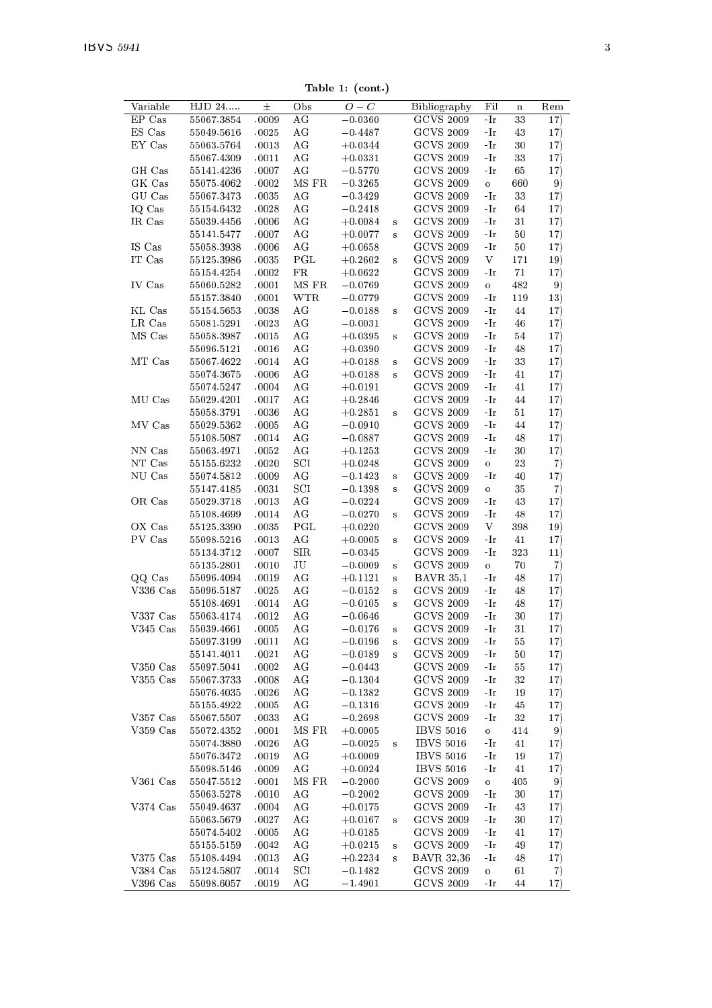Table 1: (cont.)

| Variable                 | HJD 24     | 士     | Obs          | $O-C$       |              | Bibliography      | Fil     | $\mathbf n$ | Rem |
|--------------------------|------------|-------|--------------|-------------|--------------|-------------------|---------|-------------|-----|
| EP Cas                   | 55067.3854 | .0009 | AG           | $-0.0360$   |              | <b>GCVS 2009</b>  | -Ir     | 33          | 17) |
| ES Cas                   | 55049.5616 | .0025 | AG           | $-0.4487$   |              | <b>GCVS 2009</b>  | -Ir     | 43          | 17) |
| EY Cas                   | 55063.5764 | .0013 | AG           | $+0.0344$   |              | <b>GCVS 2009</b>  | -Ir     | 30          | 17) |
|                          | 55067.4309 | .0011 | AG           | $+0.0331$   |              | <b>GCVS 2009</b>  | $-Ir$   | 33          | 17) |
| GH Cas                   | 55141.4236 | .0007 | AG           | $-0.5770$   |              | <b>GCVS 2009</b>  | $-Ir$   | 65          | 17) |
| GK Cas                   | 55075.4062 | .0002 | MS FR        | $-0.3265$   |              | <b>GCVS 2009</b>  | $\circ$ | 660         | 9)  |
| GU Cas                   | 55067.3473 | .0035 | AG           | $-0.3429$   |              | <b>GCVS 2009</b>  | -Ir     | 33          | 17) |
| IQ Cas                   | 55154.6432 | .0028 | AG           | $-0.2418$   |              | <b>GCVS 2009</b>  | $-Ir$   | 64          | 17) |
| IR Cas                   | 55039.4456 | .0006 | AG           | $+0.0084$   | s            | <b>GCVS 2009</b>  | $-Ir$   | 31          | 17) |
|                          | 55141.5477 | .0007 | AG           | $+0.0077$   | s            | <b>GCVS 2009</b>  | -Ir     | 50          | 17) |
| IS Cas                   | 55058.3938 | .0006 | AG           | $+0.0658$   |              | <b>GCVS 2009</b>  | -Ir     | 50          | 17) |
| IT Cas                   | 55125.3986 | .0035 | $_{\rm PGL}$ | $+0.2602$   | s            | <b>GCVS 2009</b>  | V       | 171         | 19) |
|                          | 55154.4254 | .0002 | FR           | $+0.0622$   |              | <b>GCVS 2009</b>  | -Ir     | 71          | 17) |
| IV Cas                   | 55060.5282 | .0001 | MS FR        | $-0.0769$   |              | <b>GCVS 2009</b>  | $\circ$ | 482         | 9)  |
|                          | 55157.3840 | .0001 | WTR          | $-0.0779$   |              | <b>GCVS 2009</b>  | -Ir     | 119         | 13) |
| KL Cas                   | 55154.5653 | .0038 | AG           | $-0.0188$   | s            | <b>GCVS 2009</b>  | $-Ir$   | 44          | 17) |
| LR Cas                   | 55081.5291 | .0023 | AG           | $-0.0031$   |              | <b>GCVS 2009</b>  | $-Ir$   | 46          | 17) |
| MS Cas                   | 55058.3987 | .0015 | AG           | $+0.0395$   | s            | <b>GCVS 2009</b>  | -Ir     | 54          | 17) |
|                          | 55096.5121 | .0016 | AG           | $+0.0390$   |              | <b>GCVS 2009</b>  | $-Ir$   | 48          | 17) |
| MT Cas                   | 55067.4622 | .0014 | AG           | $+0.0188$   | s            | <b>GCVS 2009</b>  | $-Ir$   | 33          | 17) |
|                          | 55074.3675 | .0006 | AG           | $+0.0188$   | s            | <b>GCVS 2009</b>  | -Ir     | 41          | 17) |
|                          | 55074.5247 | .0004 | AG           | $+0.0191$   |              | <b>GCVS 2009</b>  | -Ir     | 41          | 17) |
| MU Cas                   | 55029.4201 | .0017 | AG           | $+0.2846$   |              | <b>GCVS 2009</b>  | -Ir     | 44          | 17) |
|                          | 55058.3791 | .0036 | AG           | $+0.2851$   | s            | <b>GCVS 2009</b>  | -Ir     | 51          | 17) |
| MV Cas                   | 55029.5362 | .0005 | AG           | $-0.0910$   |              | <b>GCVS 2009</b>  | -Ir     | 44          | 17) |
|                          | 55108.5087 | .0014 | AG           | $-0.0887$   |              | <b>GCVS 2009</b>  | $-Ir$   | 48          | 17) |
| NN Cas                   | 55063.4971 | .0052 | AG           | $+0.1253$   |              | <b>GCVS 2009</b>  | $-Ir$   | 30          | 17) |
| NT Cas                   | 55155.6232 | .0020 | SCI          | $+0.0248$   |              | <b>GCVS 2009</b>  | $\circ$ | 23          | 7)  |
| NU Cas                   | 55074.5812 | .0009 | AG           | $-0.1423$   | s            | <b>GCVS 2009</b>  | -Ir     | 40          | 17) |
|                          | 55147.4185 | .0031 | SCI          | $-0.1398$   | s            | <b>GCVS 2009</b>  | $\circ$ | 35          | 7)  |
| OR Cas                   | 55029.3718 | .0013 | AG           | $-0.0224$   |              | <b>GCVS 2009</b>  | -Ir     | 43          | 17) |
|                          | 55108.4699 | .0014 | AG           | $-0.0270$   | s            | <b>GCVS 2009</b>  | -Ir     | 48          | 17) |
| OX Cas                   | 55125.3390 | .0035 | PGL          | $+0.0220$   |              | <b>GCVS 2009</b>  | V       | 398         | 19) |
| PV Cas                   | 55098.5216 | .0013 | AG           | $+0.0005$   | s            | <b>GCVS 2009</b>  | -Ir     | 41          | 17) |
|                          | 55134.3712 | .0007 | SIR          | $-0.0345$   |              | <b>GCVS 2009</b>  | -Ir     | 323         | 11) |
|                          | 55135.2801 | .0010 | JU           | $-0.0009$   | $\bf{s}$     | <b>GCVS 2009</b>  | $\circ$ | 70          | 7)  |
| QQ Cas                   | 55096.4094 | .0019 | AG           | $+0.1121$   | $\bf s$      | <b>BAVR 35,1</b>  | -Ir     | 48          | 17) |
| $V336$ $Cas$             | 55096.5187 | .0025 | AG           | $-0.0152$   | s            | <b>GCVS 2009</b>  | -Ir     | 48          | 17) |
|                          | 55108.4691 | .0014 | AG           | $-0.0105$   | s            | <b>GCVS 2009</b>  | -Ir     | 48          | 17) |
| $V337$ $Cas$             | 55063.4174 | .0012 | AG           | $-0.0646$   |              | <b>GCVS 2009</b>  | -Ir     | 30          | 17) |
| $V345$ $Cas$             | 55039.4661 | .0005 | AG           | $-0.0176$   | s            | <b>GCVS 2009</b>  | -Ir     | 31          | 17) |
|                          | 55097.3199 | .0011 | AG           | $-0.01\,96$ | s            | <b>GCVS 2009</b>  | $-Ir$   | 55          | 17) |
|                          | 55141.4011 | .0021 | AG           | $-0.0189$   | s            | <b>GCVS 2009</b>  | -Ir     | 50          | 17) |
| $V350$ $Cas$             | 55097.5041 | .0002 | AG           | $-0.0443$   |              | <b>GCVS 2009</b>  | -Ir     | 55          | 17) |
| $V355$ $Cas$             | 55067.3733 | .0008 | AG           | $-0.1304$   |              | <b>GCVS 2009</b>  | -Ir     | 32          | 17) |
|                          | 55076.4035 | .0026 | ΑG           | $-0.1382$   |              | <b>GCVS 2009</b>  | -Ir     | 19          | 17) |
|                          | 55155.4922 | .0005 | AG           | $-0.1316$   |              | <b>GCVS 2009</b>  | -Ir     | 45          | 17) |
| $V357$ $Cas$             | 55067.5507 | .0033 | AG           | $-0.2698$   |              | <b>GCVS 2009</b>  | -Ir     | 32          | 17) |
| $V359$ $Cas$             | 55072.4352 | .0001 | MS FR        | $+0.0005$   |              | <b>IBVS 5016</b>  | $\circ$ | 414         | 9)  |
|                          | 55074.3880 | .0026 | AG           | $-0.0025$   | s            | <b>IBVS 5016</b>  | -Ir     | 41          | 17) |
|                          | 55076.3472 | .0019 | AG           | $+0.0009$   |              | <b>IBVS 5016</b>  | -Ir     | 19          | 17) |
|                          | 55098.5146 | .0009 | AG           | $+0.0024$   |              | <b>IBVS 5016</b>  | -Ir     | 41          | 17) |
| $V361$ $Cas$             | 55047.5512 | .0001 | MS FR        | $-0.2000$   |              | <b>GCVS 2009</b>  | $\circ$ | 405         | 9)  |
|                          | 55063.5278 | .0010 | AG           | $-0.2002$   |              | <b>GCVS 2009</b>  | -Ir     | 30          | 17) |
|                          |            |       |              |             |              |                   | -Ir     | 43          |     |
| $V374$ $Cas$             | 55049.4637 | .0004 | AG           | $+0.0175$   |              | <b>GCVS 2009</b>  |         |             | 17) |
|                          | 55063.5679 | .0027 | AG           | $+0.0167$   | $\mathbf{s}$ | <b>GCVS 2009</b>  | -Ir     | 30          | 17) |
|                          | 55074.5402 | .0005 | ΑG           | $+0.0185$   |              | <b>GCVS 2009</b>  | -Ir     | 41          | 17) |
|                          | 55155.5159 | .0042 | AG           | $+0.0215$   | $\bf S$      | <b>GCVS 2009</b>  | -Ir     | 49          | 17) |
| $V375$ $Cas$             | 55108.4494 | .0013 | AG           | $+0.2234$   | s            | <b>BAVR 32,36</b> | -Ir     | 48          | 17) |
| V384 Cas<br>$V396$ $Cas$ | 55124.5807 | .0014 | SCI          | $-0.1482$   |              | <b>GCVS 2009</b>  | $\circ$ | 61          | 7)  |
|                          | 55098.6057 | .0019 | AG           | $-1.4901$   |              | <b>GCVS 2009</b>  | -Ir     | 44          | 17) |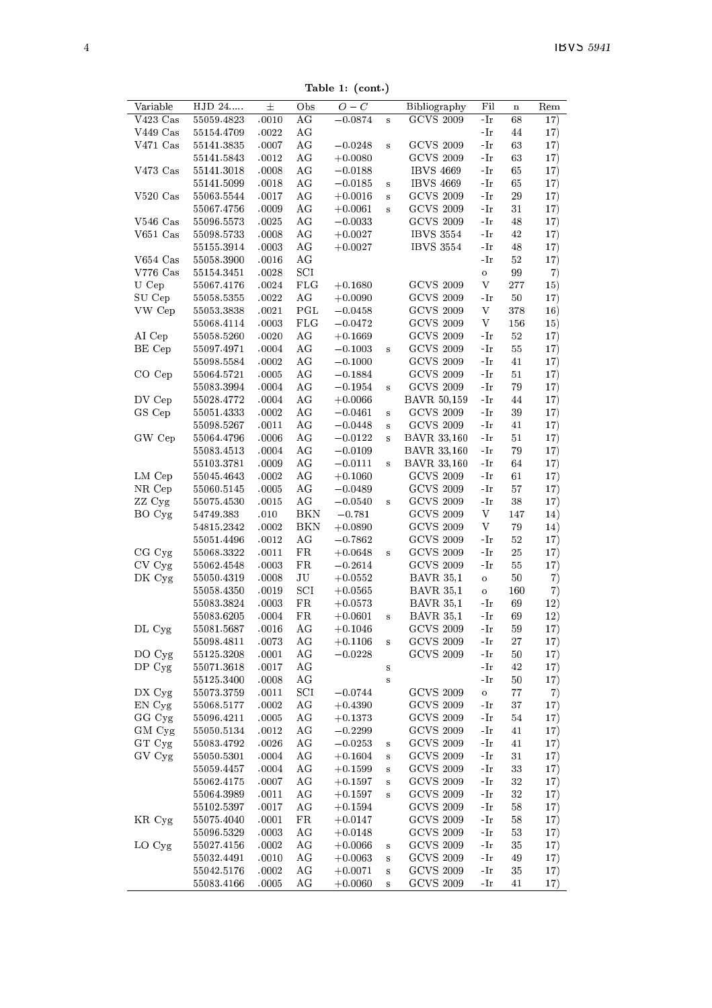Table 1: (cont.)

|                                                |                          |                |              | 18016 1. (COM. <i>)</i> |                         |                                         |                                   |                   |            |
|------------------------------------------------|--------------------------|----------------|--------------|-------------------------|-------------------------|-----------------------------------------|-----------------------------------|-------------------|------------|
| Variable<br>$V423$ Cas                         | HJD 24                   | 士              | Obs          | $O-C$                   |                         | <b>Bibliography</b><br><b>GCVS 2009</b> | Fil                               | $\mathbf n$<br>68 | Rem        |
| $V449$ Cas                                     | 55059.4823<br>55154.4709 | .0010<br>.0022 | AG<br>AG     | $-0.0874$               | s                       |                                         | -Ir<br>-Ir                        | 44                | 17)<br>17) |
| $V471$ Cas                                     | 55141.3835               | .0007          | AG           | $-0.0248$               | s                       | <b>GCVS 2009</b>                        | -Ir                               | 63                |            |
|                                                | 55141.5843               | .0012          | AG           | $+0.0080$               |                         | <b>GCVS 2009</b>                        | $-Ir$                             | 63                | 17)<br>17) |
| $V473$ $Cas$                                   | 55141.3018               | .0008          | AG           | $-0.0188$               |                         | <b>IBVS 4669</b>                        | $-Ir$                             | 65                | 17)        |
|                                                | 55141.5099               | .0018          | AG           | $-0.0185$               | s                       | <b>IBVS 4669</b>                        | $-Ir$                             | 65                | 17)        |
| $V520$ Cas                                     | 55063.5544               | .0017          | AG           | $+0.0016$               | s                       | <b>GCVS 2009</b>                        | -Ir                               | 29                | 17)        |
|                                                | 55067.4756               | .0009          | AG           | $+0.0061$               | $\overline{\mathbf{s}}$ | <b>GCVS 2009</b>                        | -Ir                               | 31                | 17)        |
| $V546$ Cas                                     | 55096.5573               | .0025          | AG           | $-0.0033$               |                         | <b>GCVS 2009</b>                        | -Ir                               | 48                | 17)        |
| $V651$ Cas                                     | 55098.5733               | .0008          | AG           | $+0.0027$               |                         | <b>IBVS 3554</b>                        | -Ir                               | 42                | 17)        |
|                                                | 55155.3914               | .0003          | AG           | $+0.0027$               |                         | <b>IBVS 3554</b>                        | -Ir                               | 48                | 17)        |
| $V654$ Cas                                     | 55058.3900               | .0016          | AG           |                         |                         |                                         | -Ir                               | 52                | 17)        |
| $V776$ Cas                                     | 55154.3451               | .0028          | SCI          |                         |                         |                                         | $\mathbf{o}$                      | 99                | 7)         |
| U Cep                                          | 55067.4176               | .0024          | <b>FLG</b>   | $+0.1680$               |                         | <b>GCVS 2009</b>                        | V                                 | 277               | 15)        |
| SU Cep                                         | 55058.5355               | .0022          | AG           | $+0.0090$               |                         | <b>GCVS 2009</b>                        | $-Ir$                             | 50                | 17)        |
| VW Cep                                         | 55053.3838               | .0021          | PGL          | $-0.0458$               |                         | <b>GCVS 2009</b>                        | V                                 | 378               | 16)        |
|                                                | 55068.4114               | .0003          | FLG          | $-0.0472$               |                         | <b>GCVS 2009</b>                        | V                                 | 156               | 15)        |
| AI Cep                                         | 55058.5260               | .0020          | AG           | $+0.1669$               |                         | <b>GCVS 2009</b>                        | -Ir                               | 52                | 17)        |
| BE Cep                                         | 55097.4971               | .0004          | AG           | $-0.1003$               | s                       | <b>GCVS 2009</b>                        | -Ir                               | 55                | 17)        |
|                                                | 55098.5584               | .0002          | AG           | $-0.1000$               |                         | <b>GCVS 2009</b>                        | -Ir                               | 41                | 17)        |
| CO Cep                                         | 55064.5721               | .0005          | AG           | $-0.1884$               |                         | <b>GCVS 2009</b>                        | -Ir                               | 51                | 17)        |
|                                                | 55083.3994               | .0004          | AG           | $-0.1954$               | s                       | <b>GCVS 2009</b>                        | $\mathbin{\textup{--}\mathbf{I}}$ | 79                | 17)        |
| DV Cep                                         | 55028.4772               | .0004          | AG           | $+0.0066$               |                         | <b>BAVR 50,159</b>                      | $\mathbin{\textup{--}\mathbf{I}}$ | 44                | 17)        |
| GS Cep                                         | 55051.4333               | .0002          | AG           | $-0.0461$               | s                       | <b>GCVS 2009</b>                        | -Ir                               | 39                | 17)        |
|                                                | 55098.5267               | .0011          | AG           | $-0.0448$               | s                       | <b>GCVS 2009</b>                        | -Ir                               | 41                | 17)        |
| GW Cep                                         | 55064.4796               | .0006          | AG           | $-0.0122$               | $\overline{\mathbf{s}}$ | <b>BAVR 33,160</b>                      | -Ir                               | 51                | 17)        |
|                                                | 55083.4513               | .0004          | AG           | $-0.0109$               |                         | <b>BAVR 33,160</b>                      | $-Ir$                             | 79                | 17)        |
|                                                | 55103.3781               | .0009          | AG           | $-0.0111$               | s                       | <b>BAVR 33,160</b>                      | -Ir                               | 64                | 17)        |
| $LM$ $Cep$                                     | 55045.4643               | .0002          | AG           | $+0.1060$               |                         | <b>GCVS 2009</b>                        | -Ir                               | 61                | 17)        |
| NR Cep                                         | 55060.5145               | .0005          | AG           | $-0.0489$               |                         | <b>GCVS 2009</b>                        | -Ir                               | 57                | 17)        |
| ZZ Cyg                                         | 55075.4530               | .0015          | AG           | $-0.0540$               | s                       | <b>GCVS 2009</b>                        | $-Ir$                             | 38                | 17)        |
| BO Cyg                                         | 54749.383                | .010           | BKN          | $-0.781$                |                         | <b>GCVS 2009</b>                        | V                                 | 147               | 14)        |
|                                                | 54815.2342               | .0002          | BKN          | $+0.0890$               |                         | <b>GCVS 2009</b>                        | V                                 | 79                | 14)        |
|                                                | 55051.4496               | .0012          | AG           | $-0.7862$               |                         | <b>GCVS 2009</b>                        | -Ir                               | $5\,2$            | 17)        |
| CG Cyg                                         | 55068.3322               | .0011          | FR           | $+0.0648$               | s                       | <b>GCVS 2009</b>                        | -Ir                               | 25                | 17)        |
| CV Cyg                                         | 55062.4548               | .0003          | FR           | $-0.2614$               |                         | <b>GCVS 2009</b>                        | -Ir                               | 55                | 17)        |
| DK Cyg                                         | 55050.4319               | .0008          | JU           | $+0.0552$               |                         | <b>BAVR 35,1</b>                        | $\circ$                           | 50                | 7)         |
|                                                | 55058.4350               | .0019          | $_{\rm SCI}$ | $+0.0565$               |                         | <b>BAVR 35,1</b>                        | $\circ$                           | 160               | 7)         |
|                                                | 55083.3824               | .0003          | FR           | $+0.0573$               |                         | <b>BAVR 35,1</b>                        | -Ir                               | 69                | 12)        |
|                                                | 55083.6205               | .0004          | FR           | $+0.0601$               | s                       | <b>BAVR 35,1</b>                        | -Ir                               | 69                | 12)        |
| DL Cyg                                         | 55081.5687               | .0016          | AG           | $+0.1046$               |                         | <b>GCVS 2009</b>                        | -Ir                               | 59                | 17)        |
|                                                | 55098.4811               | .0073          | AG           | $+0.1106$               | $\overline{\mathbf{s}}$ | <b>GCVS 2009</b>                        | -Ir                               | 27                | 17)        |
| DO Cyg                                         | 55125.3208               | .0001          | AG           | $-0.0228$               |                         | <b>GCVS 2009</b>                        | -Ir                               | 50                | 17)        |
| DP Cyg                                         | 55071.3618               | .0017          | AG           |                         | s                       |                                         | -Ir                               | 42                | 17)        |
|                                                | 55125.3400               | .0008          | AG           |                         | s                       |                                         | -Ir                               | 50                | 17)        |
| DX Cyg                                         | 55073.3759               | .0011          | SCI          | $-0.0744$               |                         | <b>GCVS 2009</b>                        | $\mathbf{o}$                      | 77                | 7)         |
| EN Cyg                                         | 55068.5177               | .0002          | AG           | $+0.4390$               |                         | <b>GCVS 2009</b>                        | -Ir                               | 37                | 17)        |
| GG Cyg                                         | 55096.4211               | .0005          | AG           | $+0.1373$               |                         | <b>GCVS 2009</b>                        | $-Ir$                             | 54                | 17)        |
|                                                |                          | .0012          | AG           | $-0.2299$               |                         | <b>GCVS 2009</b>                        | -Ir                               | 41                | 17)        |
|                                                | 55050.5134               |                |              | $-0.0253$               | s                       | <b>GCVS 2009</b>                        | -Ir                               | 41                | 17)        |
|                                                | 55083.4792               | .0026          | AG           |                         |                         |                                         |                                   |                   |            |
|                                                | 55050.5301               | .0004          | AG           | $+0.1604$               | $\overline{\mathbf{s}}$ | <b>GCVS 2009</b>                        | -Ir                               | 31                | 17)        |
|                                                | 55059.4457               | .0004          | AG           | $+0.1599$               | s                       | <b>GCVS 2009</b>                        | -Ir                               | 33                | 17)        |
|                                                | 55062.4175               | .0007          | AG           | $+0.1597$               | s                       | <b>GCVS 2009</b>                        | $-Ir$                             | 32                | 17)        |
|                                                | 55064.3989               | .0011          | AG           | $+0.1597$               | $\overline{\mathbf{s}}$ | <b>GCVS 2009</b>                        | -Ir                               | 32                | 17)        |
|                                                | 55102.5397               | .0017          | AG           | $+0.1594$               |                         | <b>GCVS 2009</b>                        | -Ir                               | 58                | 17)        |
|                                                | 55075.4040               | .0001          | FR           | $+0.0147$               |                         | <b>GCVS 2009</b>                        | -Ir                               | 58                | 17)        |
|                                                | 55096.5329               | .0003          | AG           | $+0.0148$               |                         | <b>GCVS 2009</b>                        | -Ir                               | 53                | 17)        |
|                                                | 55027.4156               | .0002          | AG           | $+0.0066$               | s                       | <b>GCVS 2009</b>                        | -Ir                               | 35                | 17)        |
|                                                | 55032.4491               | .0010          | ΑG           | $+0.0063$               | s                       | <b>GCVS 2009</b>                        | -Ir                               | 49                | 17)        |
| GM Cyg<br>GT Cyg<br>GV Cyg<br>KR Cyg<br>LO Cyg | 55042.5176<br>55083.4166 | .0002<br>.0005 | AG<br>AG     | $+0.0071$<br>$+0.0060$  | s<br>s                  | <b>GCVS 2009</b><br><b>GCVS 2009</b>    | -Ir<br>$-Ir$                      | 35<br>41          | 17)<br>17) |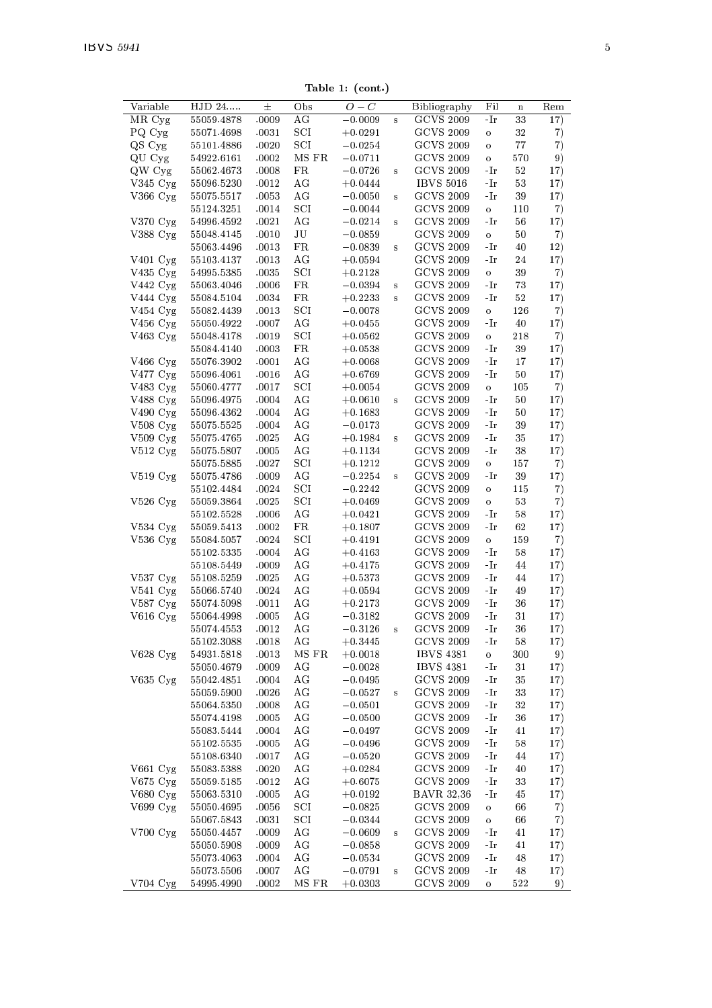Table 1: (cont.)

| Variable              | $HJD$ 24   | 士     | Obs          | $O-C$     |          | <b>Bibliography</b> | Fil          | $\mathbf n$ | Rem |
|-----------------------|------------|-------|--------------|-----------|----------|---------------------|--------------|-------------|-----|
| MR Cyg                | 55059.4878 | .0009 | AG           | $-0.0009$ | s        | <b>GCVS 2009</b>    | -Ir          | 33          | 17) |
| PQ Cyg                | 55071.4698 | .0031 | $_{\rm SCI}$ | $+0.0291$ |          | <b>GCVS 2009</b>    | $\circ$      | 32          | 7)  |
| QS Cyg                | 55101.4886 | .0020 | SCI          | $-0.0254$ |          | <b>GCVS 2009</b>    | $\circ$      | 77          | 7)  |
|                       |            |       |              |           |          |                     |              |             |     |
| QU Cyg                | 54922.6161 | .0002 | MS FR        | $-0.0711$ |          | <b>GCVS 2009</b>    | $\circ$      | 570         | 9)  |
| QW Cyg                | 55062.4673 | .0008 | FR           | $-0.0726$ | s        | <b>GCVS 2009</b>    | -Ir          | 52          | 17) |
| $V345$ Cyg            | 55096.5230 | .0012 | AG           | $+0.0444$ |          | <b>IBVS 5016</b>    | -Ir          | 53          | 17) |
| $V366$ Cyg            | 55075.5517 | .0053 | AG           | $-0.0050$ | s        | <b>GCVS 2009</b>    | -Ir          | 39          | 17) |
|                       | 55124.3251 | .0014 | SCI          | $-0.0044$ |          | <b>GCVS 2009</b>    | $\mathbf{o}$ | 110         | 7)  |
|                       |            |       |              |           |          |                     |              |             |     |
| V370 Cyg              | 54996.4592 | .0021 | AG           | $-0.0214$ | $\bf{s}$ | <b>GCVS 2009</b>    | -Ir          | 56          | 17) |
| V388 Cyg              | 55048.4145 | .0010 | JU           | $-0.0859$ |          | <b>GCVS 2009</b>    | $\circ$      | 50          | 7)  |
|                       | 55063.4496 | .0013 | FR           | $-0.0839$ | s        | <b>GCVS 2009</b>    | -Ir          | 40          | 12) |
| $V401$ Cyg            | 55103.4137 | .0013 | AG           | $+0.0594$ |          | <b>GCVS 2009</b>    | -Ir          | 24          | 17) |
| $V435$ Cyg            | 54995.5385 | .0035 | SCI          | $+0.2128$ |          | <b>GCVS 2009</b>    | $\circ$      | 39          | 7)  |
|                       |            |       |              |           |          |                     |              |             |     |
| V442 Cyg              | 55063.4046 | .0006 | FR           | $-0.0394$ | $\bf{s}$ | <b>GCVS 2009</b>    | -Ir          | 73          | 17) |
| V444 Cyg              | 55084.5104 | .0034 | FR           | $+0.2233$ | s        | <b>GCVS 2009</b>    | -Ir          | 52          | 17) |
| V454 Cyg              | 55082.4439 | .0013 | SCI          | $-0.0078$ |          | <b>GCVS 2009</b>    | $\circ$      | 126         | 7)  |
| $V456$ Cyg            | 55050.4922 | .0007 | AG           | $+0.0455$ |          | <b>GCVS 2009</b>    | -Ir          | 40          | 17) |
| $V463$ Cyg            | 55048.4178 | .0019 | $_{\rm SCI}$ | $+0.0562$ |          | <b>GCVS 2009</b>    | $\circ$      | 218         | 7)  |
|                       | 55084.4140 | .0003 | FR           | $+0.0538$ |          | <b>GCVS 2009</b>    | -Ir          | 39          | 17) |
|                       |            |       |              |           |          |                     |              |             |     |
| V466 Cyg              | 55076.3902 | .0001 | AG           | $+0.0068$ |          | <b>GCVS 2009</b>    | -Ir          | 17          | 17) |
| $V477$ Cyg            | 55096.4061 | .0016 | AG           | $+0.6769$ |          | <b>GCVS 2009</b>    | -Ir          | 50          | 17) |
| $V483$ $Cyg$          | 55060.4777 | .0017 | $_{\rm SCI}$ | $+0.0054$ |          | <b>GCVS 2009</b>    | $\circ$      | 105         | 7)  |
| $V488$ Cyg            | 55096.4975 | .0004 | AG           | $+0.0610$ | s        | <b>GCVS 2009</b>    | -Ir          | 50          | 17) |
| V490 Cyg              | 55096.4362 | .0004 | AG           | $+0.1683$ |          | <b>GCVS 2009</b>    | -Ir          | 50          | 17) |
|                       |            |       | AG           |           |          | <b>GCVS 2009</b>    |              |             |     |
| $V508$ Cyg            | 55075.5525 | .0004 |              | $-0.0173$ |          |                     | -Ir          | 39          | 17) |
| $V509$ Cyg            | 55075.4765 | .0025 | AG           | $+0.1984$ | $\bf{s}$ | <b>GCVS 2009</b>    | -Ir          | 35          | 17) |
| $V512 \text{ Cyg}$    | 55075.5807 | .0005 | AG           | $+0.1134$ |          | <b>GCVS 2009</b>    | $-Ir$        | 38          | 17) |
|                       | 55075.5885 | .0027 | $_{\rm SCI}$ | $+0.1212$ |          | <b>GCVS 2009</b>    | $\circ$      | 157         | 7)  |
| $V519$ $Cyg$          | 55075.4786 | .0009 | AG           | $-0.2254$ | s        | <b>GCVS 2009</b>    | -Ir          | 39          | 17) |
|                       | 55102.4484 |       | SCI          | $-0.2242$ |          | <b>GCVS 2009</b>    |              |             |     |
|                       |            | .0024 |              |           |          |                     | $\circ$      | 115         | 7)  |
| V526 Cyg              | 55059.3864 | .0025 | SCI          | $+0.0469$ |          | <b>GCVS 2009</b>    | $\circ$      | 53          | 7)  |
|                       | 55102.5528 | .0006 | AG           | $+0.0421$ |          | <b>GCVS 2009</b>    | -Ir          | 58          | 17) |
| $V534$ Cyg            | 55059.5413 | .0002 | FR           | $+0.1807$ |          | <b>GCVS 2009</b>    | -Ir          | 62          | 17) |
| $V536$ Cyg            | 55084.5057 | .0024 | SCI          | $+0.4191$ |          | <b>GCVS 2009</b>    | $\mathbf{o}$ | 159         | 7)  |
|                       | 55102.5335 | .0004 | AG           | $+0.4163$ |          | <b>GCVS 2009</b>    | -Ir          | 58          | 17) |
|                       |            |       | AG           |           |          | <b>GCVS 2009</b>    |              |             |     |
|                       | 55108.5449 | .0009 |              | $+0.4175$ |          |                     | -Ir          | 44          | 17) |
| $V537 \,\mathrm{Cyg}$ | 55108.5259 | .0025 | ΑG           | $+0.5373$ |          | <b>GCVS 2009</b>    | -Ir          | 44          | 17) |
| V541 Cyg              | 55066.5740 | .0024 | AG           | $+0.0594$ |          | <b>GCVS 2009</b>    | $-Ir$        | 49          | 17) |
| V587 Cyg              | 55074.5098 | .0011 | AG           | $+0.2173$ |          | <b>GCVS 2009</b>    | -Ir          | 36          | 17) |
| V616 Cyg              | 55064.4998 | .0005 | AG           | $-0.3182$ |          | <b>GCVS 2009</b>    | -Ir          | 31          | 17) |
|                       | 55074.4553 | .0012 | AG           | $-0.3126$ | $\bf{s}$ | <b>GCVS 2009</b>    | -Ir          | 36          | 17) |
|                       |            |       |              |           |          |                     |              |             |     |
|                       | 55102.3088 | .0018 | AG           | $+0.3445$ |          | <b>GCVS 2009</b>    | $-Ir$        | 58          | 17) |
| $V628$ Cyg            | 54931.5818 | .0013 | MS FR        | $+0.0018$ |          | <b>IBVS 4381</b>    | $\circ$      | 300         | 9)  |
|                       | 55050.4679 | .0009 | AG           | $-0.0028$ |          | <b>IBVS 4381</b>    | -Ir          | 31          | 17) |
| $V635$ Cyg            | 55042.4851 | .0004 | AG           | $-0.0495$ |          | <b>GCVS 2009</b>    | -Ir          | 35          | 17) |
|                       | 55059.5900 | .0026 | AG           | $-0.0527$ | $\bf s$  | <b>GCVS 2009</b>    | -Ir          | 33          | 17) |
|                       | 55064.5350 | .0008 | AG           | $-0.0501$ |          | <b>GCVS 2009</b>    | -Ir          | 32          | 17) |
|                       |            |       |              |           |          |                     |              |             |     |
|                       | 55074.4198 | .0005 | ΑG           | $-0.0500$ |          | <b>GCVS 2009</b>    | -Ir          | 36          | 17) |
|                       | 55083.5444 | .0004 | AG           | $-0.0497$ |          | <b>GCVS 2009</b>    | -Ir          | 41          | 17) |
|                       | 55102.5535 | .0005 | ΑG           | $-0.0496$ |          | <b>GCVS 2009</b>    | -Ir          | 58          | 17) |
|                       | 55108.6340 | .0017 | AG           | $-0.0520$ |          | <b>GCVS 2009</b>    | -Ir          | 44          | 17) |
| $V661$ Cyg            | 55083.5388 | .0020 | AG           | $+0.0284$ |          | <b>GCVS 2009</b>    | -Ir          | 40          | 17) |
|                       |            |       |              |           |          |                     |              |             |     |
| $V675$ Cyg            | 55059.5185 | .0012 | AG           | $+0.6075$ |          | <b>GCVS 2009</b>    | -Ir          | 33          | 17) |
| V680 Cyg              | 55063.5310 | .0005 | AG           | $+0.0192$ |          | <b>BAVR 32,36</b>   | -Ir          | 45          | 17) |
| $V699$ Cyg            | 55050.4695 | .0056 | $_{\rm SCI}$ | $-0.0825$ |          | <b>GCVS 2009</b>    | $\circ$      | 66          | 7)  |
|                       | 55067.5843 | .0031 | $_{\rm SCI}$ | $-0.0344$ |          | <b>GCVS 2009</b>    | $\circ$      | 66          | 7)  |
| V700Cyg               | 55050.4457 | .0009 | ΑG           | $-0.0609$ | s        | <b>GCVS 2009</b>    | -Ir          | 41          | 17) |
|                       | 55050.5908 | .0009 | AG           | $-0.0858$ |          | <b>GCVS 2009</b>    | -Ir          | 41          | 17) |
|                       |            |       |              |           |          |                     |              |             |     |
|                       | 55073.4063 | .0004 | AG           | $-0.0534$ |          | <b>GCVS 2009</b>    | -Ir          | 48          | 17) |
|                       | 55073.5506 | .0007 | AG           | $-0.0791$ | s        | <b>GCVS 2009</b>    | $-Ir$        | 48          | 17) |
| V704 Cvg              | 54995.4990 | .0002 | MS FR        | $+0.0303$ |          | <b>GCVS 2009</b>    | $\circ$      | 522         | 9)  |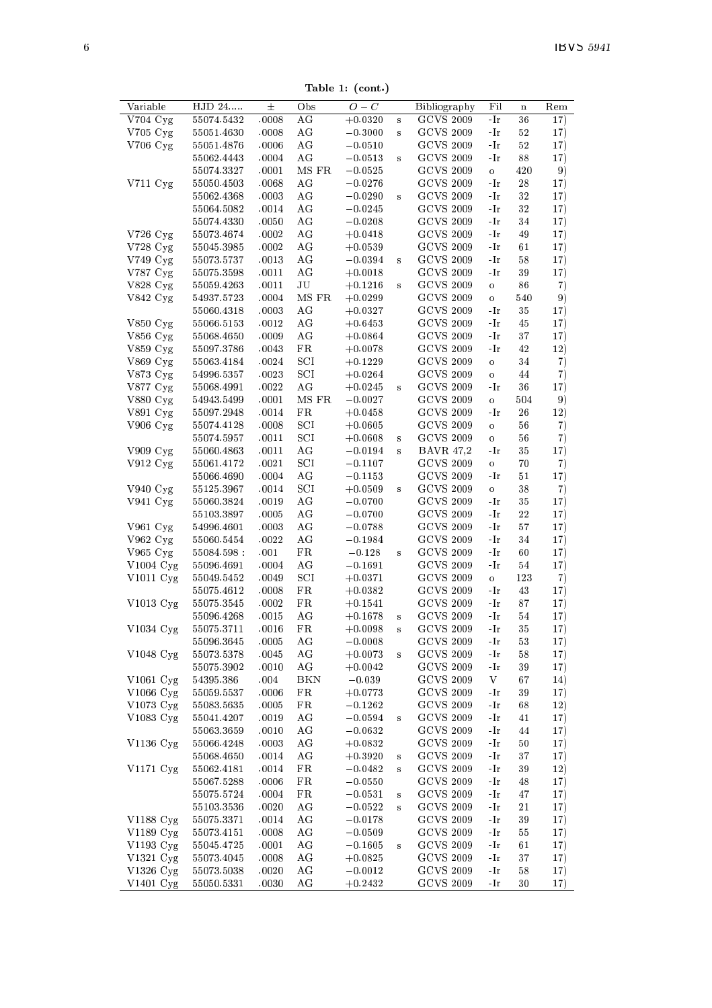Table 1: (cont.)

| $O-C$<br>Variable<br>HJD 24<br>士<br>Obs<br>Bibliography<br>Fil<br>$\mathbf n$<br><b>GCVS 2009</b><br>V704 Cyg<br>ΑG<br>$+0.0320$<br>55074.5432<br>.0008<br>-Ir<br>36<br>$\bf s$<br><b>GCVS 2009</b><br>$V705$ Cyg<br>AG<br>55051.4630<br>.0008<br>$-0.3000$<br>-Ir<br>52<br>s<br>$V706$ $Cyg$<br>.0006<br>AG<br>$-0.0510$<br><b>GCVS 2009</b><br>52<br>55051.4876<br>-Ir<br><b>GCVS 2009</b><br>55062.4443<br>.0004<br>ΑG<br>$-0.0513$<br>88<br>-Ir<br>$\mathbf{s}$<br>MS FR<br><b>GCVS 2009</b><br>420<br>55074.3327<br>.0001<br>$-0.0525$<br>$\circ$<br>V711 Cyg<br>AG<br><b>GCVS 2009</b><br>55050.4503<br>.0068<br>$-0.0276$<br>28<br>-Ir<br>AG<br><b>GCVS 2009</b><br>32<br>55062.4368<br>.0003<br>$-0.0290$<br>-Ir<br>$\mathbf{s}$<br><b>GCVS 2009</b><br>55064.5082<br>.0014<br>ΑG<br>$-0.0245$<br>-Ir<br>32<br>AG<br><b>GCVS 2009</b><br>55074.4330<br>.0050<br>$-0.0208$<br>-Ir<br>34<br><b>GCVS 2009</b><br>V726 Cyg<br>55073.4674<br>.0002<br>ΑG<br>$+0.0418$<br>$\mathbin{\text{-}\mathop{\text{-}\mathop{\text{-}}\mathop{\text{-}}\nolimits}}$<br>49<br>V728 Cyg<br>55045.3985<br>.0002<br>AG<br>$+0.0539$<br><b>GCVS 2009</b><br>$\mathbin{\text{-}\mathop{\text{-}\mathop{\text{-}}\mathop{\text{-}}\nolimits}}$<br>61<br>V749 Cyg<br><b>GCVS 2009</b><br>.0013<br>ΑG<br>55073.5737<br>$-0.0394$<br>-Ir<br>58<br>s<br>V787 Cyg<br>AG<br><b>GCVS 2009</b><br>55075.3598<br>.0011<br>$+0.0018$<br>-Ir<br>39<br>V828 Cyg<br>JU<br><b>GCVS 2009</b><br>55059.4263<br>.0011<br>$+0.1216$<br>86<br>$\circ$<br>$\bf{s}$<br><b>GCVS 2009</b><br>MS FR<br>$V842 \,\mathrm{Cyg}$<br>54937.5723<br>.0004<br>$+0.0299$<br>540<br>$\circ$<br><b>GCVS 2009</b><br>AG<br>55060.4318<br>.0003<br>$+0.0327$<br>-Ir<br>35<br>$V850$ $Cyg$<br>55066.5153<br>AG<br><b>GCVS 2009</b><br>45<br>.0012<br>$+0.6453$<br>-Ir<br><b>GCVS 2009</b><br>V856 Cyg<br>55068.4650<br>.0009<br>ΑG<br>$+0.0864$<br>37<br>-Ir<br><b>GCVS 2009</b><br>$V859$ $Cyg$<br>55097.3786<br>FR<br>-Ir<br>42<br>.0043<br>$+0.0078$<br>V869 Cyg<br>$_{\rm SCI}$<br><b>GCVS 2009</b><br>55063.4184<br>.0024<br>$+0.1229$<br>34<br>$\circ$<br>V873 Cyg<br>54996.5357<br>$_{\rm SCI}$<br><b>GCVS 2009</b><br>.0023<br>$+0.0264$<br>44<br>$\circ$<br>AG<br><b>GCVS 2009</b><br>V877 Cyg<br>55068.4991<br>.0022<br>$+0.0245$<br>-Ir<br>36<br>s<br><b>GCVS 2009</b><br>V880 Cyg<br>MS FR<br>54943.5499<br>.0001<br>$-0.0027$<br>504<br>$\circ$<br><b>GCVS 2009</b><br>V891 Cyg<br>55097.2948<br>.0014<br>FR<br>$+0.0458$<br>26<br>-Ir<br><b>GCVS 2009</b><br>$V906$ Cyg<br>55074.4128<br>.0008<br>SCI<br>$+0.0605$<br>56<br>$\circ$<br>$_{\rm SCI}$<br><b>GCVS 2009</b><br>.0011<br>55074.5957<br>$+0.0608$<br>56<br>$\bf{s}$<br>o<br>V909Cyg<br>AG<br><b>BAVR 47,2</b><br>55060.4863<br>.0011<br>$-0.0194$<br>-Ir<br>35<br>$\bf s$<br>$V912 \,\mathrm{Cyg}$<br>55061.4172<br>SCI<br><b>GCVS 2009</b><br>70<br>.0021<br>$-0.1107$<br>o<br>.0004<br>AG<br><b>GCVS 2009</b><br>55066.4690<br>$-0.1153$<br>-Ir<br>51<br>V940 Cyg<br>$_{\rm SCI}$<br><b>GCVS 2009</b><br>55125.3967<br>.0014<br>$+0.0509$<br>38<br>$\circ$<br>s<br>AG<br><b>GCVS 2009</b><br>$V941$ Cyg<br>55060.3824<br>.0019<br>$-0.0700$<br>-Ir<br>35<br>AG<br><b>GCVS 2009</b><br>55103.3897<br>.0005<br>$-0.0700$<br>-Ir<br>$^{22}$<br><b>GCVS 2009</b><br>V961 Cyg<br>54996.4601<br>.0003<br>AG<br>$-0.0788$<br>-Ir<br>57<br><b>GCVS 2009</b><br>$V962$ Cyg<br>AG<br>55060.5454<br>.0022<br>$-0.1984$<br>34<br>-Ir<br><b>GCVS 2009</b><br>V965 Cyg<br>$_{\rm FR}$<br>$-0.128$<br>60<br>55084.598 :<br>.001<br>-Ir<br>s<br>V1004 $Cyg$<br>.0004<br>AG<br>$-0.1691$<br><b>GCVS 2009</b><br>$\mathbin{\text{-}\mathop{\text{-}\mathop{\text{-}}\mathop{\text{-}}\nolimits}}$<br>55096.4691<br>54<br><b>GCVS 2009</b><br>V1011 Cyg<br>$_{\rm SCI}$<br>55049.5452<br>.0049<br>$+0.0371$<br>$\circ$<br>123<br><b>GCVS 2009</b><br>FR<br>55075.4612<br>.0008<br>$+0.0382$<br>-Ir<br>43<br><b>GCVS 2009</b><br>V1013 Cyg<br>55075.3545<br>.0002<br>FR<br>$+0.1541$<br>-Ir<br>87<br><b>GCVS 2009</b><br>55096.4268<br>.0015<br>ΑG<br>$+0.1678$<br>$-Ir$<br>54<br>$\mathbf{s}$<br><b>GCVS 2009</b><br>$V1034$ Cyg<br>55075.3711<br>.0016<br>FR<br>$+0.0098$<br>-Ir<br>35<br>s<br><b>GCVS 2009</b><br>55096.3645<br>.0005<br>AG<br>$-0.0008$<br>-Ir<br>53<br>V1048 Cyg<br>55073.5378<br>.0045<br>AG<br><b>GCVS 2009</b><br>$+0.0073$<br>-Ir<br>58<br>s<br>AG<br><b>GCVS 2009</b><br>55075.3902<br>.0010<br>$+0.0042$<br>-Ir<br>39<br><b>GCVS 2009</b><br>$V1061$ Cyg<br>.004<br>BKN<br>$-0.039$<br>V<br>54395.386<br>67<br>V1066 Cyg<br><b>GCVS 2009</b><br>55059.5537<br>.0006<br>FR<br>$+0.0773$<br>-Ir<br>39<br><b>GCVS 2009</b><br>V1073 Cyg<br>55083.5635<br>.0005<br>FR<br>$-0.1262$<br>-Ir<br>68<br>V1083 Cyg<br><b>GCVS 2009</b><br>AG<br>55041.4207<br>.0019<br>$-0.0594$<br>-Ir<br>41<br>$\bf s$<br><b>GCVS 2009</b><br>AG<br>$-0.0632$<br>55063.3659<br>.0010<br>-Ir<br>44<br>V1136 Cyg<br>AG<br>$+0.0832$<br><b>GCVS 2009</b><br>55066.4248<br>.0003<br>-Ir<br>50<br>AG<br><b>GCVS 2009</b><br>55068.4650<br>.0014<br>$+0.3920$<br>-Ir<br>37<br>$\bf{s}$<br><b>GCVS 2009</b><br>$V1171$ $Cyg$<br>FR<br>39<br>55062.4181<br>.0014<br>$-0.0482$<br>-Ir<br>$\bf{s}$<br><b>GCVS 2009</b><br>55067.5288<br>.0006<br>$_{\rm FR}$<br>$-0.0550$<br>-Ir<br>48<br>FR<br>$-0.0531$<br><b>GCVS 2009</b><br>55075.5724<br>.0004<br>-Ir<br>47<br>$\bf{s}$<br><b>GCVS 2009</b><br>55103.3536<br>.0020<br>AG<br>$-0.0522$<br>-Ir<br>$^{21}$<br>$\bf s$<br><b>GCVS 2009</b><br>V1188 Cyg<br>AG<br>55075.3371<br>.0014<br>$-0.0178$<br>39<br>-Ir<br><b>GCVS 2009</b><br>V1189 Cyg<br>55073.4151<br>.0008<br>AG<br>$-0.0509$<br>-Ir<br>55<br><b>GCVS 2009</b><br>$V1193$ $Cyg$<br>55045.4725<br>.0001<br>AG<br>$-0.1605$<br>-Ir<br>61<br>$\mathbf{s}$<br><b>GCVS 2009</b><br>$V1321$ $Cyg$<br>.0008<br>ΑG<br>37<br>55073.4045<br>$+0.0825$<br>-Ir<br>V1326 Cyg<br>AG<br><b>GCVS 2009</b><br>55073.5038<br>.0020<br>$-0.0012$<br>-Ir<br>58 |  |  | дарле 1: (соц.,) |  |  |                               |
|------------------------------------------------------------------------------------------------------------------------------------------------------------------------------------------------------------------------------------------------------------------------------------------------------------------------------------------------------------------------------------------------------------------------------------------------------------------------------------------------------------------------------------------------------------------------------------------------------------------------------------------------------------------------------------------------------------------------------------------------------------------------------------------------------------------------------------------------------------------------------------------------------------------------------------------------------------------------------------------------------------------------------------------------------------------------------------------------------------------------------------------------------------------------------------------------------------------------------------------------------------------------------------------------------------------------------------------------------------------------------------------------------------------------------------------------------------------------------------------------------------------------------------------------------------------------------------------------------------------------------------------------------------------------------------------------------------------------------------------------------------------------------------------------------------------------------------------------------------------------------------------------------------------------------------------------------------------------------------------------------------------------------------------------------------------------------------------------------------------------------------------------------------------------------------------------------------------------------------------------------------------------------------------------------------------------------------------------------------------------------------------------------------------------------------------------------------------------------------------------------------------------------------------------------------------------------------------------------------------------------------------------------------------------------------------------------------------------------------------------------------------------------------------------------------------------------------------------------------------------------------------------------------------------------------------------------------------------------------------------------------------------------------------------------------------------------------------------------------------------------------------------------------------------------------------------------------------------------------------------------------------------------------------------------------------------------------------------------------------------------------------------------------------------------------------------------------------------------------------------------------------------------------------------------------------------------------------------------------------------------------------------------------------------------------------------------------------------------------------------------------------------------------------------------------------------------------------------------------------------------------------------------------------------------------------------------------------------------------------------------------------------------------------------------------------------------------------------------------------------------------------------------------------------------------------------------------------------------------------------------------------------------------------------------------------------------------------------------------------------------------------------------------------------------------------------------------------------------------------------------------------------------------------------------------------------------------------------------------------------------------------------------------------------------------------------------------------------------------------------------------------------------------------------------------------------------------------------------------------------------------------------------------------------------------------------------------------------------------------------------------------------------------------------------------------------------------------------------------------------------------------------------------------------------------------------------------------------------------------------------------------------------------------------------------------------------------------------------------------------------------------------------------------------------------------------------------------------------------------------------------------------------------------------------------------------------------------------------------------------------------------------------------------------------------------------------------------------------------------------------------------------------------------------------------------------------------------------------------------------------------------------------------------------------------------------------|--|--|------------------|--|--|-------------------------------|
|                                                                                                                                                                                                                                                                                                                                                                                                                                                                                                                                                                                                                                                                                                                                                                                                                                                                                                                                                                                                                                                                                                                                                                                                                                                                                                                                                                                                                                                                                                                                                                                                                                                                                                                                                                                                                                                                                                                                                                                                                                                                                                                                                                                                                                                                                                                                                                                                                                                                                                                                                                                                                                                                                                                                                                                                                                                                                                                                                                                                                                                                                                                                                                                                                                                                                                                                                                                                                                                                                                                                                                                                                                                                                                                                                                                                                                                                                                                                                                                                                                                                                                                                                                                                                                                                                                                                                                                                                                                                                                                                                                                                                                                                                                                                                                                                                                                                                                                                                                                                                                                                                                                                                                                                                                                                                                                                                                                                                                                                                                                                                                                                                                                                                                                                                                                                                                                                                                                                                      |  |  |                  |  |  | $\operatorname{Re}\mathrm{m}$ |
|                                                                                                                                                                                                                                                                                                                                                                                                                                                                                                                                                                                                                                                                                                                                                                                                                                                                                                                                                                                                                                                                                                                                                                                                                                                                                                                                                                                                                                                                                                                                                                                                                                                                                                                                                                                                                                                                                                                                                                                                                                                                                                                                                                                                                                                                                                                                                                                                                                                                                                                                                                                                                                                                                                                                                                                                                                                                                                                                                                                                                                                                                                                                                                                                                                                                                                                                                                                                                                                                                                                                                                                                                                                                                                                                                                                                                                                                                                                                                                                                                                                                                                                                                                                                                                                                                                                                                                                                                                                                                                                                                                                                                                                                                                                                                                                                                                                                                                                                                                                                                                                                                                                                                                                                                                                                                                                                                                                                                                                                                                                                                                                                                                                                                                                                                                                                                                                                                                                                                      |  |  |                  |  |  | 17)                           |
|                                                                                                                                                                                                                                                                                                                                                                                                                                                                                                                                                                                                                                                                                                                                                                                                                                                                                                                                                                                                                                                                                                                                                                                                                                                                                                                                                                                                                                                                                                                                                                                                                                                                                                                                                                                                                                                                                                                                                                                                                                                                                                                                                                                                                                                                                                                                                                                                                                                                                                                                                                                                                                                                                                                                                                                                                                                                                                                                                                                                                                                                                                                                                                                                                                                                                                                                                                                                                                                                                                                                                                                                                                                                                                                                                                                                                                                                                                                                                                                                                                                                                                                                                                                                                                                                                                                                                                                                                                                                                                                                                                                                                                                                                                                                                                                                                                                                                                                                                                                                                                                                                                                                                                                                                                                                                                                                                                                                                                                                                                                                                                                                                                                                                                                                                                                                                                                                                                                                                      |  |  |                  |  |  | 17)                           |
|                                                                                                                                                                                                                                                                                                                                                                                                                                                                                                                                                                                                                                                                                                                                                                                                                                                                                                                                                                                                                                                                                                                                                                                                                                                                                                                                                                                                                                                                                                                                                                                                                                                                                                                                                                                                                                                                                                                                                                                                                                                                                                                                                                                                                                                                                                                                                                                                                                                                                                                                                                                                                                                                                                                                                                                                                                                                                                                                                                                                                                                                                                                                                                                                                                                                                                                                                                                                                                                                                                                                                                                                                                                                                                                                                                                                                                                                                                                                                                                                                                                                                                                                                                                                                                                                                                                                                                                                                                                                                                                                                                                                                                                                                                                                                                                                                                                                                                                                                                                                                                                                                                                                                                                                                                                                                                                                                                                                                                                                                                                                                                                                                                                                                                                                                                                                                                                                                                                                                      |  |  |                  |  |  | 17)                           |
|                                                                                                                                                                                                                                                                                                                                                                                                                                                                                                                                                                                                                                                                                                                                                                                                                                                                                                                                                                                                                                                                                                                                                                                                                                                                                                                                                                                                                                                                                                                                                                                                                                                                                                                                                                                                                                                                                                                                                                                                                                                                                                                                                                                                                                                                                                                                                                                                                                                                                                                                                                                                                                                                                                                                                                                                                                                                                                                                                                                                                                                                                                                                                                                                                                                                                                                                                                                                                                                                                                                                                                                                                                                                                                                                                                                                                                                                                                                                                                                                                                                                                                                                                                                                                                                                                                                                                                                                                                                                                                                                                                                                                                                                                                                                                                                                                                                                                                                                                                                                                                                                                                                                                                                                                                                                                                                                                                                                                                                                                                                                                                                                                                                                                                                                                                                                                                                                                                                                                      |  |  |                  |  |  | 17)                           |
|                                                                                                                                                                                                                                                                                                                                                                                                                                                                                                                                                                                                                                                                                                                                                                                                                                                                                                                                                                                                                                                                                                                                                                                                                                                                                                                                                                                                                                                                                                                                                                                                                                                                                                                                                                                                                                                                                                                                                                                                                                                                                                                                                                                                                                                                                                                                                                                                                                                                                                                                                                                                                                                                                                                                                                                                                                                                                                                                                                                                                                                                                                                                                                                                                                                                                                                                                                                                                                                                                                                                                                                                                                                                                                                                                                                                                                                                                                                                                                                                                                                                                                                                                                                                                                                                                                                                                                                                                                                                                                                                                                                                                                                                                                                                                                                                                                                                                                                                                                                                                                                                                                                                                                                                                                                                                                                                                                                                                                                                                                                                                                                                                                                                                                                                                                                                                                                                                                                                                      |  |  |                  |  |  | 9)                            |
|                                                                                                                                                                                                                                                                                                                                                                                                                                                                                                                                                                                                                                                                                                                                                                                                                                                                                                                                                                                                                                                                                                                                                                                                                                                                                                                                                                                                                                                                                                                                                                                                                                                                                                                                                                                                                                                                                                                                                                                                                                                                                                                                                                                                                                                                                                                                                                                                                                                                                                                                                                                                                                                                                                                                                                                                                                                                                                                                                                                                                                                                                                                                                                                                                                                                                                                                                                                                                                                                                                                                                                                                                                                                                                                                                                                                                                                                                                                                                                                                                                                                                                                                                                                                                                                                                                                                                                                                                                                                                                                                                                                                                                                                                                                                                                                                                                                                                                                                                                                                                                                                                                                                                                                                                                                                                                                                                                                                                                                                                                                                                                                                                                                                                                                                                                                                                                                                                                                                                      |  |  |                  |  |  | 17)                           |
|                                                                                                                                                                                                                                                                                                                                                                                                                                                                                                                                                                                                                                                                                                                                                                                                                                                                                                                                                                                                                                                                                                                                                                                                                                                                                                                                                                                                                                                                                                                                                                                                                                                                                                                                                                                                                                                                                                                                                                                                                                                                                                                                                                                                                                                                                                                                                                                                                                                                                                                                                                                                                                                                                                                                                                                                                                                                                                                                                                                                                                                                                                                                                                                                                                                                                                                                                                                                                                                                                                                                                                                                                                                                                                                                                                                                                                                                                                                                                                                                                                                                                                                                                                                                                                                                                                                                                                                                                                                                                                                                                                                                                                                                                                                                                                                                                                                                                                                                                                                                                                                                                                                                                                                                                                                                                                                                                                                                                                                                                                                                                                                                                                                                                                                                                                                                                                                                                                                                                      |  |  |                  |  |  | 17)                           |
|                                                                                                                                                                                                                                                                                                                                                                                                                                                                                                                                                                                                                                                                                                                                                                                                                                                                                                                                                                                                                                                                                                                                                                                                                                                                                                                                                                                                                                                                                                                                                                                                                                                                                                                                                                                                                                                                                                                                                                                                                                                                                                                                                                                                                                                                                                                                                                                                                                                                                                                                                                                                                                                                                                                                                                                                                                                                                                                                                                                                                                                                                                                                                                                                                                                                                                                                                                                                                                                                                                                                                                                                                                                                                                                                                                                                                                                                                                                                                                                                                                                                                                                                                                                                                                                                                                                                                                                                                                                                                                                                                                                                                                                                                                                                                                                                                                                                                                                                                                                                                                                                                                                                                                                                                                                                                                                                                                                                                                                                                                                                                                                                                                                                                                                                                                                                                                                                                                                                                      |  |  |                  |  |  | 17)                           |
|                                                                                                                                                                                                                                                                                                                                                                                                                                                                                                                                                                                                                                                                                                                                                                                                                                                                                                                                                                                                                                                                                                                                                                                                                                                                                                                                                                                                                                                                                                                                                                                                                                                                                                                                                                                                                                                                                                                                                                                                                                                                                                                                                                                                                                                                                                                                                                                                                                                                                                                                                                                                                                                                                                                                                                                                                                                                                                                                                                                                                                                                                                                                                                                                                                                                                                                                                                                                                                                                                                                                                                                                                                                                                                                                                                                                                                                                                                                                                                                                                                                                                                                                                                                                                                                                                                                                                                                                                                                                                                                                                                                                                                                                                                                                                                                                                                                                                                                                                                                                                                                                                                                                                                                                                                                                                                                                                                                                                                                                                                                                                                                                                                                                                                                                                                                                                                                                                                                                                      |  |  |                  |  |  | 17)                           |
|                                                                                                                                                                                                                                                                                                                                                                                                                                                                                                                                                                                                                                                                                                                                                                                                                                                                                                                                                                                                                                                                                                                                                                                                                                                                                                                                                                                                                                                                                                                                                                                                                                                                                                                                                                                                                                                                                                                                                                                                                                                                                                                                                                                                                                                                                                                                                                                                                                                                                                                                                                                                                                                                                                                                                                                                                                                                                                                                                                                                                                                                                                                                                                                                                                                                                                                                                                                                                                                                                                                                                                                                                                                                                                                                                                                                                                                                                                                                                                                                                                                                                                                                                                                                                                                                                                                                                                                                                                                                                                                                                                                                                                                                                                                                                                                                                                                                                                                                                                                                                                                                                                                                                                                                                                                                                                                                                                                                                                                                                                                                                                                                                                                                                                                                                                                                                                                                                                                                                      |  |  |                  |  |  | 17)                           |
|                                                                                                                                                                                                                                                                                                                                                                                                                                                                                                                                                                                                                                                                                                                                                                                                                                                                                                                                                                                                                                                                                                                                                                                                                                                                                                                                                                                                                                                                                                                                                                                                                                                                                                                                                                                                                                                                                                                                                                                                                                                                                                                                                                                                                                                                                                                                                                                                                                                                                                                                                                                                                                                                                                                                                                                                                                                                                                                                                                                                                                                                                                                                                                                                                                                                                                                                                                                                                                                                                                                                                                                                                                                                                                                                                                                                                                                                                                                                                                                                                                                                                                                                                                                                                                                                                                                                                                                                                                                                                                                                                                                                                                                                                                                                                                                                                                                                                                                                                                                                                                                                                                                                                                                                                                                                                                                                                                                                                                                                                                                                                                                                                                                                                                                                                                                                                                                                                                                                                      |  |  |                  |  |  | 17)                           |
|                                                                                                                                                                                                                                                                                                                                                                                                                                                                                                                                                                                                                                                                                                                                                                                                                                                                                                                                                                                                                                                                                                                                                                                                                                                                                                                                                                                                                                                                                                                                                                                                                                                                                                                                                                                                                                                                                                                                                                                                                                                                                                                                                                                                                                                                                                                                                                                                                                                                                                                                                                                                                                                                                                                                                                                                                                                                                                                                                                                                                                                                                                                                                                                                                                                                                                                                                                                                                                                                                                                                                                                                                                                                                                                                                                                                                                                                                                                                                                                                                                                                                                                                                                                                                                                                                                                                                                                                                                                                                                                                                                                                                                                                                                                                                                                                                                                                                                                                                                                                                                                                                                                                                                                                                                                                                                                                                                                                                                                                                                                                                                                                                                                                                                                                                                                                                                                                                                                                                      |  |  |                  |  |  | 17)                           |
|                                                                                                                                                                                                                                                                                                                                                                                                                                                                                                                                                                                                                                                                                                                                                                                                                                                                                                                                                                                                                                                                                                                                                                                                                                                                                                                                                                                                                                                                                                                                                                                                                                                                                                                                                                                                                                                                                                                                                                                                                                                                                                                                                                                                                                                                                                                                                                                                                                                                                                                                                                                                                                                                                                                                                                                                                                                                                                                                                                                                                                                                                                                                                                                                                                                                                                                                                                                                                                                                                                                                                                                                                                                                                                                                                                                                                                                                                                                                                                                                                                                                                                                                                                                                                                                                                                                                                                                                                                                                                                                                                                                                                                                                                                                                                                                                                                                                                                                                                                                                                                                                                                                                                                                                                                                                                                                                                                                                                                                                                                                                                                                                                                                                                                                                                                                                                                                                                                                                                      |  |  |                  |  |  | 17)                           |
|                                                                                                                                                                                                                                                                                                                                                                                                                                                                                                                                                                                                                                                                                                                                                                                                                                                                                                                                                                                                                                                                                                                                                                                                                                                                                                                                                                                                                                                                                                                                                                                                                                                                                                                                                                                                                                                                                                                                                                                                                                                                                                                                                                                                                                                                                                                                                                                                                                                                                                                                                                                                                                                                                                                                                                                                                                                                                                                                                                                                                                                                                                                                                                                                                                                                                                                                                                                                                                                                                                                                                                                                                                                                                                                                                                                                                                                                                                                                                                                                                                                                                                                                                                                                                                                                                                                                                                                                                                                                                                                                                                                                                                                                                                                                                                                                                                                                                                                                                                                                                                                                                                                                                                                                                                                                                                                                                                                                                                                                                                                                                                                                                                                                                                                                                                                                                                                                                                                                                      |  |  |                  |  |  | 7)                            |
|                                                                                                                                                                                                                                                                                                                                                                                                                                                                                                                                                                                                                                                                                                                                                                                                                                                                                                                                                                                                                                                                                                                                                                                                                                                                                                                                                                                                                                                                                                                                                                                                                                                                                                                                                                                                                                                                                                                                                                                                                                                                                                                                                                                                                                                                                                                                                                                                                                                                                                                                                                                                                                                                                                                                                                                                                                                                                                                                                                                                                                                                                                                                                                                                                                                                                                                                                                                                                                                                                                                                                                                                                                                                                                                                                                                                                                                                                                                                                                                                                                                                                                                                                                                                                                                                                                                                                                                                                                                                                                                                                                                                                                                                                                                                                                                                                                                                                                                                                                                                                                                                                                                                                                                                                                                                                                                                                                                                                                                                                                                                                                                                                                                                                                                                                                                                                                                                                                                                                      |  |  |                  |  |  | 9)                            |
|                                                                                                                                                                                                                                                                                                                                                                                                                                                                                                                                                                                                                                                                                                                                                                                                                                                                                                                                                                                                                                                                                                                                                                                                                                                                                                                                                                                                                                                                                                                                                                                                                                                                                                                                                                                                                                                                                                                                                                                                                                                                                                                                                                                                                                                                                                                                                                                                                                                                                                                                                                                                                                                                                                                                                                                                                                                                                                                                                                                                                                                                                                                                                                                                                                                                                                                                                                                                                                                                                                                                                                                                                                                                                                                                                                                                                                                                                                                                                                                                                                                                                                                                                                                                                                                                                                                                                                                                                                                                                                                                                                                                                                                                                                                                                                                                                                                                                                                                                                                                                                                                                                                                                                                                                                                                                                                                                                                                                                                                                                                                                                                                                                                                                                                                                                                                                                                                                                                                                      |  |  |                  |  |  | 17)                           |
|                                                                                                                                                                                                                                                                                                                                                                                                                                                                                                                                                                                                                                                                                                                                                                                                                                                                                                                                                                                                                                                                                                                                                                                                                                                                                                                                                                                                                                                                                                                                                                                                                                                                                                                                                                                                                                                                                                                                                                                                                                                                                                                                                                                                                                                                                                                                                                                                                                                                                                                                                                                                                                                                                                                                                                                                                                                                                                                                                                                                                                                                                                                                                                                                                                                                                                                                                                                                                                                                                                                                                                                                                                                                                                                                                                                                                                                                                                                                                                                                                                                                                                                                                                                                                                                                                                                                                                                                                                                                                                                                                                                                                                                                                                                                                                                                                                                                                                                                                                                                                                                                                                                                                                                                                                                                                                                                                                                                                                                                                                                                                                                                                                                                                                                                                                                                                                                                                                                                                      |  |  |                  |  |  | 17)                           |
|                                                                                                                                                                                                                                                                                                                                                                                                                                                                                                                                                                                                                                                                                                                                                                                                                                                                                                                                                                                                                                                                                                                                                                                                                                                                                                                                                                                                                                                                                                                                                                                                                                                                                                                                                                                                                                                                                                                                                                                                                                                                                                                                                                                                                                                                                                                                                                                                                                                                                                                                                                                                                                                                                                                                                                                                                                                                                                                                                                                                                                                                                                                                                                                                                                                                                                                                                                                                                                                                                                                                                                                                                                                                                                                                                                                                                                                                                                                                                                                                                                                                                                                                                                                                                                                                                                                                                                                                                                                                                                                                                                                                                                                                                                                                                                                                                                                                                                                                                                                                                                                                                                                                                                                                                                                                                                                                                                                                                                                                                                                                                                                                                                                                                                                                                                                                                                                                                                                                                      |  |  |                  |  |  | 17)                           |
|                                                                                                                                                                                                                                                                                                                                                                                                                                                                                                                                                                                                                                                                                                                                                                                                                                                                                                                                                                                                                                                                                                                                                                                                                                                                                                                                                                                                                                                                                                                                                                                                                                                                                                                                                                                                                                                                                                                                                                                                                                                                                                                                                                                                                                                                                                                                                                                                                                                                                                                                                                                                                                                                                                                                                                                                                                                                                                                                                                                                                                                                                                                                                                                                                                                                                                                                                                                                                                                                                                                                                                                                                                                                                                                                                                                                                                                                                                                                                                                                                                                                                                                                                                                                                                                                                                                                                                                                                                                                                                                                                                                                                                                                                                                                                                                                                                                                                                                                                                                                                                                                                                                                                                                                                                                                                                                                                                                                                                                                                                                                                                                                                                                                                                                                                                                                                                                                                                                                                      |  |  |                  |  |  | 12)                           |
|                                                                                                                                                                                                                                                                                                                                                                                                                                                                                                                                                                                                                                                                                                                                                                                                                                                                                                                                                                                                                                                                                                                                                                                                                                                                                                                                                                                                                                                                                                                                                                                                                                                                                                                                                                                                                                                                                                                                                                                                                                                                                                                                                                                                                                                                                                                                                                                                                                                                                                                                                                                                                                                                                                                                                                                                                                                                                                                                                                                                                                                                                                                                                                                                                                                                                                                                                                                                                                                                                                                                                                                                                                                                                                                                                                                                                                                                                                                                                                                                                                                                                                                                                                                                                                                                                                                                                                                                                                                                                                                                                                                                                                                                                                                                                                                                                                                                                                                                                                                                                                                                                                                                                                                                                                                                                                                                                                                                                                                                                                                                                                                                                                                                                                                                                                                                                                                                                                                                                      |  |  |                  |  |  | 7)                            |
|                                                                                                                                                                                                                                                                                                                                                                                                                                                                                                                                                                                                                                                                                                                                                                                                                                                                                                                                                                                                                                                                                                                                                                                                                                                                                                                                                                                                                                                                                                                                                                                                                                                                                                                                                                                                                                                                                                                                                                                                                                                                                                                                                                                                                                                                                                                                                                                                                                                                                                                                                                                                                                                                                                                                                                                                                                                                                                                                                                                                                                                                                                                                                                                                                                                                                                                                                                                                                                                                                                                                                                                                                                                                                                                                                                                                                                                                                                                                                                                                                                                                                                                                                                                                                                                                                                                                                                                                                                                                                                                                                                                                                                                                                                                                                                                                                                                                                                                                                                                                                                                                                                                                                                                                                                                                                                                                                                                                                                                                                                                                                                                                                                                                                                                                                                                                                                                                                                                                                      |  |  |                  |  |  | 7)                            |
|                                                                                                                                                                                                                                                                                                                                                                                                                                                                                                                                                                                                                                                                                                                                                                                                                                                                                                                                                                                                                                                                                                                                                                                                                                                                                                                                                                                                                                                                                                                                                                                                                                                                                                                                                                                                                                                                                                                                                                                                                                                                                                                                                                                                                                                                                                                                                                                                                                                                                                                                                                                                                                                                                                                                                                                                                                                                                                                                                                                                                                                                                                                                                                                                                                                                                                                                                                                                                                                                                                                                                                                                                                                                                                                                                                                                                                                                                                                                                                                                                                                                                                                                                                                                                                                                                                                                                                                                                                                                                                                                                                                                                                                                                                                                                                                                                                                                                                                                                                                                                                                                                                                                                                                                                                                                                                                                                                                                                                                                                                                                                                                                                                                                                                                                                                                                                                                                                                                                                      |  |  |                  |  |  | 17)                           |
|                                                                                                                                                                                                                                                                                                                                                                                                                                                                                                                                                                                                                                                                                                                                                                                                                                                                                                                                                                                                                                                                                                                                                                                                                                                                                                                                                                                                                                                                                                                                                                                                                                                                                                                                                                                                                                                                                                                                                                                                                                                                                                                                                                                                                                                                                                                                                                                                                                                                                                                                                                                                                                                                                                                                                                                                                                                                                                                                                                                                                                                                                                                                                                                                                                                                                                                                                                                                                                                                                                                                                                                                                                                                                                                                                                                                                                                                                                                                                                                                                                                                                                                                                                                                                                                                                                                                                                                                                                                                                                                                                                                                                                                                                                                                                                                                                                                                                                                                                                                                                                                                                                                                                                                                                                                                                                                                                                                                                                                                                                                                                                                                                                                                                                                                                                                                                                                                                                                                                      |  |  |                  |  |  | 9)                            |
|                                                                                                                                                                                                                                                                                                                                                                                                                                                                                                                                                                                                                                                                                                                                                                                                                                                                                                                                                                                                                                                                                                                                                                                                                                                                                                                                                                                                                                                                                                                                                                                                                                                                                                                                                                                                                                                                                                                                                                                                                                                                                                                                                                                                                                                                                                                                                                                                                                                                                                                                                                                                                                                                                                                                                                                                                                                                                                                                                                                                                                                                                                                                                                                                                                                                                                                                                                                                                                                                                                                                                                                                                                                                                                                                                                                                                                                                                                                                                                                                                                                                                                                                                                                                                                                                                                                                                                                                                                                                                                                                                                                                                                                                                                                                                                                                                                                                                                                                                                                                                                                                                                                                                                                                                                                                                                                                                                                                                                                                                                                                                                                                                                                                                                                                                                                                                                                                                                                                                      |  |  |                  |  |  | 12)                           |
|                                                                                                                                                                                                                                                                                                                                                                                                                                                                                                                                                                                                                                                                                                                                                                                                                                                                                                                                                                                                                                                                                                                                                                                                                                                                                                                                                                                                                                                                                                                                                                                                                                                                                                                                                                                                                                                                                                                                                                                                                                                                                                                                                                                                                                                                                                                                                                                                                                                                                                                                                                                                                                                                                                                                                                                                                                                                                                                                                                                                                                                                                                                                                                                                                                                                                                                                                                                                                                                                                                                                                                                                                                                                                                                                                                                                                                                                                                                                                                                                                                                                                                                                                                                                                                                                                                                                                                                                                                                                                                                                                                                                                                                                                                                                                                                                                                                                                                                                                                                                                                                                                                                                                                                                                                                                                                                                                                                                                                                                                                                                                                                                                                                                                                                                                                                                                                                                                                                                                      |  |  |                  |  |  | 7)                            |
|                                                                                                                                                                                                                                                                                                                                                                                                                                                                                                                                                                                                                                                                                                                                                                                                                                                                                                                                                                                                                                                                                                                                                                                                                                                                                                                                                                                                                                                                                                                                                                                                                                                                                                                                                                                                                                                                                                                                                                                                                                                                                                                                                                                                                                                                                                                                                                                                                                                                                                                                                                                                                                                                                                                                                                                                                                                                                                                                                                                                                                                                                                                                                                                                                                                                                                                                                                                                                                                                                                                                                                                                                                                                                                                                                                                                                                                                                                                                                                                                                                                                                                                                                                                                                                                                                                                                                                                                                                                                                                                                                                                                                                                                                                                                                                                                                                                                                                                                                                                                                                                                                                                                                                                                                                                                                                                                                                                                                                                                                                                                                                                                                                                                                                                                                                                                                                                                                                                                                      |  |  |                  |  |  | 7)                            |
|                                                                                                                                                                                                                                                                                                                                                                                                                                                                                                                                                                                                                                                                                                                                                                                                                                                                                                                                                                                                                                                                                                                                                                                                                                                                                                                                                                                                                                                                                                                                                                                                                                                                                                                                                                                                                                                                                                                                                                                                                                                                                                                                                                                                                                                                                                                                                                                                                                                                                                                                                                                                                                                                                                                                                                                                                                                                                                                                                                                                                                                                                                                                                                                                                                                                                                                                                                                                                                                                                                                                                                                                                                                                                                                                                                                                                                                                                                                                                                                                                                                                                                                                                                                                                                                                                                                                                                                                                                                                                                                                                                                                                                                                                                                                                                                                                                                                                                                                                                                                                                                                                                                                                                                                                                                                                                                                                                                                                                                                                                                                                                                                                                                                                                                                                                                                                                                                                                                                                      |  |  |                  |  |  | 17)                           |
|                                                                                                                                                                                                                                                                                                                                                                                                                                                                                                                                                                                                                                                                                                                                                                                                                                                                                                                                                                                                                                                                                                                                                                                                                                                                                                                                                                                                                                                                                                                                                                                                                                                                                                                                                                                                                                                                                                                                                                                                                                                                                                                                                                                                                                                                                                                                                                                                                                                                                                                                                                                                                                                                                                                                                                                                                                                                                                                                                                                                                                                                                                                                                                                                                                                                                                                                                                                                                                                                                                                                                                                                                                                                                                                                                                                                                                                                                                                                                                                                                                                                                                                                                                                                                                                                                                                                                                                                                                                                                                                                                                                                                                                                                                                                                                                                                                                                                                                                                                                                                                                                                                                                                                                                                                                                                                                                                                                                                                                                                                                                                                                                                                                                                                                                                                                                                                                                                                                                                      |  |  |                  |  |  | 7)                            |
|                                                                                                                                                                                                                                                                                                                                                                                                                                                                                                                                                                                                                                                                                                                                                                                                                                                                                                                                                                                                                                                                                                                                                                                                                                                                                                                                                                                                                                                                                                                                                                                                                                                                                                                                                                                                                                                                                                                                                                                                                                                                                                                                                                                                                                                                                                                                                                                                                                                                                                                                                                                                                                                                                                                                                                                                                                                                                                                                                                                                                                                                                                                                                                                                                                                                                                                                                                                                                                                                                                                                                                                                                                                                                                                                                                                                                                                                                                                                                                                                                                                                                                                                                                                                                                                                                                                                                                                                                                                                                                                                                                                                                                                                                                                                                                                                                                                                                                                                                                                                                                                                                                                                                                                                                                                                                                                                                                                                                                                                                                                                                                                                                                                                                                                                                                                                                                                                                                                                                      |  |  |                  |  |  | 17)                           |
|                                                                                                                                                                                                                                                                                                                                                                                                                                                                                                                                                                                                                                                                                                                                                                                                                                                                                                                                                                                                                                                                                                                                                                                                                                                                                                                                                                                                                                                                                                                                                                                                                                                                                                                                                                                                                                                                                                                                                                                                                                                                                                                                                                                                                                                                                                                                                                                                                                                                                                                                                                                                                                                                                                                                                                                                                                                                                                                                                                                                                                                                                                                                                                                                                                                                                                                                                                                                                                                                                                                                                                                                                                                                                                                                                                                                                                                                                                                                                                                                                                                                                                                                                                                                                                                                                                                                                                                                                                                                                                                                                                                                                                                                                                                                                                                                                                                                                                                                                                                                                                                                                                                                                                                                                                                                                                                                                                                                                                                                                                                                                                                                                                                                                                                                                                                                                                                                                                                                                      |  |  |                  |  |  | 7)                            |
|                                                                                                                                                                                                                                                                                                                                                                                                                                                                                                                                                                                                                                                                                                                                                                                                                                                                                                                                                                                                                                                                                                                                                                                                                                                                                                                                                                                                                                                                                                                                                                                                                                                                                                                                                                                                                                                                                                                                                                                                                                                                                                                                                                                                                                                                                                                                                                                                                                                                                                                                                                                                                                                                                                                                                                                                                                                                                                                                                                                                                                                                                                                                                                                                                                                                                                                                                                                                                                                                                                                                                                                                                                                                                                                                                                                                                                                                                                                                                                                                                                                                                                                                                                                                                                                                                                                                                                                                                                                                                                                                                                                                                                                                                                                                                                                                                                                                                                                                                                                                                                                                                                                                                                                                                                                                                                                                                                                                                                                                                                                                                                                                                                                                                                                                                                                                                                                                                                                                                      |  |  |                  |  |  | 17)                           |
|                                                                                                                                                                                                                                                                                                                                                                                                                                                                                                                                                                                                                                                                                                                                                                                                                                                                                                                                                                                                                                                                                                                                                                                                                                                                                                                                                                                                                                                                                                                                                                                                                                                                                                                                                                                                                                                                                                                                                                                                                                                                                                                                                                                                                                                                                                                                                                                                                                                                                                                                                                                                                                                                                                                                                                                                                                                                                                                                                                                                                                                                                                                                                                                                                                                                                                                                                                                                                                                                                                                                                                                                                                                                                                                                                                                                                                                                                                                                                                                                                                                                                                                                                                                                                                                                                                                                                                                                                                                                                                                                                                                                                                                                                                                                                                                                                                                                                                                                                                                                                                                                                                                                                                                                                                                                                                                                                                                                                                                                                                                                                                                                                                                                                                                                                                                                                                                                                                                                                      |  |  |                  |  |  | 17)                           |
|                                                                                                                                                                                                                                                                                                                                                                                                                                                                                                                                                                                                                                                                                                                                                                                                                                                                                                                                                                                                                                                                                                                                                                                                                                                                                                                                                                                                                                                                                                                                                                                                                                                                                                                                                                                                                                                                                                                                                                                                                                                                                                                                                                                                                                                                                                                                                                                                                                                                                                                                                                                                                                                                                                                                                                                                                                                                                                                                                                                                                                                                                                                                                                                                                                                                                                                                                                                                                                                                                                                                                                                                                                                                                                                                                                                                                                                                                                                                                                                                                                                                                                                                                                                                                                                                                                                                                                                                                                                                                                                                                                                                                                                                                                                                                                                                                                                                                                                                                                                                                                                                                                                                                                                                                                                                                                                                                                                                                                                                                                                                                                                                                                                                                                                                                                                                                                                                                                                                                      |  |  |                  |  |  | 17)                           |
|                                                                                                                                                                                                                                                                                                                                                                                                                                                                                                                                                                                                                                                                                                                                                                                                                                                                                                                                                                                                                                                                                                                                                                                                                                                                                                                                                                                                                                                                                                                                                                                                                                                                                                                                                                                                                                                                                                                                                                                                                                                                                                                                                                                                                                                                                                                                                                                                                                                                                                                                                                                                                                                                                                                                                                                                                                                                                                                                                                                                                                                                                                                                                                                                                                                                                                                                                                                                                                                                                                                                                                                                                                                                                                                                                                                                                                                                                                                                                                                                                                                                                                                                                                                                                                                                                                                                                                                                                                                                                                                                                                                                                                                                                                                                                                                                                                                                                                                                                                                                                                                                                                                                                                                                                                                                                                                                                                                                                                                                                                                                                                                                                                                                                                                                                                                                                                                                                                                                                      |  |  |                  |  |  | 17)                           |
|                                                                                                                                                                                                                                                                                                                                                                                                                                                                                                                                                                                                                                                                                                                                                                                                                                                                                                                                                                                                                                                                                                                                                                                                                                                                                                                                                                                                                                                                                                                                                                                                                                                                                                                                                                                                                                                                                                                                                                                                                                                                                                                                                                                                                                                                                                                                                                                                                                                                                                                                                                                                                                                                                                                                                                                                                                                                                                                                                                                                                                                                                                                                                                                                                                                                                                                                                                                                                                                                                                                                                                                                                                                                                                                                                                                                                                                                                                                                                                                                                                                                                                                                                                                                                                                                                                                                                                                                                                                                                                                                                                                                                                                                                                                                                                                                                                                                                                                                                                                                                                                                                                                                                                                                                                                                                                                                                                                                                                                                                                                                                                                                                                                                                                                                                                                                                                                                                                                                                      |  |  |                  |  |  | 17)                           |
|                                                                                                                                                                                                                                                                                                                                                                                                                                                                                                                                                                                                                                                                                                                                                                                                                                                                                                                                                                                                                                                                                                                                                                                                                                                                                                                                                                                                                                                                                                                                                                                                                                                                                                                                                                                                                                                                                                                                                                                                                                                                                                                                                                                                                                                                                                                                                                                                                                                                                                                                                                                                                                                                                                                                                                                                                                                                                                                                                                                                                                                                                                                                                                                                                                                                                                                                                                                                                                                                                                                                                                                                                                                                                                                                                                                                                                                                                                                                                                                                                                                                                                                                                                                                                                                                                                                                                                                                                                                                                                                                                                                                                                                                                                                                                                                                                                                                                                                                                                                                                                                                                                                                                                                                                                                                                                                                                                                                                                                                                                                                                                                                                                                                                                                                                                                                                                                                                                                                                      |  |  |                  |  |  | 17)                           |
|                                                                                                                                                                                                                                                                                                                                                                                                                                                                                                                                                                                                                                                                                                                                                                                                                                                                                                                                                                                                                                                                                                                                                                                                                                                                                                                                                                                                                                                                                                                                                                                                                                                                                                                                                                                                                                                                                                                                                                                                                                                                                                                                                                                                                                                                                                                                                                                                                                                                                                                                                                                                                                                                                                                                                                                                                                                                                                                                                                                                                                                                                                                                                                                                                                                                                                                                                                                                                                                                                                                                                                                                                                                                                                                                                                                                                                                                                                                                                                                                                                                                                                                                                                                                                                                                                                                                                                                                                                                                                                                                                                                                                                                                                                                                                                                                                                                                                                                                                                                                                                                                                                                                                                                                                                                                                                                                                                                                                                                                                                                                                                                                                                                                                                                                                                                                                                                                                                                                                      |  |  |                  |  |  | 7)                            |
|                                                                                                                                                                                                                                                                                                                                                                                                                                                                                                                                                                                                                                                                                                                                                                                                                                                                                                                                                                                                                                                                                                                                                                                                                                                                                                                                                                                                                                                                                                                                                                                                                                                                                                                                                                                                                                                                                                                                                                                                                                                                                                                                                                                                                                                                                                                                                                                                                                                                                                                                                                                                                                                                                                                                                                                                                                                                                                                                                                                                                                                                                                                                                                                                                                                                                                                                                                                                                                                                                                                                                                                                                                                                                                                                                                                                                                                                                                                                                                                                                                                                                                                                                                                                                                                                                                                                                                                                                                                                                                                                                                                                                                                                                                                                                                                                                                                                                                                                                                                                                                                                                                                                                                                                                                                                                                                                                                                                                                                                                                                                                                                                                                                                                                                                                                                                                                                                                                                                                      |  |  |                  |  |  | 17)                           |
|                                                                                                                                                                                                                                                                                                                                                                                                                                                                                                                                                                                                                                                                                                                                                                                                                                                                                                                                                                                                                                                                                                                                                                                                                                                                                                                                                                                                                                                                                                                                                                                                                                                                                                                                                                                                                                                                                                                                                                                                                                                                                                                                                                                                                                                                                                                                                                                                                                                                                                                                                                                                                                                                                                                                                                                                                                                                                                                                                                                                                                                                                                                                                                                                                                                                                                                                                                                                                                                                                                                                                                                                                                                                                                                                                                                                                                                                                                                                                                                                                                                                                                                                                                                                                                                                                                                                                                                                                                                                                                                                                                                                                                                                                                                                                                                                                                                                                                                                                                                                                                                                                                                                                                                                                                                                                                                                                                                                                                                                                                                                                                                                                                                                                                                                                                                                                                                                                                                                                      |  |  |                  |  |  | 17)                           |
|                                                                                                                                                                                                                                                                                                                                                                                                                                                                                                                                                                                                                                                                                                                                                                                                                                                                                                                                                                                                                                                                                                                                                                                                                                                                                                                                                                                                                                                                                                                                                                                                                                                                                                                                                                                                                                                                                                                                                                                                                                                                                                                                                                                                                                                                                                                                                                                                                                                                                                                                                                                                                                                                                                                                                                                                                                                                                                                                                                                                                                                                                                                                                                                                                                                                                                                                                                                                                                                                                                                                                                                                                                                                                                                                                                                                                                                                                                                                                                                                                                                                                                                                                                                                                                                                                                                                                                                                                                                                                                                                                                                                                                                                                                                                                                                                                                                                                                                                                                                                                                                                                                                                                                                                                                                                                                                                                                                                                                                                                                                                                                                                                                                                                                                                                                                                                                                                                                                                                      |  |  |                  |  |  | 17)                           |
|                                                                                                                                                                                                                                                                                                                                                                                                                                                                                                                                                                                                                                                                                                                                                                                                                                                                                                                                                                                                                                                                                                                                                                                                                                                                                                                                                                                                                                                                                                                                                                                                                                                                                                                                                                                                                                                                                                                                                                                                                                                                                                                                                                                                                                                                                                                                                                                                                                                                                                                                                                                                                                                                                                                                                                                                                                                                                                                                                                                                                                                                                                                                                                                                                                                                                                                                                                                                                                                                                                                                                                                                                                                                                                                                                                                                                                                                                                                                                                                                                                                                                                                                                                                                                                                                                                                                                                                                                                                                                                                                                                                                                                                                                                                                                                                                                                                                                                                                                                                                                                                                                                                                                                                                                                                                                                                                                                                                                                                                                                                                                                                                                                                                                                                                                                                                                                                                                                                                                      |  |  |                  |  |  | 17)                           |
|                                                                                                                                                                                                                                                                                                                                                                                                                                                                                                                                                                                                                                                                                                                                                                                                                                                                                                                                                                                                                                                                                                                                                                                                                                                                                                                                                                                                                                                                                                                                                                                                                                                                                                                                                                                                                                                                                                                                                                                                                                                                                                                                                                                                                                                                                                                                                                                                                                                                                                                                                                                                                                                                                                                                                                                                                                                                                                                                                                                                                                                                                                                                                                                                                                                                                                                                                                                                                                                                                                                                                                                                                                                                                                                                                                                                                                                                                                                                                                                                                                                                                                                                                                                                                                                                                                                                                                                                                                                                                                                                                                                                                                                                                                                                                                                                                                                                                                                                                                                                                                                                                                                                                                                                                                                                                                                                                                                                                                                                                                                                                                                                                                                                                                                                                                                                                                                                                                                                                      |  |  |                  |  |  | 17)                           |
|                                                                                                                                                                                                                                                                                                                                                                                                                                                                                                                                                                                                                                                                                                                                                                                                                                                                                                                                                                                                                                                                                                                                                                                                                                                                                                                                                                                                                                                                                                                                                                                                                                                                                                                                                                                                                                                                                                                                                                                                                                                                                                                                                                                                                                                                                                                                                                                                                                                                                                                                                                                                                                                                                                                                                                                                                                                                                                                                                                                                                                                                                                                                                                                                                                                                                                                                                                                                                                                                                                                                                                                                                                                                                                                                                                                                                                                                                                                                                                                                                                                                                                                                                                                                                                                                                                                                                                                                                                                                                                                                                                                                                                                                                                                                                                                                                                                                                                                                                                                                                                                                                                                                                                                                                                                                                                                                                                                                                                                                                                                                                                                                                                                                                                                                                                                                                                                                                                                                                      |  |  |                  |  |  | 17)                           |
|                                                                                                                                                                                                                                                                                                                                                                                                                                                                                                                                                                                                                                                                                                                                                                                                                                                                                                                                                                                                                                                                                                                                                                                                                                                                                                                                                                                                                                                                                                                                                                                                                                                                                                                                                                                                                                                                                                                                                                                                                                                                                                                                                                                                                                                                                                                                                                                                                                                                                                                                                                                                                                                                                                                                                                                                                                                                                                                                                                                                                                                                                                                                                                                                                                                                                                                                                                                                                                                                                                                                                                                                                                                                                                                                                                                                                                                                                                                                                                                                                                                                                                                                                                                                                                                                                                                                                                                                                                                                                                                                                                                                                                                                                                                                                                                                                                                                                                                                                                                                                                                                                                                                                                                                                                                                                                                                                                                                                                                                                                                                                                                                                                                                                                                                                                                                                                                                                                                                                      |  |  |                  |  |  | 17)                           |
|                                                                                                                                                                                                                                                                                                                                                                                                                                                                                                                                                                                                                                                                                                                                                                                                                                                                                                                                                                                                                                                                                                                                                                                                                                                                                                                                                                                                                                                                                                                                                                                                                                                                                                                                                                                                                                                                                                                                                                                                                                                                                                                                                                                                                                                                                                                                                                                                                                                                                                                                                                                                                                                                                                                                                                                                                                                                                                                                                                                                                                                                                                                                                                                                                                                                                                                                                                                                                                                                                                                                                                                                                                                                                                                                                                                                                                                                                                                                                                                                                                                                                                                                                                                                                                                                                                                                                                                                                                                                                                                                                                                                                                                                                                                                                                                                                                                                                                                                                                                                                                                                                                                                                                                                                                                                                                                                                                                                                                                                                                                                                                                                                                                                                                                                                                                                                                                                                                                                                      |  |  |                  |  |  | 14)                           |
|                                                                                                                                                                                                                                                                                                                                                                                                                                                                                                                                                                                                                                                                                                                                                                                                                                                                                                                                                                                                                                                                                                                                                                                                                                                                                                                                                                                                                                                                                                                                                                                                                                                                                                                                                                                                                                                                                                                                                                                                                                                                                                                                                                                                                                                                                                                                                                                                                                                                                                                                                                                                                                                                                                                                                                                                                                                                                                                                                                                                                                                                                                                                                                                                                                                                                                                                                                                                                                                                                                                                                                                                                                                                                                                                                                                                                                                                                                                                                                                                                                                                                                                                                                                                                                                                                                                                                                                                                                                                                                                                                                                                                                                                                                                                                                                                                                                                                                                                                                                                                                                                                                                                                                                                                                                                                                                                                                                                                                                                                                                                                                                                                                                                                                                                                                                                                                                                                                                                                      |  |  |                  |  |  | 17)                           |
|                                                                                                                                                                                                                                                                                                                                                                                                                                                                                                                                                                                                                                                                                                                                                                                                                                                                                                                                                                                                                                                                                                                                                                                                                                                                                                                                                                                                                                                                                                                                                                                                                                                                                                                                                                                                                                                                                                                                                                                                                                                                                                                                                                                                                                                                                                                                                                                                                                                                                                                                                                                                                                                                                                                                                                                                                                                                                                                                                                                                                                                                                                                                                                                                                                                                                                                                                                                                                                                                                                                                                                                                                                                                                                                                                                                                                                                                                                                                                                                                                                                                                                                                                                                                                                                                                                                                                                                                                                                                                                                                                                                                                                                                                                                                                                                                                                                                                                                                                                                                                                                                                                                                                                                                                                                                                                                                                                                                                                                                                                                                                                                                                                                                                                                                                                                                                                                                                                                                                      |  |  |                  |  |  | 12)                           |
|                                                                                                                                                                                                                                                                                                                                                                                                                                                                                                                                                                                                                                                                                                                                                                                                                                                                                                                                                                                                                                                                                                                                                                                                                                                                                                                                                                                                                                                                                                                                                                                                                                                                                                                                                                                                                                                                                                                                                                                                                                                                                                                                                                                                                                                                                                                                                                                                                                                                                                                                                                                                                                                                                                                                                                                                                                                                                                                                                                                                                                                                                                                                                                                                                                                                                                                                                                                                                                                                                                                                                                                                                                                                                                                                                                                                                                                                                                                                                                                                                                                                                                                                                                                                                                                                                                                                                                                                                                                                                                                                                                                                                                                                                                                                                                                                                                                                                                                                                                                                                                                                                                                                                                                                                                                                                                                                                                                                                                                                                                                                                                                                                                                                                                                                                                                                                                                                                                                                                      |  |  |                  |  |  | 17)                           |
|                                                                                                                                                                                                                                                                                                                                                                                                                                                                                                                                                                                                                                                                                                                                                                                                                                                                                                                                                                                                                                                                                                                                                                                                                                                                                                                                                                                                                                                                                                                                                                                                                                                                                                                                                                                                                                                                                                                                                                                                                                                                                                                                                                                                                                                                                                                                                                                                                                                                                                                                                                                                                                                                                                                                                                                                                                                                                                                                                                                                                                                                                                                                                                                                                                                                                                                                                                                                                                                                                                                                                                                                                                                                                                                                                                                                                                                                                                                                                                                                                                                                                                                                                                                                                                                                                                                                                                                                                                                                                                                                                                                                                                                                                                                                                                                                                                                                                                                                                                                                                                                                                                                                                                                                                                                                                                                                                                                                                                                                                                                                                                                                                                                                                                                                                                                                                                                                                                                                                      |  |  |                  |  |  | 17)                           |
|                                                                                                                                                                                                                                                                                                                                                                                                                                                                                                                                                                                                                                                                                                                                                                                                                                                                                                                                                                                                                                                                                                                                                                                                                                                                                                                                                                                                                                                                                                                                                                                                                                                                                                                                                                                                                                                                                                                                                                                                                                                                                                                                                                                                                                                                                                                                                                                                                                                                                                                                                                                                                                                                                                                                                                                                                                                                                                                                                                                                                                                                                                                                                                                                                                                                                                                                                                                                                                                                                                                                                                                                                                                                                                                                                                                                                                                                                                                                                                                                                                                                                                                                                                                                                                                                                                                                                                                                                                                                                                                                                                                                                                                                                                                                                                                                                                                                                                                                                                                                                                                                                                                                                                                                                                                                                                                                                                                                                                                                                                                                                                                                                                                                                                                                                                                                                                                                                                                                                      |  |  |                  |  |  | 17)                           |
|                                                                                                                                                                                                                                                                                                                                                                                                                                                                                                                                                                                                                                                                                                                                                                                                                                                                                                                                                                                                                                                                                                                                                                                                                                                                                                                                                                                                                                                                                                                                                                                                                                                                                                                                                                                                                                                                                                                                                                                                                                                                                                                                                                                                                                                                                                                                                                                                                                                                                                                                                                                                                                                                                                                                                                                                                                                                                                                                                                                                                                                                                                                                                                                                                                                                                                                                                                                                                                                                                                                                                                                                                                                                                                                                                                                                                                                                                                                                                                                                                                                                                                                                                                                                                                                                                                                                                                                                                                                                                                                                                                                                                                                                                                                                                                                                                                                                                                                                                                                                                                                                                                                                                                                                                                                                                                                                                                                                                                                                                                                                                                                                                                                                                                                                                                                                                                                                                                                                                      |  |  |                  |  |  | 17)                           |
|                                                                                                                                                                                                                                                                                                                                                                                                                                                                                                                                                                                                                                                                                                                                                                                                                                                                                                                                                                                                                                                                                                                                                                                                                                                                                                                                                                                                                                                                                                                                                                                                                                                                                                                                                                                                                                                                                                                                                                                                                                                                                                                                                                                                                                                                                                                                                                                                                                                                                                                                                                                                                                                                                                                                                                                                                                                                                                                                                                                                                                                                                                                                                                                                                                                                                                                                                                                                                                                                                                                                                                                                                                                                                                                                                                                                                                                                                                                                                                                                                                                                                                                                                                                                                                                                                                                                                                                                                                                                                                                                                                                                                                                                                                                                                                                                                                                                                                                                                                                                                                                                                                                                                                                                                                                                                                                                                                                                                                                                                                                                                                                                                                                                                                                                                                                                                                                                                                                                                      |  |  |                  |  |  | 12)                           |
|                                                                                                                                                                                                                                                                                                                                                                                                                                                                                                                                                                                                                                                                                                                                                                                                                                                                                                                                                                                                                                                                                                                                                                                                                                                                                                                                                                                                                                                                                                                                                                                                                                                                                                                                                                                                                                                                                                                                                                                                                                                                                                                                                                                                                                                                                                                                                                                                                                                                                                                                                                                                                                                                                                                                                                                                                                                                                                                                                                                                                                                                                                                                                                                                                                                                                                                                                                                                                                                                                                                                                                                                                                                                                                                                                                                                                                                                                                                                                                                                                                                                                                                                                                                                                                                                                                                                                                                                                                                                                                                                                                                                                                                                                                                                                                                                                                                                                                                                                                                                                                                                                                                                                                                                                                                                                                                                                                                                                                                                                                                                                                                                                                                                                                                                                                                                                                                                                                                                                      |  |  |                  |  |  | 17)                           |
|                                                                                                                                                                                                                                                                                                                                                                                                                                                                                                                                                                                                                                                                                                                                                                                                                                                                                                                                                                                                                                                                                                                                                                                                                                                                                                                                                                                                                                                                                                                                                                                                                                                                                                                                                                                                                                                                                                                                                                                                                                                                                                                                                                                                                                                                                                                                                                                                                                                                                                                                                                                                                                                                                                                                                                                                                                                                                                                                                                                                                                                                                                                                                                                                                                                                                                                                                                                                                                                                                                                                                                                                                                                                                                                                                                                                                                                                                                                                                                                                                                                                                                                                                                                                                                                                                                                                                                                                                                                                                                                                                                                                                                                                                                                                                                                                                                                                                                                                                                                                                                                                                                                                                                                                                                                                                                                                                                                                                                                                                                                                                                                                                                                                                                                                                                                                                                                                                                                                                      |  |  |                  |  |  | 17)                           |
|                                                                                                                                                                                                                                                                                                                                                                                                                                                                                                                                                                                                                                                                                                                                                                                                                                                                                                                                                                                                                                                                                                                                                                                                                                                                                                                                                                                                                                                                                                                                                                                                                                                                                                                                                                                                                                                                                                                                                                                                                                                                                                                                                                                                                                                                                                                                                                                                                                                                                                                                                                                                                                                                                                                                                                                                                                                                                                                                                                                                                                                                                                                                                                                                                                                                                                                                                                                                                                                                                                                                                                                                                                                                                                                                                                                                                                                                                                                                                                                                                                                                                                                                                                                                                                                                                                                                                                                                                                                                                                                                                                                                                                                                                                                                                                                                                                                                                                                                                                                                                                                                                                                                                                                                                                                                                                                                                                                                                                                                                                                                                                                                                                                                                                                                                                                                                                                                                                                                                      |  |  |                  |  |  | 17)                           |
|                                                                                                                                                                                                                                                                                                                                                                                                                                                                                                                                                                                                                                                                                                                                                                                                                                                                                                                                                                                                                                                                                                                                                                                                                                                                                                                                                                                                                                                                                                                                                                                                                                                                                                                                                                                                                                                                                                                                                                                                                                                                                                                                                                                                                                                                                                                                                                                                                                                                                                                                                                                                                                                                                                                                                                                                                                                                                                                                                                                                                                                                                                                                                                                                                                                                                                                                                                                                                                                                                                                                                                                                                                                                                                                                                                                                                                                                                                                                                                                                                                                                                                                                                                                                                                                                                                                                                                                                                                                                                                                                                                                                                                                                                                                                                                                                                                                                                                                                                                                                                                                                                                                                                                                                                                                                                                                                                                                                                                                                                                                                                                                                                                                                                                                                                                                                                                                                                                                                                      |  |  |                  |  |  | 17)                           |
|                                                                                                                                                                                                                                                                                                                                                                                                                                                                                                                                                                                                                                                                                                                                                                                                                                                                                                                                                                                                                                                                                                                                                                                                                                                                                                                                                                                                                                                                                                                                                                                                                                                                                                                                                                                                                                                                                                                                                                                                                                                                                                                                                                                                                                                                                                                                                                                                                                                                                                                                                                                                                                                                                                                                                                                                                                                                                                                                                                                                                                                                                                                                                                                                                                                                                                                                                                                                                                                                                                                                                                                                                                                                                                                                                                                                                                                                                                                                                                                                                                                                                                                                                                                                                                                                                                                                                                                                                                                                                                                                                                                                                                                                                                                                                                                                                                                                                                                                                                                                                                                                                                                                                                                                                                                                                                                                                                                                                                                                                                                                                                                                                                                                                                                                                                                                                                                                                                                                                      |  |  |                  |  |  | 17)                           |
|                                                                                                                                                                                                                                                                                                                                                                                                                                                                                                                                                                                                                                                                                                                                                                                                                                                                                                                                                                                                                                                                                                                                                                                                                                                                                                                                                                                                                                                                                                                                                                                                                                                                                                                                                                                                                                                                                                                                                                                                                                                                                                                                                                                                                                                                                                                                                                                                                                                                                                                                                                                                                                                                                                                                                                                                                                                                                                                                                                                                                                                                                                                                                                                                                                                                                                                                                                                                                                                                                                                                                                                                                                                                                                                                                                                                                                                                                                                                                                                                                                                                                                                                                                                                                                                                                                                                                                                                                                                                                                                                                                                                                                                                                                                                                                                                                                                                                                                                                                                                                                                                                                                                                                                                                                                                                                                                                                                                                                                                                                                                                                                                                                                                                                                                                                                                                                                                                                                                                      |  |  |                  |  |  | 17)                           |
|                                                                                                                                                                                                                                                                                                                                                                                                                                                                                                                                                                                                                                                                                                                                                                                                                                                                                                                                                                                                                                                                                                                                                                                                                                                                                                                                                                                                                                                                                                                                                                                                                                                                                                                                                                                                                                                                                                                                                                                                                                                                                                                                                                                                                                                                                                                                                                                                                                                                                                                                                                                                                                                                                                                                                                                                                                                                                                                                                                                                                                                                                                                                                                                                                                                                                                                                                                                                                                                                                                                                                                                                                                                                                                                                                                                                                                                                                                                                                                                                                                                                                                                                                                                                                                                                                                                                                                                                                                                                                                                                                                                                                                                                                                                                                                                                                                                                                                                                                                                                                                                                                                                                                                                                                                                                                                                                                                                                                                                                                                                                                                                                                                                                                                                                                                                                                                                                                                                                                      |  |  |                  |  |  | 17)                           |
|                                                                                                                                                                                                                                                                                                                                                                                                                                                                                                                                                                                                                                                                                                                                                                                                                                                                                                                                                                                                                                                                                                                                                                                                                                                                                                                                                                                                                                                                                                                                                                                                                                                                                                                                                                                                                                                                                                                                                                                                                                                                                                                                                                                                                                                                                                                                                                                                                                                                                                                                                                                                                                                                                                                                                                                                                                                                                                                                                                                                                                                                                                                                                                                                                                                                                                                                                                                                                                                                                                                                                                                                                                                                                                                                                                                                                                                                                                                                                                                                                                                                                                                                                                                                                                                                                                                                                                                                                                                                                                                                                                                                                                                                                                                                                                                                                                                                                                                                                                                                                                                                                                                                                                                                                                                                                                                                                                                                                                                                                                                                                                                                                                                                                                                                                                                                                                                                                                                                                      |  |  |                  |  |  | 17)                           |
| $V1401$ $Cyg$<br>AG<br>$+0.2432$<br><b>GCVS 2009</b><br>30<br>55050.5331<br>.0030<br>-Ir                                                                                                                                                                                                                                                                                                                                                                                                                                                                                                                                                                                                                                                                                                                                                                                                                                                                                                                                                                                                                                                                                                                                                                                                                                                                                                                                                                                                                                                                                                                                                                                                                                                                                                                                                                                                                                                                                                                                                                                                                                                                                                                                                                                                                                                                                                                                                                                                                                                                                                                                                                                                                                                                                                                                                                                                                                                                                                                                                                                                                                                                                                                                                                                                                                                                                                                                                                                                                                                                                                                                                                                                                                                                                                                                                                                                                                                                                                                                                                                                                                                                                                                                                                                                                                                                                                                                                                                                                                                                                                                                                                                                                                                                                                                                                                                                                                                                                                                                                                                                                                                                                                                                                                                                                                                                                                                                                                                                                                                                                                                                                                                                                                                                                                                                                                                                                                                             |  |  |                  |  |  | 17)                           |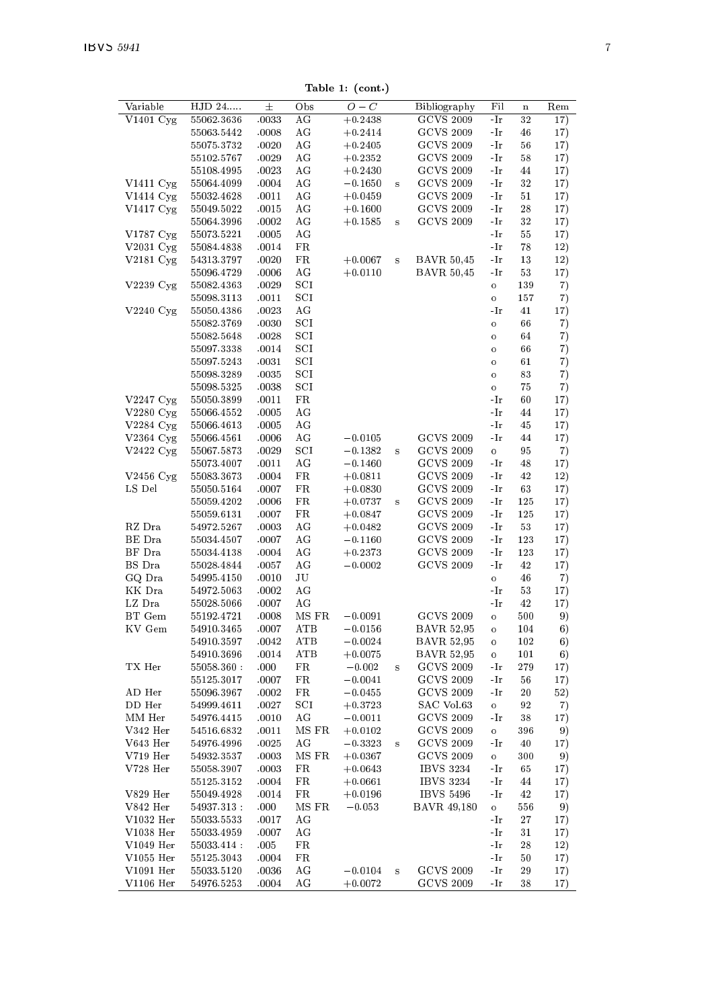Table 1: (cont.)

|                     |             |       |              | rapie r. (com.) |          |                   |                          |         |     |
|---------------------|-------------|-------|--------------|-----------------|----------|-------------------|--------------------------|---------|-----|
| Variable            | $HJD 24$    | 士     | Obs          | $O-C$           |          | Bibliography      | Fil                      | $\bf n$ | Rem |
| V1401 Cyg           | 55062.3636  | .0033 | AG           | $+0.2438$       |          | <b>GCVS 2009</b>  | -Ir                      | 32      | 17) |
|                     | 55063.5442  | .0008 | AG           | $+0.2414$       |          | <b>GCVS 2009</b>  | -Ir                      | 46      | 17) |
|                     | 55075.3732  | .0020 | ΑG           | $+0.2405$       |          | <b>GCVS 2009</b>  | -Ir                      | 56      | 17) |
|                     | 55102.5767  | .0029 | AG           | $+0.2352$       |          | <b>GCVS 2009</b>  | -Ir                      | 58      | 17) |
|                     | 55108.4995  | .0023 | AG           | $+0.2430$       |          | <b>GCVS 2009</b>  | $-Ir$                    | 44      | 17) |
| $V1411 \text{ Cyg}$ | 55064.4099  | .0004 | AG           | $-0.1650$       | $\bf{s}$ | <b>GCVS 2009</b>  | -Ir                      | 32      | 17) |
| V1414 Cyg           | 55032.4628  | .0011 | AG           | $+0.0459$       |          | <b>GCVS 2009</b>  | -Ir                      | 51      | 17) |
| V1417 Cyg           | 55049.5022  | .0015 | AG           | $+0.1600$       |          | <b>GCVS 2009</b>  | -Ir                      | 28      | 17) |
|                     | 55064.3996  | .0002 | AG           | $+0.1585$       | s        | <b>GCVS 2009</b>  | $-Ir$                    | 32      | 17) |
| V1787 Cyg           | 55073.5221  | .0005 | ΑG           |                 |          |                   | -Ir                      | 55      | 17) |
| $V2031$ Cyg         | 55084.4838  | .0014 | FR           |                 |          |                   | -Ir                      | 78      | 12) |
|                     |             |       |              |                 | s        |                   |                          |         |     |
| V2181 Cyg           | 54313.3797  | .0020 | FR           | $+0.0067$       |          | <b>BAVR 50,45</b> | -Ir                      | 13      | 12) |
|                     | 55096.4729  | .0006 | ΑG           | $+0.0110$       |          | <b>BAVR 50,45</b> | $\mathbin{{\mathcal A}}$ | 53      | 17) |
| V2239 Cyg           | 55082.4363  | .0029 | SCI          |                 |          |                   | $\circ$                  | 139     | 7)  |
|                     | 55098.3113  | .0011 | SCI          |                 |          |                   | $\mathbf{o}$             | 157     | 7)  |
| $V2240 \text{ Cyg}$ | 55050.4386  | .0023 | AG           |                 |          |                   | -Ir                      | 41      | 17) |
|                     | 55082.3769  | .0030 | $_{\rm SCI}$ |                 |          |                   | $\circ$                  | 66      | 7)  |
|                     | 55082.5648  | .0028 | SCI          |                 |          |                   | $\circ$                  | 64      | 7)  |
|                     | 55097.3338  | .0014 | SCI          |                 |          |                   | $\circ$                  | 66      | 7)  |
|                     | 55097.5243  | .0031 | SCI          |                 |          |                   | o                        | 61      | 7)  |
|                     | 55098.3289  | .0035 | SCI          |                 |          |                   | $\circ$                  | 83      | 7)  |
|                     | 55098.5325  | .0038 | SCI          |                 |          |                   | $\circ$                  | 75      | 7)  |
| V2247 Cyg           | 55050.3899  | .0011 | FR           |                 |          |                   | -Ir                      | 60      | 17) |
| V2280 Cyg           | 55066.4552  | .0005 | ΑG           |                 |          |                   | -Ir                      | 44      | 17) |
| V2284 Cyg           | 55066.4613  | .0005 | ΑG           |                 |          |                   | -Ir                      | 45      | 17) |
| V2364 Cyg           | 55066.4561  | .0006 | AG           | $-0.0105$       |          | <b>GCVS 2009</b>  | -Ir                      | 44      | 17) |
| $V2422$ Cyg         | 55067.5873  | .0029 | SCI          | $-0.1382$       | $\bf{s}$ | <b>GCVS 2009</b>  | $\circ$                  | 95      | 7)  |
|                     | 55073.4007  | .0011 | AG           | $-0.1460$       |          | <b>GCVS 2009</b>  | -Ir                      | 48      | 17) |
|                     |             |       |              |                 |          | <b>GCVS 2009</b>  | -Ir                      | 42      |     |
| V2456 $Cyg$         | 55083.3673  | .0004 | FR           | $+0.0811$       |          |                   |                          |         | 12) |
| LS Del              | 55050.5164  | .0007 | FR           | $+0.0830$       |          | <b>GCVS 2009</b>  | -Ir                      | 63      | 17) |
|                     | 55059.4202  | .0006 | FR           | $+0.0737$       | $\bf{s}$ | <b>GCVS 2009</b>  | -Ir                      | 125     | 17) |
|                     | 55059.6131  | .0007 | FR           | $+0.0847$       |          | <b>GCVS 2009</b>  | -Ir                      | 125     | 17) |
| RZ Dra              | 54972.5267  | .0003 | ΑG           | $+0.0482$       |          | <b>GCVS 2009</b>  | -Ir                      | 53      | 17) |
| BE Dra              | 55034.4507  | .0007 | ΑG           | $-0.1160$       |          | <b>GCVS 2009</b>  | -Ir                      | 123     | 17) |
| $\rm BF~Dra$        | 55034.4138  | .0004 | ΑG           | $+0.2373$       |          | <b>GCVS 2009</b>  | -Ir                      | 123     | 17) |
| BS Dra              | 55028.4844  | .0057 | ΑG           | $-0.0002$       |          | <b>GCVS 2009</b>  | -Ir                      | 42      | 17) |
| GQ Dra              | 54995.4150  | .0010 | JU           |                 |          |                   | $\circ$                  | 46      | 7)  |
| KK Dra              | 54972.5063  | .0002 | AG           |                 |          |                   | -Ir                      | 53      | 17) |
| $\rm LZ\ Dra$       | 55028.5066  | .0007 | AG           |                 |          |                   | -Ir                      | 42      | 17) |
| BT Gem              | 55192.4721  | .0008 | MS FR        | $-0.0091$       |          | <b>GCVS 2009</b>  | $\circ$                  | 500     | 9)  |
| KV Gem              | 54910.3465  | .0007 | ATB          | $-0.0156$       |          | <b>BAVR 52,95</b> | $\circ$                  | 104     | 6)  |
|                     | 54910.3597  | .0042 | ATB          | $-0.0024$       |          | <b>BAVR 52,95</b> | o                        | 102     | 6)  |
|                     | 54910.3696  | .0014 | ATB          | $+0.0075$       |          | <b>BAVR 52,95</b> | o                        | 101     | 6)  |
| TX Her              | 55058.360   | .000  | FR           | $-0.002$        | $\bf{s}$ | <b>GCVS 2009</b>  | -Ir                      | 279     | 17) |
|                     | 55125.3017  | .0007 | FR           | $-0.0041$       |          | <b>GCVS 2009</b>  | -Ir                      | 56      | 17) |
| AD Her              | 55096.3967  | .0002 | FR           | $-0.0455$       |          | <b>GCVS 2009</b>  | -Ir                      | 20      | 52) |
| DD Her              | 54999.4611  | .0027 | SCI          | $+0.3723$       |          | SAC Vol.63        | $\circ$                  | 92      | 7)  |
| MM Her              | 54976.4415  | .0010 | ΑG           | $-0.0011$       |          | <b>GCVS 2009</b>  | -Ir                      | 38      | 17) |
|                     | 54516.6832  |       | MS FR        |                 |          | <b>GCVS 2009</b>  |                          | 396     | 9)  |
| V342 Her            |             | .0011 |              | $+0.0102$       |          |                   | $\circ$                  |         |     |
| V643 Her            | 54976.4996  | .0025 | AG           | $-0.3323$       | $\bf{s}$ | <b>GCVS 2009</b>  | -Ir                      | 40      | 17) |
| $V719$ Her          | 54932.3537  | .0003 | MS FR        | $+0.0367$       |          | <b>GCVS 2009</b>  | $\mathbf{o}$             | 300     | 9)  |
| V728 Her            | 55058.3907  | .0003 | FR           | $+0.0643$       |          | <b>IBVS 3234</b>  | -Ir                      | 65      | 17) |
|                     | 55125.3152  | .0004 | FR           | $+0.0661$       |          | <b>IBVS 3234</b>  | -Ir                      | 44      | 17) |
| V829 Her            | 55049.4928  | .0014 | FR           | $+0.0196$       |          | <b>IBVS 5496</b>  | -Ir                      | 42      | 17) |
| V842 Her            | 54937.313   | .000  | MS FR        | $-0.053$        |          | BAVR 49,180       | $\mathbf{o}$             | 556     | 9)  |
| V1032 Her           | 55033.5533  | .0017 | ΑG           |                 |          |                   | -Ir                      | 27      | 17) |
| V1038 Her           | 55033.4959  | .0007 | ΑG           |                 |          |                   | -Ir                      | 31      | 17) |
| V1049 Her           | 55033.414 : | .005  | FR           |                 |          |                   | -Ir                      | 28      | 12) |
| V1055 Her           | 55125.3043  | .0004 | FR           |                 |          |                   | -Ir                      | 50      | 17) |
|                     |             |       |              |                 |          | <b>GCVS 2009</b>  | -Ir                      | 29      |     |
| V1091 Her           | 55033.5120  | .0036 | ΑG           | $-0.0104$       | $\bf s$  |                   |                          |         | 17) |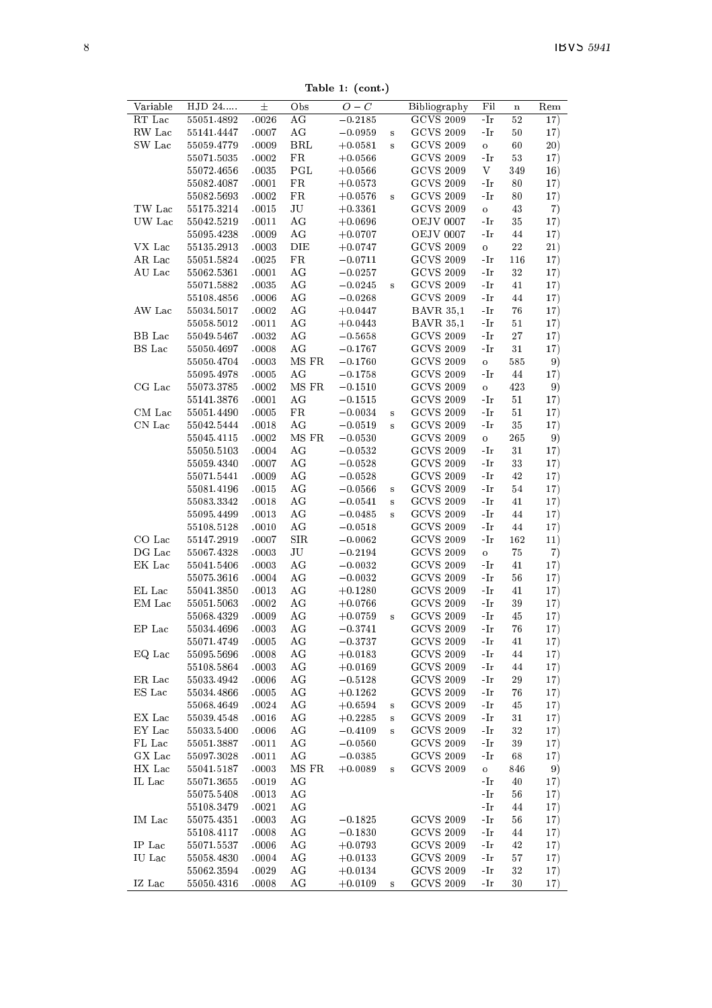Table 1: (cont.)

|               |                          |                |                   | 18916 1. (COM.) |         |                  |              |             |     |
|---------------|--------------------------|----------------|-------------------|-----------------|---------|------------------|--------------|-------------|-----|
| Variable      | HJD 24                   | $^{\pm}$       | Obs               | $O-C$           |         | Bibliography     | Fil          | $\mathbf n$ | Rem |
| RT Lac        | 55051.4892               | .0026          | AG                | $-0.2185$       |         | <b>GCVS 2009</b> | -Ir          | 52          | 17) |
| RW Lac        | 55141.4447               | .0007          | AG                | $-0.0959$       | s       | <b>GCVS 2009</b> | -Ir          | 50          | 17) |
| SW Lac        | 55059.4779               | .0009          | BRL               | $+0.0581$       | s       | GCVS 2009        | $\mathbf{o}$ | 60          | 20) |
|               | 55071.5035               | .0002          | FR                | $+0.0566$       |         | <b>GCVS 2009</b> | -Ir          | 53          | 17) |
|               | 55072.4656               | .0035          | PGL               | $+0.0566$       |         | <b>GCVS 2009</b> | V            | 349         | 16) |
|               | 55082.4087               | .0001          | FR                | $+0.0573$       |         | <b>GCVS 2009</b> | -Ir          | 80          | 17) |
|               | 55082.5693               | .0002          | FR                | $+0.0576$       | s       | <b>GCVS 2009</b> | -Ir          | 80          | 17) |
| TW Lac        | 55175.3214               | .0015          | JU                | $+0.3361$       |         | <b>GCVS 2009</b> | $\mathbf{o}$ | 43          | 7)  |
| UW Lac        | 55042.5219               | .0011          | AG                | $+0.0696$       |         | <b>OEJV 0007</b> | -Ir          | 35          | 17) |
|               | 55095.4238               | .0009          | AG                | $+0.0707$       |         | <b>OEJV 0007</b> | -Ir          | 44          | 17) |
| VX Lac        | 55135.2913               | .0003          | DIE               | $+0.0747$       |         | GCVS 2009        | $\circ$      | $^{22}$     | 21) |
| AR Lac        | 55051.5824               | .0025          | FR                | $-0.0711$       |         | <b>GCVS 2009</b> | -Ir          | 116         | 17) |
| AU Lac        | 55062.5361               | .0001          | AG                | $-0.0257$       |         | <b>GCVS 2009</b> | -Ir          | 32          | 17) |
|               | 55071.5882               | .0035          | AG                | $-0.0245$       | s       | GCVS 2009        | -Ir          | 41          | 17) |
|               | 55108.4856               | .0006          | AG                | $-0.0268$       |         | <b>GCVS 2009</b> | -Ir          | 44          | 17) |
| AW Lac        | 55034.5017               | .0002          | AG                | $+0.0447$       |         | <b>BAVR 35,1</b> | -Ir          | 76          | 17) |
|               | 55058.5012               | .0011          | AG                | $+0.0443$       |         | <b>BAVR 35,1</b> | -Ir          | 51          | 17) |
| BB Lac        | 55049.5467               | .0032          | AG                | $-0.5658$       |         | <b>GCVS 2009</b> | -Ir          | 27          | 17) |
| <b>BS</b> Lac | 55050.4697               | .0008          | AG                | $-0.1767$       |         | <b>GCVS 2009</b> | -Ir          | 31          | 17) |
|               | 55050.4704               | .0003          | MS FR             | $-0.1760$       |         | <b>GCVS 2009</b> | $\mathbf{o}$ | 585         | 9)  |
|               | 55095.4978               | .0005          | AG                | $-0.1758$       |         | GCVS 2009        | -Ir          | 44          | 17) |
| CG Lac        | 55073.3785               | .0002          | MS FR             | $-0.1510$       |         | GCVS 2009        | $\circ$      | 423         | 9)  |
|               | 55141.3876               | .0001          | AG                | $-0.1515$       |         | <b>GCVS 2009</b> | -Ir          | 51          | 17) |
| CM Lac        | 55051.4490               | .0005          | FR                | $-0.0034$       | s       | <b>GCVS 2009</b> | -Ir          | 51          | 17) |
| CN Lac        | 55042.5444               | .0018          | AG                | $-0.0519$       | s       | GCVS 2009        | -Ir          | 35          | 17) |
|               | 55045.4115               | .0002          | MS FR             | $-0.0530$       |         | <b>GCVS 2009</b> | $\circ$      | 265         | 9)  |
|               | 55050.5103               | .0004          | AG                | $-0.0532$       |         | <b>GCVS 2009</b> | -Ir          | 31          | 17) |
|               | 55059.4340               | .0007          | AG                | $-0.0528$       |         | <b>GCVS 2009</b> | -Ir          | 33          | 17) |
|               | 55071.5441               | .0009          | AG                | $-0.0528$       |         | <b>GCVS 2009</b> | -Ir          | 42          | 17) |
|               | 55081.4196               | .0015          | AG                | $-0.0566$       | s       | <b>GCVS 2009</b> | -Ir          | 54          | 17) |
|               | 55083.3342               | .0018          | AG                | $-0.0541$       | s       | <b>GCVS 2009</b> | -Ir          | 41          | 17) |
|               | 55095.4499               | .0013          | AG                | $-0.0485$       | s       | <b>GCVS 2009</b> | -Ir          | 44          | 17) |
|               | 55108.5128               | .0010          | AG                | $-0.0518$       |         | GCVS 2009        | -Ir          | 44          | 17) |
| CO Lac        | 55147.2919               | .0007          | <b>SIR</b>        | $-0.0062$       |         | GCVS 2009        | -Ir          | 162         | 11) |
| DG Lac        | 55067.4328               | .0003          | JU                | $-0.2194$       |         | <b>GCVS 2009</b> | $\mathbf{o}$ | 75          | 7)  |
| EK Lac        | 55041.5406               | .0003          | AG                | $-0.0032$       |         | <b>GCVS 2009</b> | -Ir          | 41          | 17) |
|               | 55075.3616               | .0004          | AG                | $-0.0032$       |         | <b>GCVS 2009</b> | -Ir          | 56          | 17) |
| EL Lac        | 55041.3850               | .0013          | AG                | $+0.1280$       |         | <b>GCVS 2009</b> | -Ir          | 41          | 17) |
| EM Lac        | 55051.5063               | .0002          | AG                | $+0.0766$       |         | <b>GCVS 2009</b> | -Ir          | 39          | 17) |
|               | 55068.4329               | .0009          | AG                | $+0.0759$       | s       | <b>GCVS 2009</b> | -Ir          | 45          | 17) |
| EP Lac        | 55034.4696               | .0003          | AG                | $-0.3741$       |         | <b>GCVS 2009</b> | -Ir          | 76          | 17) |
|               | 55071.4749               | .0005          | AG                | $-0.3737$       |         | <b>GCVS 2009</b> | -Ir          | 41          | 17) |
| EQ Lac        | 55095.5696               | .0008          | AG                | $+0.0183$       |         | <b>GCVS 2009</b> | -Ir          | 44          | 17) |
|               | 55108.5864               | .0003          | AG                | $+0.0169$       |         | GCVS 2009        | -Ir          | 44          | 17) |
| ER Lac        | 55033.4942               | .0006          | ΑG                | $-0.5128$       |         | GCVS 2009        | -Ir          | 29          | 17) |
| ES Lac        | 55034.4866               | .0005          | AG                | $+0.1262$       |         | <b>GCVS 2009</b> | -Ir          | 76          | 17) |
|               | 55068.4649               | .0024          | AG                | $+0.6594$       | $\bf S$ | <b>GCVS 2009</b> | -Ir          | 45          | 17) |
| EX Lac        | 55039.4548               | .0016          | AG                | $+0.2285$       | $\bf s$ | <b>GCVS 2009</b> | -Ir          | 31          | 17) |
| EY Lac        | 55033.5400               | .0006          | AG                | $-0.4109$       | s       | <b>GCVS 2009</b> | -Ir          | 32          | 17) |
| FL Lac        | 55051.3887               | .0011          | AG                | $-0.0560$       |         | <b>GCVS 2009</b> | -Ir          | 39          | 17) |
| GX Lac        | 55097.3028               | .0011          | AG                | $-0.0385$       |         | <b>GCVS 2009</b> | -Ir          | 68          | 17) |
| HX Lac        | 55041.5187               | .0003          | MS FR             | $+0.0089$       | s       | <b>GCVS 2009</b> | $\mathbf{o}$ | 846         | 9)  |
| IL Lac        | 55071.3655               | .0019          | AG                |                 |         |                  | -Ir          | 40          | 17) |
|               |                          | .0013          | AG                |                 |         |                  | -Ir          | 56          |     |
|               | 55075.5408               |                | AG                |                 |         |                  | -Ir          | 44          | 17) |
| IM Lac        | 55108.3479<br>55075.4351 | .0021<br>.0003 | AG                | $-0.1825$       |         | <b>GCVS 2009</b> | -Ir          | 56          | 17) |
|               |                          |                |                   |                 |         |                  |              |             | 17) |
|               | 55108.4117               | .0008          | AG                | $-0.1830$       |         | <b>GCVS 2009</b> | -Ir          | 44          | 17) |
| IP Lac        | 55071.5537               | .0006          | AG                | $+0.0793$       |         | <b>GCVS 2009</b> | -Ir          | 42          | 17) |
| IU Lac        | 55058.4830               | .0004          | AG                | $+0.0133$       |         | <b>GCVS 2009</b> | -Ir          | 57          | 17) |
|               | 55062.3594               | .0029          | AG<br>$_{\rm AG}$ | $+0.0134$       |         | GCVS 2009        | -Ir          | 32          | 17) |
| IZ Lac        | 55050.4316               | .0008          |                   | $+0.0109$       | s       | <b>GCVS 2009</b> | -Ir          | 30          | 17) |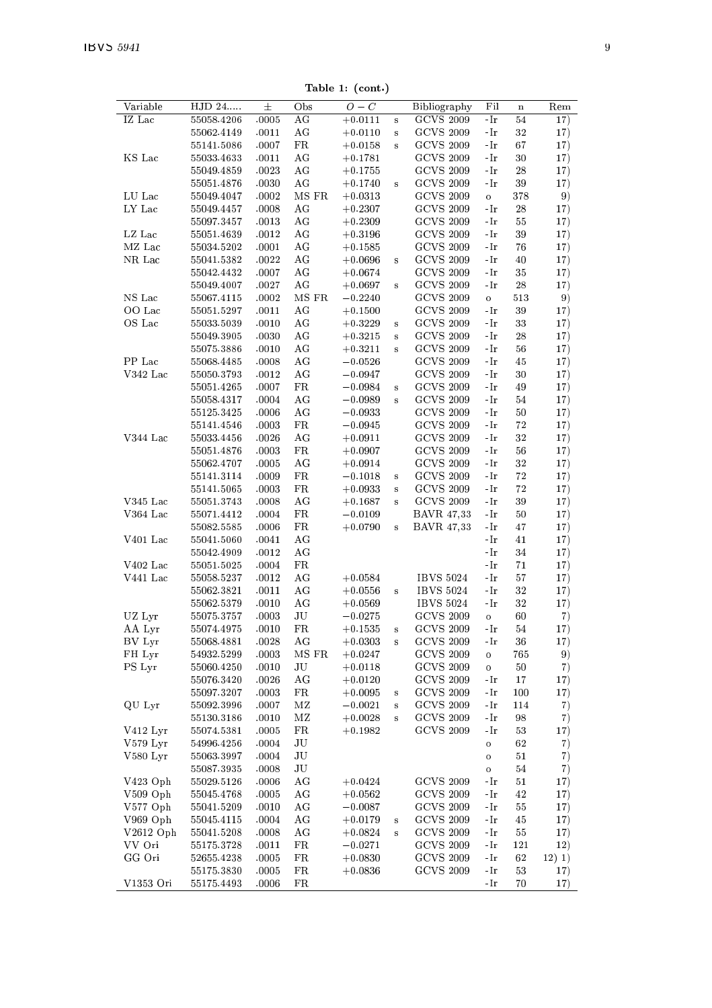Table 1: (cont.)

| Variable     | HJD 24                   | $\pm$          | Obs         | $O-C$                  |          | Bibliography                         | Fil          | $\mathbf n$ | Rem        |
|--------------|--------------------------|----------------|-------------|------------------------|----------|--------------------------------------|--------------|-------------|------------|
| IZ Lac       | 55058.4206               | .0005          | AG          | $+0.0111$              | s        | <b>GCVS 2009</b>                     | -Ir          | 54          | 17)        |
|              | 55062.4149               | .0011          | AG          | $+0.0110$              | $\bf s$  | <b>GCVS 2009</b>                     | -Ir          | 32          | 17)        |
|              | 55141.5086               | .0007          | $_{\rm FR}$ | $+0.0158$              | $\bf{s}$ | <b>GCVS 2009</b>                     | -Ir          | 67          | 17)        |
| KS Lac       | 55033.4633               | .0011          | AG          | $+0.1781$              |          | <b>GCVS 2009</b>                     | -Ir          | 30          | 17)        |
|              | 55049.4859               | .0023          | AG          | $+0.1755$              |          | <b>GCVS 2009</b>                     | -Ir          | 28          | 17)        |
|              | 55051.4876               | .0030          | AG          | $+0.1740$              | $\bf{s}$ | <b>GCVS 2009</b>                     | -Ir          | 39          | 17)        |
| LU Lac       | 55049.4047               | .0002          | MS FR       | $+0.0313$              |          | <b>GCVS 2009</b>                     | o            | 378         | 9)         |
| LY Lac       | 55049.4457               | .0008          | ΑG          | $+0.2307$              |          | <b>GCVS 2009</b>                     | -Ir          | 28          | 17)        |
|              | 55097.3457               | .0013          | AG          | $+0.2309$              |          | <b>GCVS 2009</b>                     | -Ir          | 55          | 17)        |
| LZ Lac       | 55051.4639               | .0012          | AG          | $+0.3196$              |          | <b>GCVS 2009</b>                     | -Ir          | 39          | 17)        |
| MZ Lac       | 55034.5202               | .0001          | AG          | $+0.1585$              |          | <b>GCVS 2009</b>                     | -Ir          | 76          | 17)        |
| NR Lac       | 55041.5382               | .0022          | AG          | $+0.0696$              | s        | <b>GCVS 2009</b>                     | -Ir          | 40          | 17)        |
|              | 55042.4432               | .0007          | AG          | $+0.0674$              |          | <b>GCVS 2009</b>                     | -Ir          | 35          | 17)        |
|              | 55049.4007               | .0027          | AG          | $+0.0697$              | $\bf{s}$ | <b>GCVS 2009</b>                     | -Ir          | 28          | 17)        |
| $\rm NS~Lac$ | 55067.4115               | .0002          | MS FR       | $-0.2240$              |          | <b>GCVS 2009</b>                     | $\mathbf{o}$ | 513         | 9)         |
| OO Lac       | 55051.5297               | .0011          | AG          | $+0.1500$              |          | <b>GCVS 2009</b>                     | -Ir          | 39          | 17)        |
| OS Lac       | 55033.5039               | .0010          | AG          | $+0.3229$              | $\bf{s}$ | <b>GCVS 2009</b>                     | -Ir          | 33          | 17)        |
|              | 55049.3905               | .0030          | ΑG          | $+0.3215$              | $\bf{s}$ | <b>GCVS 2009</b>                     | -Ir          | 28          | 17)        |
|              | 55075.3886               | .0010          | AG          | $+0.3211$              | $\bf{s}$ | <b>GCVS 2009</b>                     | -Ir          | 56          | 17)        |
| PP Lac       | 55068.4485               | .0008          | AG          | $-0.0526$              |          | <b>GCVS 2009</b>                     | -Ir          | 45          | 17)        |
| $V342$ Lac   | 55050.3793               | .0012          | AG          | $-0.0947$              |          | <b>GCVS 2009</b>                     | -Ir          | 30          | 17)        |
|              | 55051.4265               | .0007          | FR          | $-0.0984$              | $\bf{s}$ | <b>GCVS 2009</b>                     | -Ir          | 49          | 17)        |
|              | 55058.4317               | .0004          | AG          | $-0.0989$              | s        | <b>GCVS 2009</b>                     | -Ir          | 54          | 17)        |
|              | 55125.3425               | .0006          | ΑG          | $-0.0933$              |          | <b>GCVS 2009</b>                     | -Ir          | 50          | 17)        |
|              | 55141.4546               | .0003          | FR          | $-0.0945$              |          | <b>GCVS 2009</b>                     | -Ir          | 72          | 17)        |
| V344 Lac     | 55033.4456               | .0026          | ΑG          | $+0.0911$              |          | <b>GCVS 2009</b>                     | -Ir          | 32          | 17)        |
|              | 55051.4876               | .0003          | FR          | $+0.0907$              |          | <b>GCVS 2009</b>                     | -Ir          | 56          | 17)        |
|              | 55062.4707               | .0005          | AG          | $+0.0914$              |          | <b>GCVS 2009</b>                     | -Ir          | 32          | 17)        |
|              | 55141.3114               | .0009          | FR          | $-0.1018$              | $\bf{s}$ | <b>GCVS 2009</b>                     | -Ir          | 72          | 17)        |
|              | 55141.5065               | .0003          | FR          | $+0.0933$              | s        | <b>GCVS 2009</b>                     | -Ir          | 72          | 17)        |
| $V345$ Lac   | 55051.3743               | .0008          | ΑG          | $+0.1687$              | s        | <b>GCVS 2009</b>                     | -Ir          | 39          | 17)        |
| V364 Lac     | 55071.4412               | .0004          | $_{\rm FR}$ | $-0.0109$              |          | <b>BAVR 47,33</b>                    | -Ir          | 50          | 17)        |
|              | 55082.5585               | .0006          | FR          | $+0.0790$              | s        | <b>BAVR 47,33</b>                    | -Ir          | 47          | 17)        |
| V401 Lac     | 55041.5060               | .0041          | AG          |                        |          |                                      | -Ir          | 41          | 17)        |
|              | 55042.4909               | .0012          | AG          |                        |          |                                      | -Ir          | 34          | 17)        |
| V402 Lac     | 55051.5025               | .0004          | $_{\rm FR}$ |                        |          |                                      | -Ir          | 71          | 17)        |
| V441 Lac     | 55058.5237               | .0012          | AG          | $+0.0584$              |          | <b>IBVS 5024</b>                     | -Ir          | 57          | 17)        |
|              | 55062.3821               | .0011          | AG          | $+0.0556$              | $\bf{s}$ | <b>IBVS 5024</b>                     | -Ir          | 32          | 17)        |
|              | 55062.5379               | .0010          | AG          | $+0.0569$              |          | <b>IBVS 5024</b>                     | -Ir          | 32          | 17)        |
| UZ Lyr       | 55075.3757               | .0003          | JU          | $-0.0275$              |          | <b>GCVS 2009</b>                     | o            | 60          | 7)         |
| AA Lyr       | 55074.4975               | .0010          | FR          | $+0.1535$              | s        | <b>GCVS 2009</b>                     | -Ir          | 54          | 17)        |
| BV Lyr       | 55068.4881               | .0028          | AG          | $+0.0303$              | $\bf{s}$ | <b>GCVS 2009</b>                     | -Ir          | 36          | 17)        |
| FH Lyr       | 54932.5299               | .0003          | MS FR       | $+0.0247$              |          | <b>GCVS 2009</b><br><b>GCVS 2009</b> | $\mathbf{o}$ | 765         | 9)         |
| PS Lyr       | 55060.4250               | .0010<br>.0026 | JU<br>AG    | $+0.0118$              |          | <b>GCVS 2009</b>                     | o            | 50<br>17    | 7)         |
|              | 55076.3420<br>55097.3207 | .0003          | FR          | $+0.0120$<br>$+0.0095$ | $\bf{s}$ | <b>GCVS 2009</b>                     | -Ir<br>-Ir   | 100         | 17)<br>17) |
| QU Lyr       | 55092.3996               | .0007          | ΜZ          | $-0.0021$              | $\bf{s}$ | <b>GCVS 2009</b>                     | -Ir          | 114         | 7)         |
|              | 55130.3186               | .0010          | ΜZ          | $+0.0028$              | s        | <b>GCVS 2009</b>                     | -Ir          | 98          | 7)         |
| V412 Lyr     | 55074.5381               | .0005          | FR          | $+0.1982$              |          | <b>GCVS 2009</b>                     | -Ir          | 53          | 17)        |
| $V579$ Lyr   | 54996.4256               | .0004          | JU          |                        |          |                                      | $\mathbf{o}$ | 62          | 7)         |
| V580 Lyr     | 55063.3997               | .0004          | JU          |                        |          |                                      | o            | 51          | 7)         |
|              | 55087.3935               | .0008          | JU          |                        |          |                                      | o            | 54          | 7)         |
| V423 Oph     | 55029.5126               | .0006          | AG          | $+0.0424$              |          | <b>GCVS 2009</b>                     | -Ir          | 51          | 17)        |
| V509 Oph     | 55045.4768               | .0005          | AG          | $+0.0562$              |          | <b>GCVS 2009</b>                     | -Ir          | 42          | 17)        |
| V577 Oph     | 55041.5209               | .0010          | ΑG          | $-0.0087$              |          | <b>GCVS 2009</b>                     | -Ir          | 55          | 17)        |
| V969 Oph     | 55045.4115               | .0004          | AG          | $+0.0179$              | $\bf{s}$ | <b>GCVS 2009</b>                     | -Ir          | 45          | 17)        |
| $V2612$ Oph  | 55041.5208               | .0008          | AG          | $+0.0824$              | s        | <b>GCVS 2009</b>                     | -Ir          | 55          | 17)        |
| VV Ori       | 55175.3728               | .0011          | FR          | $-0.0271$              |          | GCVS 2009                            | -Ir          | 121         | 12)        |
| GG Ori       | 52655.4238               | .0005          | FR          | $+0.0830$              |          | <b>GCVS 2009</b>                     | -Ir          | 62          | 12) 1)     |
|              | 55175.3830               | .0005          | FR          | $+0.0836$              |          | <b>GCVS 2009</b>                     | -Ir          | 53          | 17)        |
| V1353 Ori    | 55175.4493               | .0006          | FR          |                        |          |                                      | -Ir          | 70          | 17)        |
|              |                          |                |             |                        |          |                                      |              |             |            |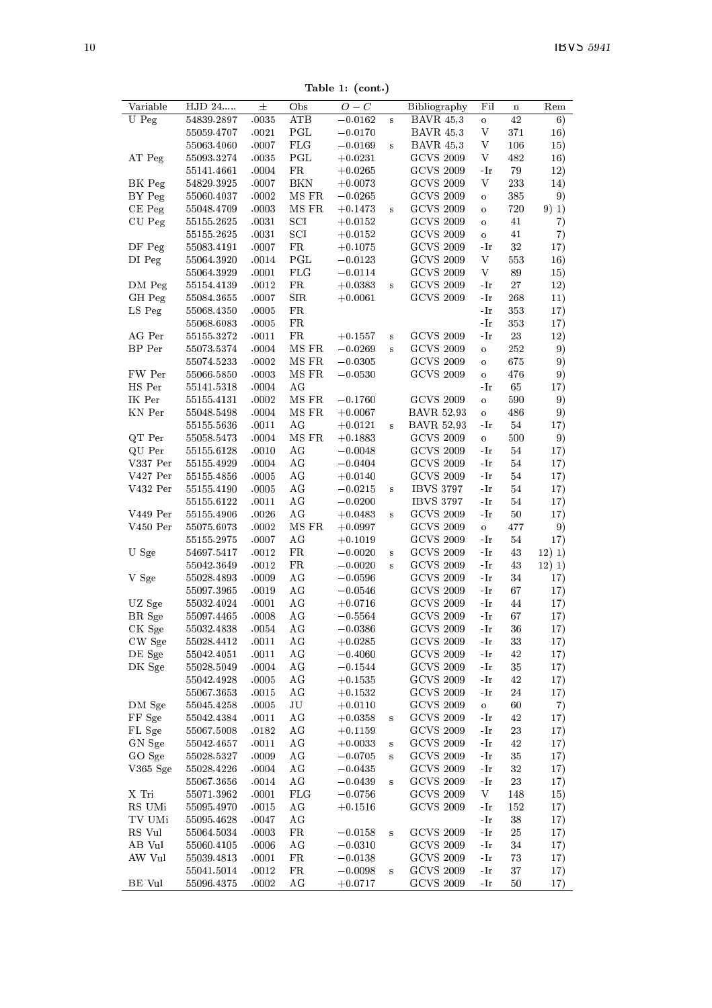Table 1: (cont.)

|               |            |       |               | л.               |          |                     |                                                                                  |             |        |
|---------------|------------|-------|---------------|------------------|----------|---------------------|----------------------------------------------------------------------------------|-------------|--------|
| Variable      | HJD 24     | 士     | Obs           | $\overline{O}-C$ |          | <b>Bibliography</b> | Fil                                                                              | $\mathbf n$ | Rem    |
| U Peg         | 54839.2897 | .0035 | ATB           | $-0.0162$        | s        | <b>BAVR 45,3</b>    | $\circ$                                                                          | 42          | 6)     |
|               | 55059.4707 | .0021 | PGL           | $-0.0170$        |          | <b>BAVR</b> 45,3    | V                                                                                | 371         | 16)    |
|               | 55063.4060 | .0007 | $_{\rm FLG}$  | $-0.0169$        | $\bf s$  | <b>BAVR</b> 45,3    | V                                                                                | 106         | 15)    |
| AT Peg        | 55093.3274 | .0035 | PGL           | $+0.0231$        |          | <b>GCVS 2009</b>    | V                                                                                | 482         | 16)    |
|               | 55141.4661 | .0004 | FR            | $+0.0265$        |          | <b>GCVS 2009</b>    | - Ir                                                                             | 79          | 12)    |
| BK Peg        | 54829.3925 | .0007 | BKN           | $+0.0073$        |          | <b>GCVS 2009</b>    | V                                                                                | 233         | 14)    |
| BY Peg        | 55060.4037 | .0002 | MS FR         | $-0.0265$        |          | <b>GCVS 2009</b>    | $\mathbf{o}$                                                                     | 385         | 9)     |
| CE Peg        | 55048.4709 | .0003 | MS FR         | $+0.1473$        | s        | <b>GCVS 2009</b>    | $\ddot{\mathbf{o}}$                                                              | 720         | 9) 1)  |
| CU Peg        | 55155.2625 | .0031 | SCI           | $+0.0152$        |          | <b>GCVS 2009</b>    | $\ddot{\mathbf{o}}$                                                              | 41          | 7)     |
|               | 55155.2625 | .0031 | SCI           | $+0.0152$        |          | <b>GCVS 2009</b>    | $\circ$                                                                          | 41          | 7)     |
| DF Peg        | 55083.4191 | .0007 | $_{\rm FR}$   | $+0.1075$        |          | <b>GCVS 2009</b>    | $-Ir$                                                                            | 32          | 17)    |
| DI Peg        | 55064.3920 | .0014 | $_{\rm{PGL}}$ | $-0.0123$        |          | <b>GCVS 2009</b>    | V                                                                                | 553         | 16)    |
|               | 55064.3929 | .0001 | FLG           | $-0.0114$        |          | <b>GCVS 2009</b>    | V                                                                                | 89          | 15)    |
| DM Peg        | 55154.4139 | .0012 | FR            | $+0.0383$        | s        | <b>GCVS 2009</b>    | -Ir                                                                              | 27          | 12)    |
| GH Peg        | 55084.3655 | .0007 | SIR           | $+0.0061$        |          | <b>GCVS 2009</b>    | -Ir                                                                              | 268         | 11)    |
| LS Peg        | 55068.4350 | .0005 | FR            |                  |          |                     | -Ir                                                                              | 353         | 17)    |
|               | 55068.6083 | .0005 | FR            |                  |          |                     | -Ir                                                                              | 353         | 17)    |
| AG Per        | 55155.3272 | .0011 | FR            | $+0.1557$        | $\bf{s}$ | <b>GCVS 2009</b>    | -Ir                                                                              | 23          | 12)    |
| BP Per        |            |       |               | $-0.0269$        |          | <b>GCVS 2009</b>    |                                                                                  |             |        |
|               | 55073.5374 | .0004 | MS FR         |                  | s        |                     | o                                                                                | 252         | 9)     |
|               | 55074.5233 | .0002 | MS FR         | $-0.0305$        |          | <b>GCVS 2009</b>    | o                                                                                | 675         | 9)     |
| FW Per        | 55066.5850 | .0003 | MS FR         | $-0.0530$        |          | <b>GCVS 2009</b>    | $\ddot{\mathbf{o}}$                                                              | 476         | 9)     |
| HS Per        | 55141.5318 | .0004 | AG            |                  |          |                     | -Ir                                                                              | 65          | 17)    |
| IK Per        | 55155.4131 | .0002 | MS FR         | $-0.1760$        |          | <b>GCVS 2009</b>    | $\circ$                                                                          | 590         | 9)     |
| KN Per        | 55048.5498 | .0004 | MS FR         | $+0.0067$        |          | <b>BAVR 52,93</b>   | o                                                                                | 486         | 9)     |
|               | 55155.5636 | .0011 | AG            | $+0.0121$        | s        | <b>BAVR 52,93</b>   | -Ir                                                                              | 54          | 17)    |
| QT Per        | 55058.5473 | .0004 | MS FR         | $+0.1883$        |          | <b>GCVS 2009</b>    | $\circ$                                                                          | 500         | 9)     |
| QU Per        | 55155.6128 | .0010 | AG            | $-0.0048$        |          | <b>GCVS 2009</b>    | -Ir                                                                              | 54          | 17)    |
| V337 Per      | 55155.4929 | .0004 | AG            | $-0.0404$        |          | <b>GCVS 2009</b>    | -Ir                                                                              | 54          | 17)    |
| V427 Per      | 55155.4856 | .0005 | AG            | $+0.0140$        |          | <b>GCVS 2009</b>    | -Ir                                                                              | 54          | 17)    |
| V432 Per      | 55155.4190 | .0005 | AG            | $-0.0215$        | s        | <b>IBVS 3797</b>    | -Ir                                                                              | 54          | 17)    |
|               | 55155.6122 | .0011 | AG            | $-0.0200$        |          | <b>IBVS 3797</b>    | -Ir                                                                              | 54          | 17)    |
| V449 Per      | 55155.4906 | .0026 | AG            | $+0.0483$        | s        | <b>GCVS 2009</b>    | -Ir                                                                              | 50          | 17)    |
| V450 Per      | 55075.6073 | .0002 | MS FR         | $+0.0997$        |          | <b>GCVS 2009</b>    | $\circ$                                                                          | 477         | 9)     |
|               | 55155.2975 | .0007 | AG            | $+0.1019$        |          | <b>GCVS 2009</b>    | -Ir                                                                              | 54          | 17)    |
| U Sge         | 54697.5417 | .0012 | $_{\rm FR}$   | $-0.0020$        | s        | <b>GCVS 2009</b>    | -Ir                                                                              | 43          | 12) 1) |
|               | 55042.3649 | .0012 | FR            | $-0.0020$        | s        | <b>GCVS 2009</b>    | -Ir                                                                              | 43          | 12) 1) |
| V Sge         | 55028.4893 | .0009 | ΑG            | $-0.0596$        |          | <b>GCVS 2009</b>    | -Ir                                                                              | $34\,$      | 17)    |
|               | 55097.3965 | .0019 | AG            | $-0.0546$        |          | <b>GCVS 2009</b>    | -Ir                                                                              | 67          | 17)    |
| UZ Sge        | 55032.4024 | .0001 | AG            | $+0.0716$        |          | <b>GCVS 2009</b>    | -Ir                                                                              | 44          | 17)    |
| BR Sge        | 55097.4465 | .0008 | AG            | $-0.5564$        |          | <b>GCVS 2009</b>    | -Ir                                                                              | 67          | 17)    |
| CK Sge        | 55032.4838 | .0054 | AG            | $-0.0386$        |          | <b>GCVS 2009</b>    | - Ir                                                                             | 36          | 17)    |
| CW Sge        | 55028.4412 | .0011 | AG            | $+0.0285$        |          | <b>GCVS 2009</b>    | $-Ir$                                                                            | 33          | 17)    |
| DE Sge        | 55042.4051 | .0011 | AG            | $-0.4060$        |          | <b>GCVS 2009</b>    | -Ir                                                                              | 42          | 17)    |
| DK Sge        | 55028.5049 | .0004 | AG            | $-0.1544$        |          | <b>GCVS 2009</b>    | $\mathbin{\text{-}\mathop{\text{-}\mathop{\text{-}}\mathop{\text{-}}\nolimits}}$ | 35          | 17)    |
|               | 55042.4928 | .0005 | AG            | $+0.1535$        |          | <b>GCVS 2009</b>    | -Ir                                                                              | 42          |        |
|               |            |       | AG            |                  |          | <b>GCVS 2009</b>    |                                                                                  |             | 17)    |
|               | 55067.3653 | .0015 | JU            | $+0.1532$        |          |                     | -Ir                                                                              | 24          | 17)    |
| DM Sge        | 55045.4258 | .0005 |               | $+0.0110$        |          | <b>GCVS 2009</b>    | $\circ$                                                                          | 60          | 7)     |
| FF Sge        | 55042.4384 | .0011 | AG            | $+0.0358$        | $\bf{s}$ | <b>GCVS 2009</b>    | -Ir                                                                              | 42          | 17)    |
| FL Sge        | 55067.5008 | .0182 | AG            | $+0.1159$        |          | <b>GCVS 2009</b>    | -Ir                                                                              | 23          | 17)    |
| GN Sge        | 55042.4657 | .0011 | AG            | $+0.0033$        | $\bf{s}$ | <b>GCVS 2009</b>    | -Ir                                                                              | 42          | 17)    |
| GO Sge        | 55028.5327 | .0009 | AG            | $-0.0705$        | s        | <b>GCVS 2009</b>    | -Ir                                                                              | 35          | 17)    |
| $V365$ Sge    | 55028.4226 | .0004 | ΑG            | $-0.0435$        |          | <b>GCVS 2009</b>    | -Ir                                                                              | 32          | 17)    |
|               | 55067.3656 | .0014 | AG            | $-0.0439$        | s        | <b>GCVS 2009</b>    | $-Ir$                                                                            | 23          | 17)    |
| X Tri         | 55071.3962 | .0001 | FLG           | $-0.0756$        |          | <b>GCVS 2009</b>    | V                                                                                | 148         | 15)    |
| RS UMi        | 55095.4970 | .0015 | AG            | $+0.1516$        |          | <b>GCVS 2009</b>    | -Ir                                                                              | 152         | 17)    |
| TV UMi        | 55095.4628 | .0047 | AG            |                  |          |                     | -Ir                                                                              | 38          | 17)    |
| RS Vul        | 55064.5034 | .0003 | $_{\rm FR}$   | $-0.0158$        | s        | <b>GCVS 2009</b>    | $\boldsymbol\cdot\mathbf{I}\boldsymbol\mathbf{r}$                                | 25          | 17)    |
| AB Vul        | 55060.4105 | .0006 | AG            | $-0.0310$        |          | <b>GCVS 2009</b>    | -Ir                                                                              | 34          | 17)    |
| AW Vul        | 55039.4813 | .0001 | FR            | $-0.0138$        |          | <b>GCVS 2009</b>    | -Ir                                                                              | 73          | 17)    |
|               | 55041.5014 | .0012 | FR            | $-0.0098$        | s        | <b>GCVS 2009</b>    | -Ir                                                                              | 37          | 17)    |
| <b>BE</b> Vul | 55096.4375 | .0002 | АG            | $+0.0717$        |          | <b>GCVS 2009</b>    | -Ir                                                                              | 50          | 17)    |
|               |            |       |               |                  |          |                     |                                                                                  |             |        |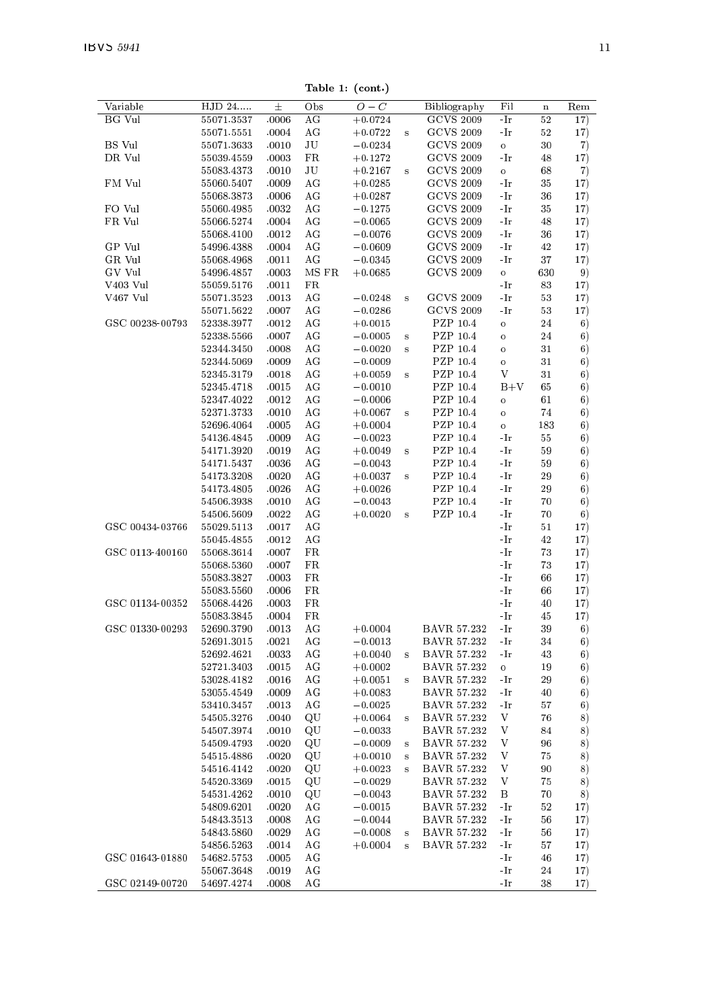Table 1: (cont.)

| Variable        | $\overline{HJD}$ 24 | $\pm$ | Obs         | $O-C$     |              |                    | Fil          |             | Rem |
|-----------------|---------------------|-------|-------------|-----------|--------------|--------------------|--------------|-------------|-----|
|                 |                     |       |             |           |              | Bibliography       |              | $\mathbf n$ |     |
| BG Vul          | 55071.3537          | .0006 | AG          | $+0.0724$ |              | <b>GCVS 2009</b>   | -Ir          | 52          | 17) |
|                 | 55071.5551          | .0004 | AG          | $+0.0722$ | $\bf{s}$     | <b>GCVS 2009</b>   | -Ir          | 52          | 17) |
| BS Vul          | 55071.3633          | .0010 | JU          | $-0.0234$ |              | <b>GCVS 2009</b>   | $\mathbf{o}$ | 30          | 7)  |
| DR Vul          | 55039.4559          | .0003 | FR          | $+0.1272$ |              | <b>GCVS 2009</b>   | -Ir          | 48          | 17) |
|                 | 55083.4373          | .0010 | $_{\rm JU}$ | $+0.2167$ | $\bf{s}$     | <b>GCVS 2009</b>   | $\mathbf{o}$ | 68          | 7)  |
| FM Vul          | 55060.5407          | .0009 | AG          | $+0.0285$ |              | <b>GCVS 2009</b>   | -Ir          | 35          | 17) |
|                 | 55068.3873          | .0006 | AG          | $+0.0287$ |              | <b>GCVS 2009</b>   | -Ir          | 36          | 17) |
| FO Vul          | 55060.4985          | .0032 | AG          | $-0.1275$ |              | <b>GCVS 2009</b>   | -Ir          | 35          | 17) |
| FR Vul          | 55066.5274          | .0004 | AG          | $-0.0065$ |              | <b>GCVS 2009</b>   | -Ir          | 48          | 17) |
|                 | 55068.4100          | .0012 | AG          | $-0.0076$ |              | <b>GCVS 2009</b>   | $-Ir$        | 36          | 17) |
|                 |                     |       |             |           |              |                    |              | 42          |     |
| GP Vul          | 54996.4388          | .0004 | AG          | $-0.0609$ |              | <b>GCVS 2009</b>   | -Ir          |             | 17) |
| GR Vul          | 55068.4968          | .0011 | AG          | $-0.0345$ |              | <b>GCVS 2009</b>   | -Ir          | 37          | 17) |
| GV Vul          | 54996.4857          | .0003 | MS FR       | $+0.0685$ |              | <b>GCVS 2009</b>   | $\circ$      | 630         | 9)  |
| V403 Vul        | 55059.5176          | .0011 | FR          |           |              |                    | -Ir          | 83          | 17) |
| V467 Vul        | 55071.3523          | .0013 | AG          | $-0.0248$ | $\mathbf{s}$ | <b>GCVS 2009</b>   | $-Ir$        | 53          | 17) |
|                 | 55071.5622          | .0007 | AG          | $-0.0286$ |              | <b>GCVS 2009</b>   | -Ir          | 53          | 17) |
| GSC 00238-00793 | 52338.3977          | .0012 | AG          | $+0.0015$ |              | PZP 10.4           | $\circ$      | 24          | 6)  |
|                 | 52338.5566          | .0007 | AG          | $-0.0005$ | $\bf s$      | PZP 10.4           | $\circ$      | 24          | 6)  |
|                 | 52344.3450          | .0008 | AG          | $-0.0020$ | s            | PZP 10.4           | $\circ$      | 31          | 6)  |
|                 | 52344.5069          | .0009 | AG          | $-0.0009$ |              | PZP 10.4           | $\circ$      | 31          | 6)  |
|                 | 52345.3179          | .0018 | AG          | $+0.0059$ | s            | <b>PZP 10.4</b>    | V            | 31          | 6)  |
|                 | 52345.4718          | .0015 | AG          | $-0.0010$ |              | PZP 10.4           | $B+V$        | 65          | 6)  |
|                 | 52347.4022          | .0012 | AG          | $-0.0006$ |              | PZP 10.4           | $\circ$      | 61          | 6)  |
|                 | 52371.3733          | .0010 | AG          | $+0.0067$ |              | PZP 10.4           |              | 74          |     |
|                 |                     | .0005 |             |           | s            |                    | $\circ$      | 183         | 6)  |
|                 | 52696.4064          |       | AG          | $+0.0004$ |              | PZP 10.4           | $\mathbf{o}$ |             | 6)  |
|                 | 54136.4845          | .0009 | AG          | $-0.0023$ |              | PZP 10.4           | -Ir          | 55          | 6)  |
|                 | 54171.3920          | .0019 | AG          | $+0.0049$ | $\bf{s}$     | PZP 10.4           | -Ir          | 59          | 6)  |
|                 | 54171.5437          | .0036 | AG          | $-0.0043$ |              | PZP 10.4           | -Ir          | 59          | 6)  |
|                 | 54173.3208          | .0020 | AG          | $+0.0037$ | $\bf s$      | PZP 10.4           | -Ir          | 29          | 6)  |
|                 | 54173.4805          | .0026 | AG          | $+0.0026$ |              | PZP 10.4           | -Ir          | 29          | 6)  |
|                 | 54506.3938          | .0010 | AG          | $-0.0043$ |              | PZP 10.4           | -Ir          | 70          | 6)  |
|                 | 54506.5609          | .0022 | AG          | $+0.0020$ | $\bf S$      | PZP 10.4           | -Ir          | 70          | 6)  |
| GSC 00434-03766 | 55029.5113          | .0017 | ΑG          |           |              |                    | -Ir          | 51          | 17) |
|                 | 55045.4855          | .0012 | AG          |           |              |                    | -Ir          | 42          | 17) |
| GSC 0113-400160 | 55068.3614          | .0007 | FR          |           |              |                    | -Ir          | 73          | 17) |
|                 | 55068.5360          | .0007 | FR.         |           |              |                    | $-Ir$        | 73          | 17) |
|                 | 55083.3827          | .0003 | FR          |           |              |                    | -Ir          | 66          | 17) |
|                 | 55083.5560          | .0006 | FR          |           |              |                    | -Ir          | 66          | 17) |
| GSC 01134-00352 |                     |       |             |           |              |                    |              |             |     |
|                 | 55068.4426          | .0003 | FR          |           |              |                    | -Ir          | 40          | 17) |
|                 | 55083.3845          | .0004 | FR          |           |              |                    | -Ir          | 45          | 17) |
| GSC 01330-00293 | 52690.3790          | .0013 | AG          | $+0.0004$ |              | BAVR 57.232        | $-Ir$        | 39          | 6)  |
|                 | 52691.3015          | .0021 | AG          | $-0.0013$ |              | <b>BAVR 57.232</b> | -Ir          | 34          | 6)  |
|                 | 52692.4621          | .0033 | AG          | $+0.0040$ | s            | BAVR 57.232        | -Ir          | 43          | 6)  |
|                 | 52721.3403          | .0015 | AG          | $+0.0002$ |              | <b>BAVR 57.232</b> | $\circ$      | 19          | 6)  |
|                 | 53028.4182          | .0016 | AG          | $+0.0051$ | $\bf s$      | <b>BAVR 57.232</b> | -Ir          | 29          | 6)  |
|                 | 53055.4549          | .0009 | ΑG          | $+0.0083$ |              | BAVR 57.232        | -Ir          | 40          | 6)  |
|                 | 53410.3457          | .0013 | AG          | $-0.0025$ |              | <b>BAVR 57.232</b> | -Ir          | 57          | 6)  |
|                 | 54505.3276          | .0040 | QU          | $+0.0064$ | s            | BAVR 57.232        | V            | 76          | 8)  |
|                 | 54507.3974          | .0010 | QU          | $-0.0033$ |              | BAVR 57.232        | V            | 84          | 8)  |
|                 | 54509.4793          | .0020 | QU          | $-0.0009$ | $\bf s$      | <b>BAVR 57.232</b> | V            | 96          | 8)  |
|                 | 54515.4886          | .0020 | QU          | $+0.0010$ | $\bf{s}$     | BAVR 57.232        | V            | 75          | 8)  |
|                 | 54516.4142          | .0020 | QU          | $+0.0023$ | s            | BAVR 57.232        | V            | 90          | 8)  |
|                 | 54520.3369          | .0015 | QU          | $-0.0029$ |              | BAVR 57.232        | V            | 75          | 8)  |
|                 | 54531.4262          | .0010 | QU          | $-0.0043$ |              | BAVR 57.232        | В            | 70          | 8)  |
|                 | 54 809.6201         | .0020 | AG          | $-0.0015$ |              | <b>BAVR 57.232</b> | -Ir          | 52          | 17) |
|                 | 54843.3513          | .0008 | AG          | $-0.0044$ |              | <b>BAVR 57.232</b> | -Ir          |             |     |
|                 |                     |       |             |           |              |                    |              | 56          | 17) |
|                 | 54843.5860          | .0029 | ΑG          | $-0.0008$ | s            | BAVR 57.232        | -Ir          | 56          | 17) |
|                 | 54856.5263          | .0014 | AG          | $+0.0004$ | $\mathbf{s}$ | BAVR 57.232        | -Ir          | 57          | 17) |
| GSC 01643-01880 | 54682.5753          | .0005 | AG          |           |              |                    | -Ir          | 46          | 17) |
|                 | 55067.3648          | .0019 | AG          |           |              |                    | -Ir          | 24          | 17) |
| GSC 02149-00720 | 54697.4274          | .0008 | AG          |           |              |                    | -Ir          | 38          | 17) |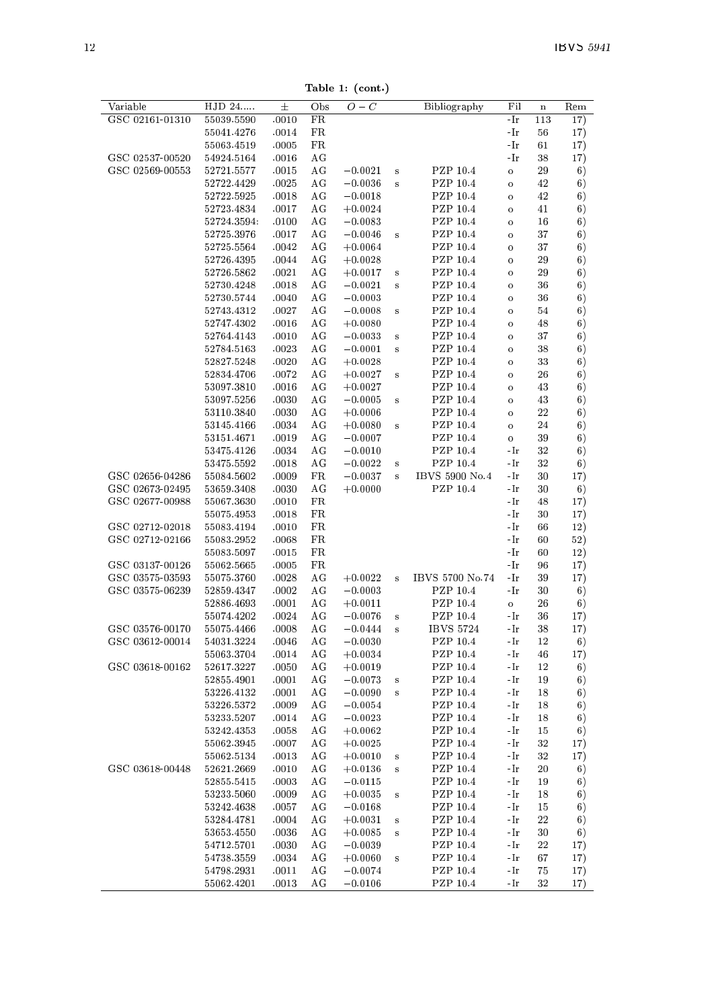Table 1: (cont.)

| Variable        | HJD 24      | $\pm$ | Obs | $O-C$     |                         | Bibliography     | Fil                 | $\mathbf n$ | $_{\rm Rem}$ |
|-----------------|-------------|-------|-----|-----------|-------------------------|------------------|---------------------|-------------|--------------|
| GSC 02161-01310 | 55039.5590  | .0010 | FR  |           |                         |                  | -Ir                 | 113         | 17)          |
|                 | 55041.4276  | .0014 | FR  |           |                         |                  | -Ir                 | 56          | 17)          |
|                 | 55063.4519  | .0005 | FR  |           |                         |                  | -Ir                 | 61          | 17)          |
| GSC 02537-00520 | 54924.5164  | .0016 | AG  |           |                         |                  | -Ir                 | 38          | 17)          |
| GSC 02569-00553 | 52721.5577  | .0015 | AG  | $-0.0021$ | s                       | PZP 10.4         | $\circ$             | 29          | 6)           |
|                 | 52722.4429  | .0025 | AG  | $-0.0036$ | $\overline{\mathbf{s}}$ | PZP 10.4         | $\circ$             | 42          | 6)           |
|                 | 52722.5925  | .0018 | АG  | $-0.0018$ |                         | PZP 10.4         | $\circ$             | 42          | 6)           |
|                 | 52723.4834  | .0017 | AG  | $+0.0024$ |                         | PZP 10.4         | $\ddot{\mathbf{o}}$ | 41          | 6)           |
|                 | 52724.3594. | .0100 | AG  | $-0.0083$ |                         | PZP 10.4         | $\circ$             | 16          | 6)           |
|                 | 52725.3976  | .0017 | AG  | $-0.0046$ | s                       | PZP 10.4         | $\circ$             | 37          | 6)           |
|                 | 52725.5564  | .0042 | AG  | $+0.0064$ |                         | PZP 10.4         | $\circ$             | 37          | 6)           |
|                 | 52726.4395  | .0044 | AG  | $+0.0028$ |                         | PZP 10.4         | $\Omega$            | 29          | 6)           |
|                 | 52726.5862  | .0021 | AG  | $+0.0017$ | $\bf s$                 | PZP 10.4         | $\ddot{\mathbf{o}}$ | 29          | 6)           |
|                 | 52730.4248  | .0018 | AG  | $-0.0021$ | s                       | PZP 10.4         | $\ddot{\mathbf{o}}$ | 36          | 6)           |
|                 | 52730.5744  | .0040 | AG  | $-0.0003$ |                         | PZP 10.4         | $\circ$             | 36          | 6)           |
|                 | 52743.4312  | .0027 | AG  | $-0.0008$ | s                       | PZP 10.4         | $\circ$             | 54          | 6)           |
|                 | 52747.4302  | .0016 | AG  | $+0.0080$ |                         | PZP 10.4         | $\circ$             | 48          | 6)           |
|                 | 52764.4143  | .0010 | ΑG  | $-0.0033$ | $\bf{s}$                | PZP 10.4         | $\circ$             | 37          | 6)           |
|                 | 52784.5163  | .0023 | AG  | $-0.0001$ | s                       | PZP 10.4         | $\ddot{\mathbf{o}}$ | 38          | 6)           |
|                 | 52827.5248  | .0020 | AG  | $+0.0028$ |                         | PZP 10.4         | $\circ$             | 33          | 6)           |
|                 | 52834.4706  | .0072 | AG  | $+0.0027$ | s                       | PZP 10.4         | $\circ$             | 26          | 6)           |
|                 | 53097.3810  | .0016 | AG  | $+0.0027$ |                         | PZP 10.4         | $\circ$             | 43          | 6)           |
|                 | 53097.5256  | .0030 | ΑG  | $-0.0005$ | $\bf{s}$                | PZP 10.4         | $\circ$             | 43          | 6)           |
|                 | 53110.3840  | .0030 | AG  | $+0.0006$ |                         | PZP 10.4         | $\circ$             | 22          | 6)           |
|                 | 53145.4166  | .0034 | AG  | $+0.0080$ | s                       | PZP 10.4         | $\circ$             | 24          | 6)           |
|                 | 53151.4671  | .0019 | AG  | $-0.0007$ |                         | PZP 10.4         | $\circ$             | 39          | 6)           |
|                 | 53475.4126  | .0034 | AG  | $-0.0010$ |                         | PZP 10.4         | -Ir                 | 32          | 6)           |
|                 | 53475.5592  | .0018 | AG  | $-0.0022$ | $\mathbf{s}$            | PZP 10.4         | -Ir                 | 32          | 6)           |
| GSC 02656-04286 | 55084.5602  | .0009 | FR  | $-0.0037$ | s                       | IBVS 5900 No.4   | -Ir                 | 30          | 17)          |
| GSC 02673-02495 | 53659.3408  | .0030 | AG  | $+0.0000$ |                         | PZP 10.4         | -Ir                 | 30          | 6)           |
| GSC 02677-00988 | 55067.3630  | .0010 | FR  |           |                         |                  | -Ir                 | 48          | 17)          |
|                 | 55075.4953  | .0018 | FR  |           |                         |                  | -Ir                 | 30          | 17)          |
| GSC 02712-02018 | 55083.4194  | .0010 | FR  |           |                         |                  | -Ir                 | 66          | 12)          |
| GSC 02712-02166 | 55083.2952  | .0068 | FR  |           |                         |                  | -Ir                 | 60          | 52)          |
|                 | 55083.5097  | .0015 | FR  |           |                         |                  | -Ir                 | 60          | 12)          |
| GSC 03137-00126 | 55062.5665  | .0005 | FR  |           |                         |                  | -Ir                 | 96          | 17)          |
| GSC 03575-03593 | 55075.3760  | .0028 | AG  | $+0.0022$ | $\overline{\mathbf{s}}$ | IBVS 5700 No.74  | -Ir                 | 39          | 17)          |
| GSC 03575-06239 | 52859.4347  | .0002 | AG  | $-0.0003$ |                         | PZP 10.4         | - Ir                | 30          | 6)           |
|                 | 52886.4693  | .0001 | AG  | $+0.0011$ |                         | PZP 10.4         | $\mathbf{o}$        | 26          | 6)           |
|                 | 55074.4202  | .0024 | AG  | $-0.0076$ | s                       | PZP 10.4         | -Ir                 | 36          | 17)          |
| GSC 03576-00170 | 55075.4466  | .0008 | AG  | $-0.0444$ | s                       | <b>IBVS 5724</b> | -Ir                 | 38          | 17)          |
| GSC 03612-00014 | 54031.3224  | .0046 | AG  | $-0.0030$ |                         | PZP 10.4         | -Ir                 | 12          | 6)           |
|                 | 55063.3704  | .0014 | AG  | $+0.0034$ |                         | PZP 10.4         | -Ir                 | 46          | 17)          |
| GSC 03618-00162 | 52617.3227  | .0050 | AG  | $+0.0019$ |                         | PZP 10.4         | -Ir                 | 12          | 6)           |
|                 | 52855.4901  | .0001 | AG  | $-0.0073$ | s                       | PZP 10.4         | -Ir                 | 19          | 6)           |
|                 | 53226.4132  | .0001 | AG  | $-0.0090$ | s                       | PZP 10.4         | -Ir                 | 18          | 6)           |
|                 | 53226.5372  | .0009 | AG  | $-0.0054$ |                         | PZP 10.4         | -Ir                 | 18          | 6)           |
|                 | 53233.5207  | .0014 | AG  | $-0.0023$ |                         | PZP 10.4         | -Ir                 | 18          | 6)           |
|                 | 53242.4353  | .0058 | AG  | $+0.0062$ |                         | PZP 10.4         | -Ir                 | 15          | 6)           |
|                 | 55062.3945  | .0007 | ΑG  | $+0.0025$ |                         | PZP 10.4         | -Ir                 | 32          | 17)          |
|                 | 55062.5134  | .0013 | AG  | $+0.0010$ | s                       | PZP 10.4         | -Ir                 | 32          | 17)          |
| GSC 03618-00448 | 52621.2669  | .0010 | AG  | $+0.0136$ | s                       | PZP 10.4         | -Ir                 | $^{20}$     | 6)           |
|                 | 52855.5415  | .0003 | AG  | $-0.0115$ |                         | PZP 10.4         | -Ir                 | 19          | 6)           |
|                 | 53233.5060  | .0009 | AG  | $+0.0035$ | $\bf{s}$                | PZP 10.4         | -Ir                 | 18          | 6)           |
|                 | 53242.4638  | .0057 | AG  | $-0.0168$ |                         | PZP 10.4         | -Ir                 | 15          | 6)           |
|                 | 53284.4781  | .0004 | AG  | $+0.0031$ | s                       | PZP 10.4         | -Ir                 | $^{22}$     | 6)           |
|                 | 53653.4550  | .0036 | AG  | $+0.0085$ | s                       | PZP 10.4         | -Ir                 | 30          | 6)           |
|                 | 54712.5701  | .0030 | AG  | $-0.0039$ |                         | PZP 10.4         | -Ir                 | $^{22}$     | 17)          |
|                 | 54738.3559  | .0034 | AG  | $+0.0060$ | s                       | PZP 10.4         | -Ir                 | 67          | 17)          |
|                 | 54798.2931  | .0011 | AG  | $-0.0074$ |                         | PZP 10.4         | -Ir                 | 75          | 17)          |
|                 | 55062.4201  | .0013 | AG  | $-0.0106$ |                         | PZP 10.4         | -Ir                 | 32          | 17)          |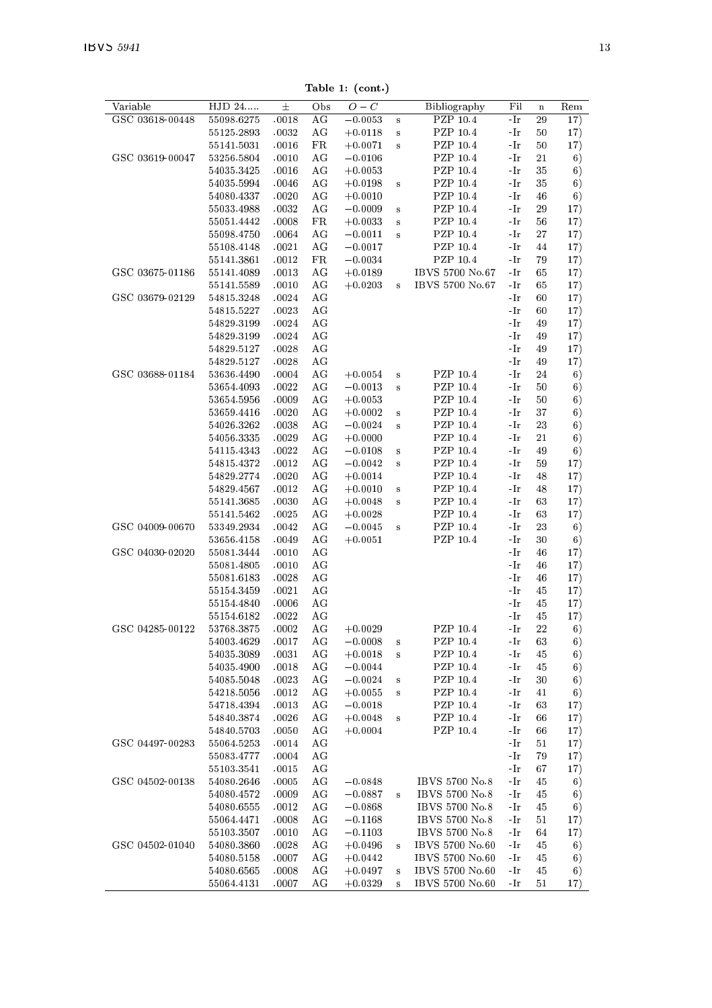Table 1: (cont.)

| Variable        | $\overline{\mathrm{HJD}}$ 24 | $\pm$          | Obs         | $O-C$                  |                         | Bibliography         | Fil                     | $\mathbf n$ | Rem      |
|-----------------|------------------------------|----------------|-------------|------------------------|-------------------------|----------------------|-------------------------|-------------|----------|
| GSC 03618-00448 | 55098.6275                   | .0018          | ΑG          | $-0.0053$              | s                       | PZP 10.4             | -Ir                     | 29          | 17)      |
|                 | 55125.2893                   | .0032          | AG          | $+0.0118$              | $\bf s$                 | PZP 10.4             | -Ir                     | 50          | 17)      |
|                 | 55141.5031                   | .0016          | FR          | $+0.0071$              | s                       | PZP 10.4             | -Ir                     | 50          | 17)      |
| GSC 03619-00047 | 53256.5804                   | .0010          | AG          | $-0.0106$              |                         | PZP 10.4             | -Ir                     | 21          | 6)       |
|                 | 54035.3425                   | .0016          | AG          | $+0.0053$              |                         | PZP 10.4             | -Ir                     | 35          | 6)       |
|                 | 54035.5994                   | .0046          | AG          | $+0.0198$              | s                       | PZP 10.4             | -Ir                     | 35          | 6)       |
|                 | 54080.4337                   | .0020          | AG          | $+0.0010$              |                         | PZP 10.4             | -Ir                     | 46          | 6)       |
|                 | 55033.4988                   | .0032          | ΑG          | $-0.0009$              | $\bf{s}$                | PZP 10.4             | -Ir                     | 29          | 17)      |
|                 | 55051.4442                   | .0008          | $_{\rm FR}$ | $+0.0033$              | $\bf{s}$                | PZP 10.4             | -Ir                     | 56          | 17)      |
|                 | 55098.4750                   | .0064          | AG          | $-0.0011$              | $\overline{\mathbf{s}}$ | PZP 10.4             | -Ir                     | 27          | 17)      |
|                 | 55108.4148                   | .0021          | AG          | $-0.0017$              |                         | PZP 10.4             | -Ir                     | 44          | 17)      |
|                 | 55141.3861                   | .0012          | FR          | $-0.0034$              |                         | PZP 10.4             | -Ir                     | 79          | 17)      |
| GSC 03675-01186 | 55141.4089                   | .0013          | ΑG          | $+0.0189$              |                         | IBVS 5700 No.67      | -Ir                     | 65          | 17)      |
|                 | 55141.5589                   | .0010          | AG          | $+0.0203$              | $\bf{s}$                | IBVS 5700 No.67      | -Ir                     | 65          | 17)      |
| GSC 03679-02129 | 54815.3248                   | $\char`-0024$  | AG          |                        |                         |                      | -Ir                     | 60          | 17)      |
|                 | 54815.5227                   | .0023          | AG          |                        |                         |                      | -Ir                     | 60          | 17)      |
|                 | 54829.3199                   | .0024          | AG          |                        |                         |                      | -Ir                     | 49          | 17)      |
|                 | 54829.3199                   | .0024          | AG          |                        |                         |                      | -Ir                     | 49          | 17)      |
|                 | 54829.5127                   | .0028          | AG          |                        |                         |                      | -Ir                     | 49          | 17)      |
|                 | 54829.5127                   | .0028          | AG          |                        |                         |                      | -Ir                     | 49          | 17)      |
| GSC 03688-01184 | 53636.4490                   | .0004          | AG          | $+0.0054$              | s                       | PZP 10.4             | -Ir                     | 24          | 6)       |
|                 | 53654.4093                   | .0022          | AG          | $-0.0013$              | s                       | PZP 10.4             | -Ir                     | 50          | 6)       |
|                 | 53654.5956                   | .0009          | AG          | $+0.0053$              |                         | PZP 10.4             | -Ir                     | 50          | 6)       |
|                 | 53659.4416                   | .0020          | AG          | $+0.0002$              | $\bf{s}$                | PZP 10.4             | -Ir                     | 37          | 6)       |
|                 | 54026.3262                   | .0038          | ΑG          | $-0.0024$              | s                       | PZP 10.4             | $\mathbin{{\mathbb L}}$ | 23          | 6)       |
|                 | 54056.3335                   | .0029          | AG          | $+0.0000$              |                         | PZP 10.4             | -Ir                     | 21          | 6)       |
|                 | 54115.4343                   | .0022          | AG          | $-0.0108$              | $\bf s$                 | PZP 10.4             | -Ir                     | 49          | 6)       |
|                 | 54815.4372                   | .0012          | AG          | $-0.0042$              | s                       | PZP 10.4             | -Ir                     | 59          | 17)      |
|                 | 54829.2774                   | .0020          | AG          | $+0.0014$              |                         | PZP 10.4             | -Ir                     | 48          | 17)      |
|                 | 54829.4567                   | .0012          | AG          | $+0.0010$              | s                       | PZP 10.4             | -Ir                     | 48          | 17)      |
|                 | 55141.3685                   | .0030          | AG          | $+0.0048$              | s                       | PZP 10.4             | -Ir                     | 63          | 17)      |
|                 | 55141.5462                   | .0025          | AG          | $+0.0028$              |                         | PZP 10.4             | -Ir                     | 63          | 17)      |
| GSC 04009-00670 | 53349.2934                   | .0042          | ΑG          | $-0.0045$              | $\bf{s}$                | PZP 10.4             | -Ir                     | 23          | 6)       |
|                 | 53656.4158                   | .0049          | AG          | $+0.0051$              |                         | PZP 10.4             | -Ir                     | 30          | 6)       |
| GSC 04030-02020 | 55081.3444                   | .0010          | AG          |                        |                         |                      | -Ir                     | 46          | 17)      |
|                 | 55081.4805                   | .0010          | AG          |                        |                         |                      | -Ir                     | 46          | 17)      |
|                 | 55081.6183                   | .0028          | AG          |                        |                         |                      | -Ir                     | 46          | 17)      |
|                 | 55154.3459                   | .0021          | AG          |                        |                         |                      | -Ir                     | 45          | 17)      |
|                 | 55154.4840                   | .0006          | AG          |                        |                         |                      | -Ir                     | 45          | 17)      |
|                 | 55154.6182                   | .0022          | AG          |                        |                         |                      | -Ir                     | 45          | 17)      |
| GSC 04285-00122 | 53768.3875                   | .0002          | ΑG<br>AG    | $+0.0029$              |                         | PZP 10.4<br>PZP 10.4 | -Ir                     | 22          | 6)       |
|                 | 54003.4629<br>54035.3089     | .0017<br>.0031 | AG          | $-0.0008$              | $\bf s$                 | PZP 10.4             | -Ir<br>-Ir              | 63<br>45    | 6)       |
|                 | 54035.4900                   | .0018          | AG          | $+0.0018$<br>$-0.0044$ | $\bf s$                 | PZP 10.4             | -Ir                     | 45          | 6)       |
|                 | 54085.5048                   | .0023          | АG          | $-0.0024$              | s                       | PZP 10.4             | -Ir                     | 30          | 6)<br>6) |
|                 | 54218.5056                   | .0012          | AG          | $+0.0055$              | s                       | PZP 10.4             | -Ir                     | 41          | 6)       |
|                 | 54718.4394                   | .0013          | AG          | $-0.0018$              |                         | PZP 10.4             | -Ir                     | 63          | 17)      |
|                 | 54840.3874                   | .0026          | AG          | $+0.0048$              | s                       | PZP 10.4             | -Ir                     | 66          | 17)      |
|                 | 54840.5703                   | .0050          | AG          | $+0.0004$              |                         | PZP 10.4             | -Ir                     | 66          | 17)      |
| GSC 04497-00283 | 55064.5253                   | .0014          | AG          |                        |                         |                      | -Ir                     | 51          | 17)      |
|                 | 55083.4777                   | .0004          | AG          |                        |                         |                      | -Ir                     | 79          | 17)      |
|                 | 55103.3541                   | .0015          | AG          |                        |                         |                      | -Ir                     | 67          | 17)      |
| GSC 04502-00138 | 54080.2646                   | .0005          | AG          | $-0.0848$              |                         | IBVS 5700 No.8       | -Ir                     | 45          | 6)       |
|                 | 54080.4572                   | .0009          | AG          | $-0.0887$              | s                       | IBVS 5700 No.8       | -Ir                     | 45          | 6)       |
|                 | 54080.6555                   | .0012          | AG          | $-0.0868$              |                         | IBVS 5700 No.8       | -Ir                     | 45          | 6)       |
|                 | 55064.4471                   | .0008          | ΑG          | $-0.1168$              |                         | IBVS 5700 No. 8      | -Ir                     | 51          | 17)      |
|                 | 55103.3507                   | .0010          | AG          | $-0.1103$              |                         | IBVS 5700 No.8       | -Ir                     | 64          | 17)      |
| GSC 04502-01040 | 54080.3860                   | .0028          | ΑG          | $+0.0496$              | $\mathbf{s}$            | IBVS 5700 No.60      | -Ir                     | 45          | 6)       |
|                 | 54080.5158                   | .0007          | AG          | $+0.0442$              |                         | IBVS 5700 No.60      | -Ir                     | 45          | 6)       |
|                 | 54080.6565                   | .0008          | AG          | $+0.0497$              | $\bf s$                 | IBVS 5700 No.60      | -Ir                     | 45          | 6)       |
|                 | 55064.4131                   | .0007          | AG          | $+0.0329$              | s                       | IBVS 5700 No.60      | -Ir                     | 51          | 17)      |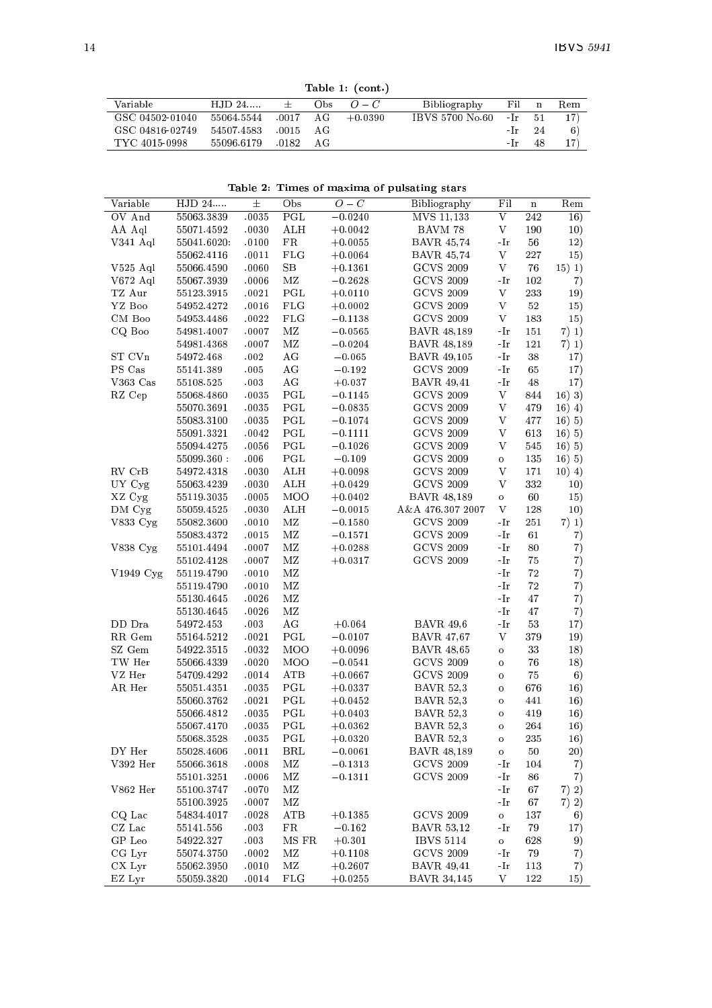Table 1: (cont.)

|                 |            |       |      | Taple 1. (COTT) |                 |       |      |     |
|-----------------|------------|-------|------|-----------------|-----------------|-------|------|-----|
| Variable        | $HJD 24$   | $+$   | Obs. | $O-C$           | Bibliography    | Fil   | n    | Rem |
| GSC 04502-01040 | 55064.5544 | .0017 | AG   | $+0.0390$       | IBVS 5700 No.60 | $-Ir$ | - 51 | 17) |
| GSC 04816-02749 | 54507.4583 | .0015 | AG   |                 |                 | $-Ir$ | -24  | 6)  |
| TYC 4015-0998   | 55096.6179 | 0182  | AG   |                 |                 | - Ir  | 48   |     |
|                 |            |       |      |                 |                 |       |      |     |

Table 2: Times of maxima of pulsating stars

| Variable      | $\overline{HJD}$ 24     | $\pm$         | Obs          | $\overline{O}-C$       | Bibliography                          | Fil                 | $\mathbf n$ | Rem          |
|---------------|-------------------------|---------------|--------------|------------------------|---------------------------------------|---------------------|-------------|--------------|
| OV And        | 55063.3839              | .0035         | PGL          | $-0.0240$              | MVS 11,133                            | V                   | 242         | 16)          |
| AA Aql        | 55071.4592              | .0030         | ALH          | $+0.0042$              | BAVM 78                               | V                   | 190         | 10)          |
| V 341 Aql     | 55041.6020.             | .0100         | FR           | $+0.0055$              | BAV R 45,74                           | -Ir                 | 56          | 12)          |
|               | 55062.4116              | .0011         | $_{\rm FLG}$ | $+0.0064$              | BAV R 45,74                           | V                   | 227         | 15)          |
| $V525$ Aql    | 55066.4590              | .0060         | SВ           | $+0.1361$              | <b>GCVS 2009</b>                      | V                   | 76          | 15) 1)       |
| $V672$ Aql    | 55067.3939              | .0006         | MZ           | $-0.2628$              | <b>GCVS 2009</b>                      | -Ir                 | 102         | 7)           |
| TZ Aur        | 55123.3915              | .0021         | PGL          | $+0.0110$              | <b>GCVS 2009</b>                      | V                   | 233         | 19)          |
| YZ Boo        | 54952.4272              | .0016         | FLG          | $+0.0002$              | <b>GCVS 2009</b>                      | V                   | 52          | 15)          |
| $CM$ Boo      | 54953.4486              | .0022         | FLG          | $-0.1138$              | <b>GCVS 2009</b>                      | V                   | 183         |              |
| CQ Boo        | 54981.4007              | .0007         | MZ           | $-0.0565$              | <b>BAVR 48,189</b>                    | -Ir                 | 151         | 15)<br>7) 1) |
|               | 54981.4368              | .0007         | MZ           | $-0.0204$              | <b>BAVR 48,189</b>                    | -Ir                 | 121         | 7) 1)        |
| $ST$ $Cvn$    | 54972.468               | .002          | AG           | $-0.065$               | <b>BAVR 49,105</b>                    | -Ir                 | 38          | 17)          |
| PS Cas        |                         | .005          | AG           |                        | <b>GCVS 2009</b>                      |                     | 65          |              |
| V363 Cas      | 55141.389               | .003          |              | $-0.192$               |                                       | -Ir                 |             | 17)          |
| RZ Cep        | 55108.525<br>55068.4860 | .0035         | ΑG<br>PGL    | $+0.037$<br>$-0.1145$  | <b>BAVR 49,41</b><br><b>GCVS 2009</b> | -Ir<br>V            | 48<br>844   | 17)          |
|               | 55070.3691              | .0035         |              |                        |                                       | V                   | 479         | 16) 3)       |
|               | 55083.3100              | .0035         | PGL<br>PGL   | $-0.0835$<br>$-0.1074$ | <b>GCVS 2009</b><br><b>GCVS 2009</b>  | V                   | 477         | 16) 4)       |
|               |                         |               |              |                        | <b>GCVS 2009</b>                      | V                   |             | 16) 5)       |
|               | 55091.3321              | .0042         | PGL<br>PGL   | $-0.1111$              | <b>GCVS 2009</b>                      | V                   | 613         | 16)5)        |
|               | 55094.4275              | .0056         |              | $-0.1026$              |                                       |                     | 545<br>135  | 16)5)        |
| RV CrB        | 55099.360:              | .006<br>.0030 | PGL          | $-0.109$               | <b>GCVS 2009</b><br><b>GCVS 2009</b>  | $\circ$<br>V        | 171         | 16) 5)       |
|               | 54972.4318              |               | ALH          | $+0.0098$              | <b>GCVS 2009</b>                      | V                   |             | 10(4)        |
| UY Cyg        | 55063.4239              | .0030         | ALH          | $+0.0429$              |                                       |                     | 332         | 10)          |
| XZ Cyg        | 55119.3035              | .0005         | MOO          | $+0.0402$              | BAVR 48,189                           | $\circ$             | 60          | 15)          |
| DM Cyg        | 55059.4525              | .0030         | ALH          | $-0.0015$              | A&A 476.307 2007                      | V                   | 128         | 10)          |
| V 833 Cyg     | 55082.3600              | .0010         | ΜZ           | $-0.1580$              | <b>GCVS 2009</b>                      | -Ir                 | 251         | 7) 1)        |
|               | 55083.4372              | .0015         | MZ           | $-0.1571$              | <b>GCVS 2009</b>                      | -Ir                 | 61          | 7)           |
| V838 Cyg      | 55101.4494              | .0007         | ΜZ           | $+0.0288$              | GCVS 2009                             | -Ir                 | 80          | 7)           |
|               | 55102.4128              | .0007         | MZ           | $+0.0317$              | <b>GCVS 2009</b>                      | -Ir                 | 75          | 7)           |
| $V1949$ $Cyg$ | 55119.4790              | .0010         | ΜZ           |                        |                                       | -Ir                 | 72          | 7)           |
|               | 55119.4790              | .0010         | MZ           |                        |                                       | -Ir                 | 72          | 7)           |
|               | 55130.4645              | .0026         | ΜZ           |                        |                                       | -Ir                 | 47          | 7)           |
|               | 55130.4645              | .0026         | MZ           |                        |                                       | -Ir                 | 47          | 7)           |
| DD Dra        | 54972.453               | .003          | AG           | $+0.064$               | <b>BAVR 49,6</b>                      | -Ir                 | 53          | 17)          |
| RR Gem        | 55164.5212              | .0021         | PGL          | $-0.0107$              | BAVR 47,67                            | V                   | 379         | 19)          |
| SZ Gem        | 54922.3515              | .0032         | MOO          | $+0.0096$              | <b>BAVR 48,65</b>                     | $\circ$             | 33          | 18)          |
| TW Her        | 55066.4339              | .0020         | MOO          | $-0.0541$              | <b>GCVS 2009</b>                      | $\circ$             | 76          | 18)          |
| VZ Her        | 54709.4292              | .0014         | ATB          | $+0.0667$              | <b>GCVS 2009</b>                      | $\circ$             | 75          | 6)           |
| AR Her        | 55051.4351              | .0035         | PGL          | $+0.0337$              | <b>BAVR 52.3</b>                      | $\circ$             | 676         | 16)          |
|               | 55060.3762              | .0021         | PGL          | $+0.0452$              | <b>BAVR 52,3</b>                      | $\circ$             | 441         | 16)          |
|               | 55066.4812              | .0035         | PGL          | $+0.0403$              | <b>BAVR 52,3</b>                      | $\circ$             | 419         | 16)          |
|               | 55067.4170              | .0035         | PGL          | $+0.0362$              | <b>BAVR 52,3</b>                      | $\ddot{\mathbf{o}}$ | 264         | 16)          |
|               | 55068.3528              | .0035         | PGL          | $+0.0320$              | <b>BAVR 52,3</b>                      | $\circ$             | 235         | 16)          |
| DY Her        | 55028.4606              | .0011         | BRL          | $-0.0061$              | <b>BAVR 48,189</b>                    | $\circ$             | 50          | 20)          |
| V392 Her      | 55066.3618              | .0008         | ΜZ           | $-0.1313$              | <b>GCVS 2009</b>                      | -Ir                 | 104         | 7)           |
|               | 55101.3251              | .0006         | ΜZ           | $-0.1311$              | <b>GCVS 2009</b>                      | -Ir                 | 86          | 7)           |
| V 862 Her     | 55100.3747              | .0070         | ΜZ           |                        |                                       | -Ir                 | 67          | 7) 2)        |
|               | 55100.3925              | .0007         | MZ           |                        |                                       | -Ir                 | 67          | 7) 2)        |
| CQ Lac        | 54834.4017              | .0028         | ATB          | $+0.1385$              | <b>GCVS 2009</b>                      | $\mathbf{o}$        | 137         | 6)           |
| $CZ$ Lac      | 55141.556               | .003          | FR           | $-0.162$               | <b>BAVR 53,12</b>                     | -Ir                 | 79          | 17)          |
| GP Leo        | 54922.327               | .003          | MS FR        | $+0.301$               | <b>IBVS 5114</b>                      | $\mathbf{o}$        | 628         | 9)           |
| CG Lyr        | 55074.3750              | .0002         | ΜZ           | $+0.1108$              | <b>GCVS 2009</b>                      | -Ir                 | 79          | 7)           |
| CX Lyr        | 55062.3950              | .0010         | MZ           | $+0.2607$              | <b>BAVR</b> 49,41                     | -Ir                 | 113         | 7)           |
| EZ Lyr        | 55059.3820              | .0014         | FLG          | $+0.0255$              | BAVR 34,145                           | V                   | 122         | 15)          |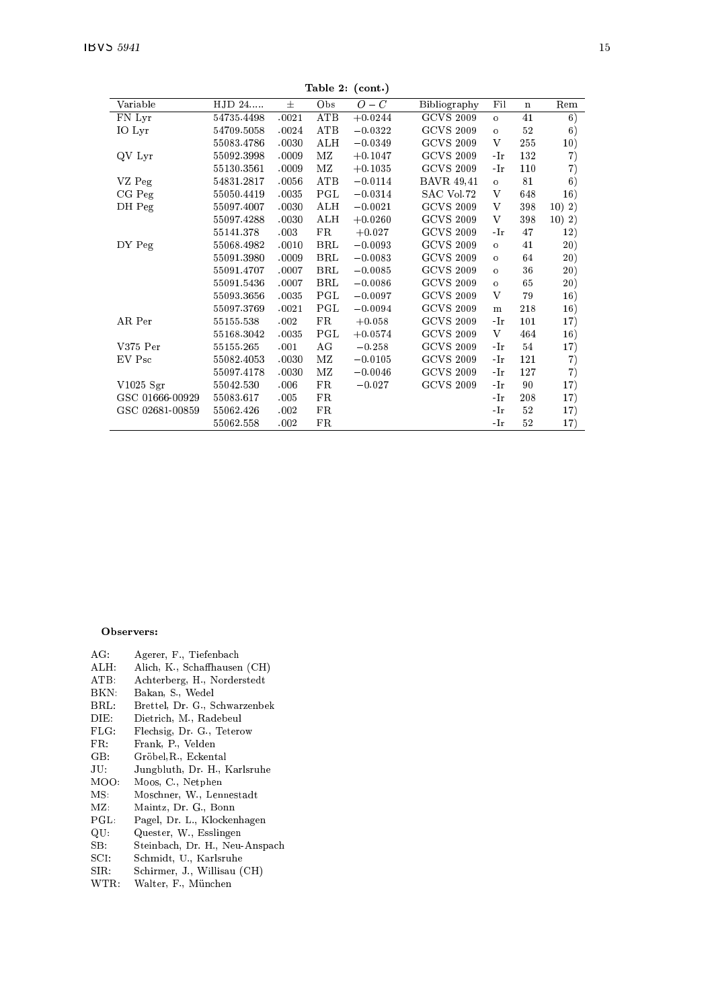Table 2: (cont.)

|                 |            |          | ------        | 10007     |                   |          |             |                               |
|-----------------|------------|----------|---------------|-----------|-------------------|----------|-------------|-------------------------------|
| Variable        | HJD 24     | $_{\pm}$ | Obs           | $O-C$     | Bibliography      | Fil      | $\mathbf n$ | $\operatorname{Re}\mathrm{m}$ |
| FN Lyr          | 54735.4498 | .0021    | ATB           | $+0.0244$ | <b>GCVS 2009</b>  | $\Omega$ | 41          | 6)                            |
| IO Lyr          | 54709.5058 | .0024    | ATB           | $-0.0322$ | <b>GCVS 2009</b>  | $\circ$  | 52          | 6)                            |
|                 | 55083.4786 | .0030    | ALH           | $-0.0349$ | <b>GCVS 2009</b>  | V        | 255         | 10)                           |
| QV Lyr          | 55092.3998 | .0009    | ΜZ            | $+0.1047$ | <b>GCVS 2009</b>  | -Ir      | 132         | 7)                            |
|                 | 55130.3561 | .0009    | ΜZ            | $+0.1035$ | <b>GCVS 2009</b>  | -Ir      | 110         | 7)                            |
| VZ Peg          | 54831.2817 | .0056    | ATB           | $-0.0114$ | <b>BAVR</b> 49,41 | $\circ$  | 81          | 6)                            |
| CG Peg          | 55050.4419 | .0035    | $_{\rm{PGL}}$ | $-0.0314$ | SAC Vol.72        | V        | 648         | 16)                           |
| DH Peg          | 55097.4007 | .0030    | ALH           | $-0.0021$ | <b>GCVS 2009</b>  | V        | 398         | 10) 2)                        |
|                 | 55097.4288 | .0030    | ALH           | $+0.0260$ | <b>GCVS 2009</b>  | V        | 398         | 10) 2)                        |
|                 | 55141.378  | .003     | FR            | $+0.027$  | <b>GCVS 2009</b>  | -Ir      | 47          | 12)                           |
| DY Peg          | 55068.4982 | .0010    | <b>BRL</b>    | $-0.0093$ | <b>GCVS 2009</b>  | $\circ$  | 41          | (20)                          |
|                 | 55091.3980 | .0009    | BRL           | $-0.0083$ | <b>GCVS 2009</b>  | $\circ$  | 64          | (20)                          |
|                 | 55091.4707 | .0007    | BRL           | $-0.0085$ | <b>GCVS 2009</b>  | $\circ$  | 36          | (20)                          |
|                 | 55091.5436 | .0007    | BRL           | $-0.0086$ | <b>GCVS 2009</b>  | $\circ$  | 65          | 20)                           |
|                 | 55093.3656 | .0035    | PGL           | $-0.0097$ | <b>GCVS 2009</b>  | V        | 79          | 16)                           |
|                 | 55097.3769 | .0021    | PGL           | $-0.0094$ | <b>GCVS 2009</b>  | m        | 218         | 16)                           |
| AR Per          | 55155.538  | .002     | FR            | $+0.058$  | <b>GCVS 2009</b>  | -Ir      | 101         | 17)                           |
|                 | 55168.3042 | .0035    | PGL           | $+0.0574$ | <b>GCVS 2009</b>  | V        | 464         | 16)                           |
| V375 Per        | 55155.265  | .001     | AG            | $-0.258$  | <b>GCVS 2009</b>  | -Ir      | 54          | 17)                           |
| EV Psc          | 55082.4053 | .0030    | ΜZ            | $-0.0105$ | <b>GCVS 2009</b>  | -Ir      | 121         | 7)                            |
|                 | 55097.4178 | .0030    | MZ            | $-0.0046$ | <b>GCVS 2009</b>  | -Ir      | 127         | 7)                            |
| $V1025$ Sgr     | 55042.530  | .006     | FR            | $-0.027$  | <b>GCVS 2009</b>  | -Ir      | 90          | 17)                           |
| GSC 01666-00929 | 55083.617  | .005     | FR            |           |                   | -Ir      | 208         | 17)                           |
| GSC 02681-00859 | 55062.426  | .002     | FR            |           |                   | -Ir      | 52          | 17)                           |
|                 | 55062.558  | .002     | $_{\rm FR}$   |           |                   | -Ir      | 52          | 17)                           |

#### Observers:

- 
- $\begin{tabular}{ll} AG: & \quad \textbf{Agerer, F., Tiefenbach} \\ ALH: & \quad \textbf{Alich, K., Schaffhausen (CH)} \end{tabular}$
- ATB: Achterberg, H., Norderstedt<br>BKN: Bakan, S., Wedel
- Bakan, S., Wedel
- $\operatorname{BRL}$ Brettel, Dr. G., Schwarzenbek
- $DIE:$ Dietrich, M., Radebeul
- FLG: Flechsig, Dr. G., Teterow
- $FR<sub>2</sub>$ Frank, P., Velden
- $\mathbf{G}\mathbf{B}$ : Gröbel, R., Eckental
- Jungbluth, Dr. H., Karlsruhe  $JU$ :
- MOO: Moos, C., Netphen
- Moschner, W., Lennestadt<br>Maintz, Dr. G., Bonn  $MS:$
- $MZ:$
- $PGL:$ Pagel, Dr. L., Klockenhagen<br>Quester, W., Esslingen
- $\mathbf{Q} \mathbf{U}$
- $SB:$ Steinbach, Dr. H., Neu-Anspach
- Schmidt, U., Karlsruhe  $SCI:$
- $SIR:$ Schirmer, J., Willisau (CH)
- WTR: Walter, F., München